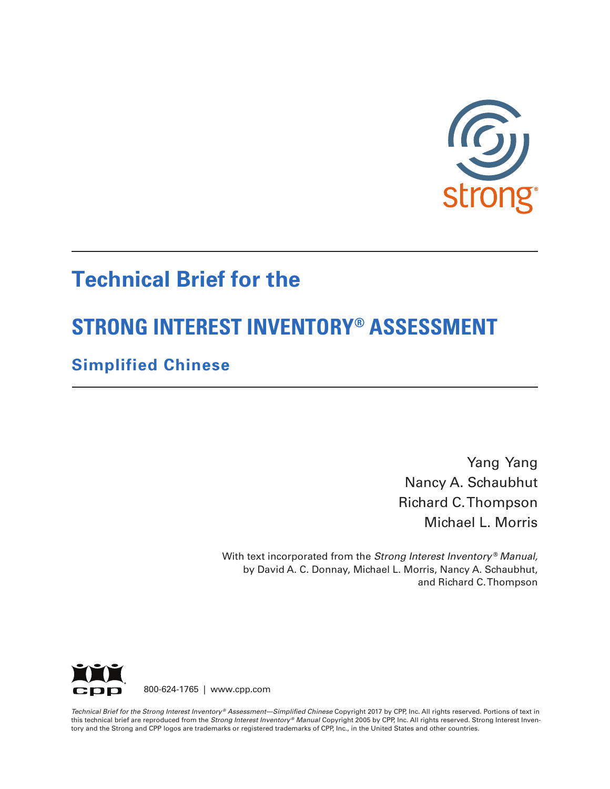

# **Technical Brief for the**

# **STRONG INTEREST INVENTORY® ASSESSMENT**

# **Simplified Chinese**

Yang Yang Nancy A. Schaubhut Richard C. Thompson Michael L. Morris

With text incorporated from the *Strong Interest Inventory* ® *Manual,* by David A. C. Donnay, Michael L. Morris, Nancy A. Schaubhut, and Richard C. Thompson



800-624-1765 | www.cpp.com

*Technical Brief for the Strong Interest Inventory ® Assessment—Simplified Chinese* Copyright 2017 by CPP, Inc. All rights reserved. Portions of text in this technical brief are reproduced from the *Strong Interest Inventory® Manual* Copyright 2005 by CPP, Inc. All rights reserved. Strong Interest Inventory and the Strong and CPP logos are trademarks or registered trademarks of CPP, Inc., in the United States and other countries.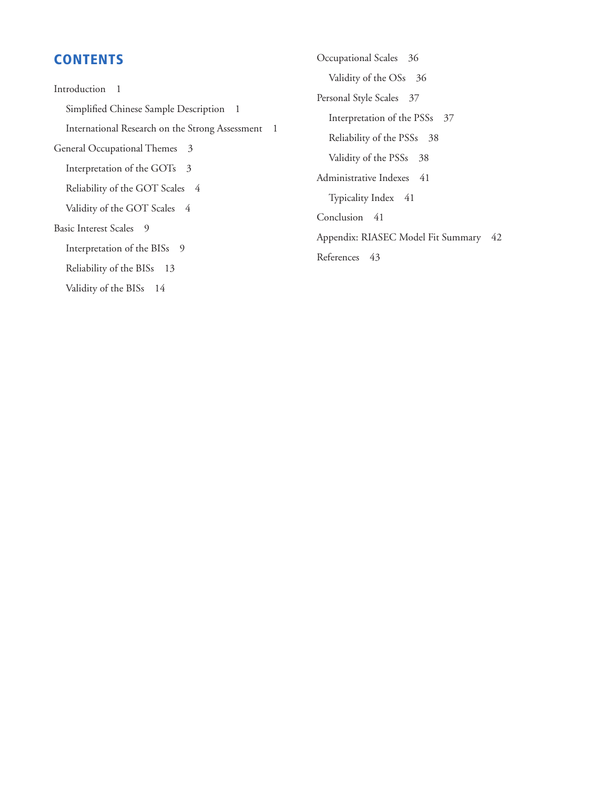# **CONTENTS**

Introduction 1 Simplified Chinese Sample Description 1 International Research on the Strong Assessment 1 General Occupational Themes 3 Interpretation of the GOTs 3 Reliability of the GOT Scales 4 Validity of the GOT Scales 4 Basic Interest Scales 9 Interpretation of the BISs 9 Reliability of the BISs 13 Validity of the BISs 14

Occupational Scales 36 Validity of the OSs 36 Personal Style Scales 37 Interpretation of the PSSs 37 Reliability of the PSSs 38 Validity of the PSSs 38 Administrative Indexes 41 Typicality Index 41 Conclusion 41 Appendix: RIASEC Model Fit Summary 42 References 43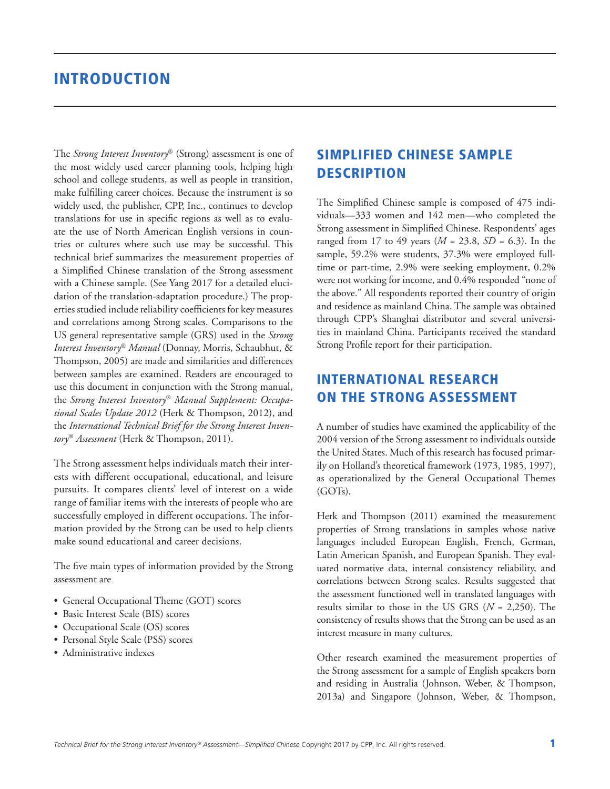# INTRODUCTION

The *Strong Interest Inventory*® (Strong) assessment is one of the most widely used career planning tools, helping high school and college students, as well as people in transition, make fulfilling career choices. Because the instrument is so widely used, the publisher, CPP, Inc., continues to develop translations for use in specific regions as well as to evaluate the use of North American English versions in countries or cultures where such use may be successful. This technical brief summarizes the measurement properties of a Simplified Chinese translation of the Strong assessment with a Chinese sample. (See Yang 2017 for a detailed elucidation of the translation-adaptation procedure.) The properties studied include reliability coefficients for key measures and correlations among Strong scales. Comparisons to the US general representative sample (GRS) used in the *Strong Interest Inventory*® *Manual* (Donnay, Morris, Schaubhut, & Thompson, 2005) are made and similarities and differences between samples are examined. Readers are encouraged to use this document in conjunction with the Strong manual, the *Strong Interest Inventory*® *Manual Supplement: Occupational Scales Update 2012* (Herk & Thompson, 2012), and the *International Technical Brief for the Strong Interest Inventory*® *Assessment* (Herk & Thompson, 2011).

The Strong assessment helps individuals match their interests with different occupational, educational, and leisure pursuits. It compares clients' level of interest on a wide range of familiar items with the interests of people who are successfully employed in different occupations. The information provided by the Strong can be used to help clients make sound educational and career decisions.

The five main types of information provided by the Strong assessment are

- General Occupational Theme (GOT) scores
- Basic Interest Scale (BIS) scores
- Occupational Scale (OS) scores
- Personal Style Scale (PSS) scores
- Administrative indexes

# SIMPLIFIED CHINESE SAMPLE **DESCRIPTION**

The Simplified Chinese sample is composed of 475 individuals—333 women and 142 men—who completed the Strong assessment in Simplified Chinese. Respondents' ages ranged from 17 to 49 years (*M* = 23.8, *SD* = 6.3). In the sample, 59.2% were students, 37.3% were employed fulltime or part-time, 2.9% were seeking employment, 0.2% were not working for income, and 0.4% responded "none of the above." All respondents reported their country of origin and residence as mainland China. The sample was obtained through CPP's Shanghai distributor and several universities in mainland China. Participants received the standard Strong Profile report for their participation.

# INTERNATIONAL RESEARCH ON THE STRONG ASSESSMENT

A number of studies have examined the applicability of the 2004 version of the Strong assessment to individuals outside the United States. Much of this research has focused primarily on Holland's theoretical framework (1973, 1985, 1997), as operationalized by the General Occupational Themes (GOTs).

Herk and Thompson (2011) examined the measurement properties of Strong translations in samples whose native languages included European English, French, German, Latin American Spanish, and European Spanish. They evaluated normative data, internal consistency reliability, and correlations between Strong scales. Results suggested that the assessment functioned well in translated languages with results similar to those in the US GRS (*N* = 2,250). The consistency of results shows that the Strong can be used as an interest measure in many cultures.

Other research examined the measurement properties of the Strong assessment for a sample of English speakers born and residing in Australia (Johnson, Weber, & Thompson, 2013a) and Singapore (Johnson, Weber, & Thompson,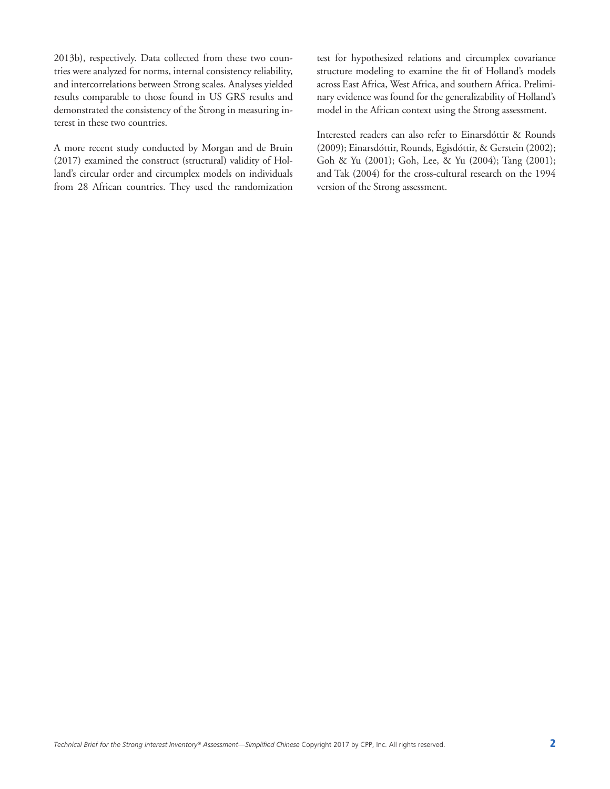2013b), respectively. Data collected from these two countries were analyzed for norms, internal consistency reliability, and intercorrelations between Strong scales. Analyses yielded results comparable to those found in US GRS results and demonstrated the consistency of the Strong in measuring interest in these two countries.

A more recent study conducted by Morgan and de Bruin (2017) examined the construct (structural) validity of Holland's circular order and circumplex models on individuals from 28 African countries. They used the randomization test for hypothesized relations and circumplex covariance structure modeling to examine the fit of Holland's models across East Africa, West Africa, and southern Africa. Preliminary evidence was found for the generalizability of Holland's model in the African context using the Strong assessment.

Interested readers can also refer to Einarsdóttir & Rounds (2009); Einarsdóttir, Rounds, Egisdóttir, & Gerstein (2002); Goh & Yu (2001); Goh, Lee, & Yu (2004); Tang (2001); and Tak (2004) for the cross-cultural research on the 1994 version of the Strong assessment.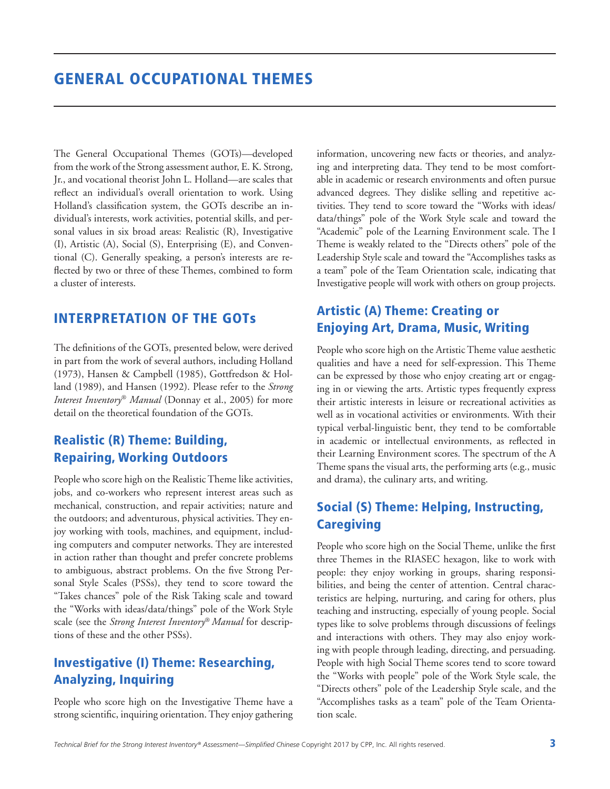The General Occupational Themes (GOTs)—developed from the work of the Strong assessment author, E. K. Strong, Jr., and vocational theorist John L. Holland—are scales that reflect an individual's overall orientation to work. Using Holland's classification system, the GOTs describe an individual's interests, work activities, potential skills, and personal values in six broad areas: Realistic (R), Investigative (I), Artistic (A), Social (S), Enterprising (E), and Conventional (C). Generally speaking, a person's interests are reflected by two or three of these Themes, combined to form a cluster of interests.

# INTERPRETATION OF THE GOTs

The definitions of the GOTs, presented below, were derived in part from the work of several authors, including Holland (1973), Hansen & Campbell (1985), Gottfredson & Holland (1989), and Hansen (1992). Please refer to the *Strong Interest Inventory*® *Manual* (Donnay et al., 2005) for more detail on the theoretical foundation of the GOTs.

# Realistic (R) Theme: Building, Repairing, Working Outdoors

People who score high on the Realistic Theme like activities, jobs, and co-workers who represent interest areas such as mechanical, construction, and repair activities; nature and the outdoors; and adventurous, physical activities. They enjoy working with tools, machines, and equipment, including computers and computer networks. They are interested in action rather than thought and prefer concrete problems to ambiguous, abstract problems. On the five Strong Personal Style Scales (PSSs), they tend to score toward the "Takes chances" pole of the Risk Taking scale and toward the "Works with ideas/data/things" pole of the Work Style scale (see the *Strong Interest Inventory*® *Manual* for descriptions of these and the other PSSs).

# Investigative (I) Theme: Researching, Analyzing, Inquiring

People who score high on the Investigative Theme have a strong scientific, inquiring orientation. They enjoy gathering information, uncovering new facts or theories, and analyzing and interpreting data. They tend to be most comfortable in academic or research environments and often pursue advanced degrees. They dislike selling and repetitive activities. They tend to score toward the "Works with ideas/ data/things" pole of the Work Style scale and toward the "Academic" pole of the Learning Environment scale. The I Theme is weakly related to the "Directs others" pole of the Leadership Style scale and toward the "Accomplishes tasks as a team" pole of the Team Orientation scale, indicating that Investigative people will work with others on group projects.

# Artistic (A) Theme: Creating or Enjoying Art, Drama, Music, Writing

People who score high on the Artistic Theme value aesthetic qualities and have a need for self-expression. This Theme can be expressed by those who enjoy creating art or engaging in or viewing the arts. Artistic types frequently express their artistic interests in leisure or recreational activities as well as in vocational activities or environments. With their typical verbal-linguistic bent, they tend to be comfortable in academic or intellectual environments, as reflected in their Learning Environment scores. The spectrum of the A Theme spans the visual arts, the performing arts (e.g., music and drama), the culinary arts, and writing.

# Social (S) Theme: Helping, Instructing, Caregiving

People who score high on the Social Theme, unlike the first three Themes in the RIASEC hexagon, like to work with people: they enjoy working in groups, sharing responsibilities, and being the center of attention. Central characteristics are helping, nurturing, and caring for others, plus teaching and instructing, especially of young people. Social types like to solve problems through discussions of feelings and interactions with others. They may also enjoy working with people through leading, directing, and persuading. People with high Social Theme scores tend to score toward the "Works with people" pole of the Work Style scale, the "Directs others" pole of the Leadership Style scale, and the "Accomplishes tasks as a team" pole of the Team Orientation scale.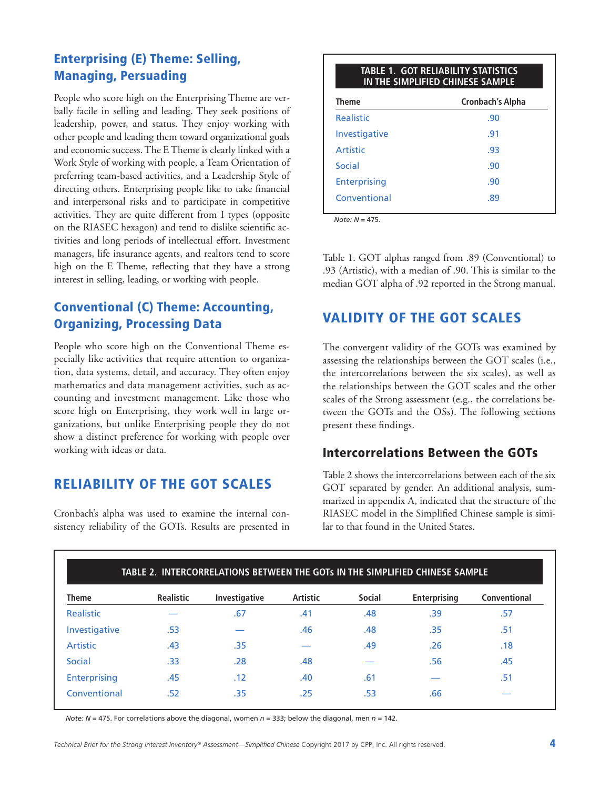# Enterprising (E) Theme: Selling, Managing, Persuading

People who score high on the Enterprising Theme are verbally facile in selling and leading. They seek positions of leadership, power, and status. They enjoy working with other people and leading them toward organizational goals and economic success. The E Theme is clearly linked with a Work Style of working with people, a Team Orientation of preferring team-based activities, and a Leadership Style of directing others. Enterprising people like to take financial and interpersonal risks and to participate in competitive activities. They are quite different from I types (opposite on the RIASEC hexagon) and tend to dislike scientific activities and long periods of intellectual effort. Investment managers, life insurance agents, and realtors tend to score high on the E Theme, reflecting that they have a strong interest in selling, leading, or working with people.

# Conventional (C) Theme: Accounting, Organizing, Processing Data

People who score high on the Conventional Theme especially like activities that require attention to organization, data systems, detail, and accuracy. They often enjoy mathematics and data management activities, such as accounting and investment management. Like those who score high on Enterprising, they work well in large organizations, but unlike Enterprising people they do not show a distinct preference for working with people over working with ideas or data.

# RELIABILITY OF THE GOT SCALES

Cronbach's alpha was used to examine the internal consistency reliability of the GOTs. Results are presented in

| <b>TABLE 1. GOT RELIABILITY STATISTICS</b><br>IN THE SIMPLIFIED CHINESE SAMPLE                                                                        |     |  |  |  |  |  |  |  |
|-------------------------------------------------------------------------------------------------------------------------------------------------------|-----|--|--|--|--|--|--|--|
| <b>Theme</b><br>Cronbach's Alpha<br><b>Realistic</b><br>.90<br>Investigative<br>.91<br>Artistic<br>.93<br>Social<br>.90<br><b>Enterprising</b><br>.90 |     |  |  |  |  |  |  |  |
|                                                                                                                                                       |     |  |  |  |  |  |  |  |
|                                                                                                                                                       |     |  |  |  |  |  |  |  |
|                                                                                                                                                       |     |  |  |  |  |  |  |  |
|                                                                                                                                                       |     |  |  |  |  |  |  |  |
|                                                                                                                                                       |     |  |  |  |  |  |  |  |
| Conventional                                                                                                                                          | .89 |  |  |  |  |  |  |  |

*Note: N* = 475.

Table 1. GOT alphas ranged from .89 (Conventional) to .93 (Artistic), with a median of .90. This is similar to the median GOT alpha of .92 reported in the Strong manual.

# VALIDITY OF THE GOT SCALES

The convergent validity of the GOTs was examined by assessing the relationships between the GOT scales (i.e., the intercorrelations between the six scales), as well as the relationships between the GOT scales and the other scales of the Strong assessment (e.g., the correlations between the GOTs and the OSs). The following sections present these findings.

### Intercorrelations Between the GOTs

Table 2 shows the intercorrelations between each of the six GOT separated by gender. An additional analysis, summarized in appendix A, indicated that the structure of the RIASEC model in the Simplified Chinese sample is similar to that found in the United States.

| TABLE 2. INTERCORRELATIONS BETWEEN THE GOTs IN THE SIMPLIFIED CHINESE SAMPLE |                  |               |                 |               |                     |              |  |  |  |  |  |  |
|------------------------------------------------------------------------------|------------------|---------------|-----------------|---------------|---------------------|--------------|--|--|--|--|--|--|
| <b>Theme</b>                                                                 | <b>Realistic</b> | Investigative | <b>Artistic</b> | <b>Social</b> | <b>Enterprising</b> | Conventional |  |  |  |  |  |  |
| Realistic                                                                    |                  | .67           | .41             | .48           | .39                 | .57          |  |  |  |  |  |  |
| Investigative                                                                | .53              |               | .46             | .48           | .35                 | .51          |  |  |  |  |  |  |
| <b>Artistic</b>                                                              | .43              | .35           |                 | .49           | .26                 | .18          |  |  |  |  |  |  |
| Social                                                                       | .33              | .28           | .48             |               | .56                 | .45          |  |  |  |  |  |  |
| Enterprising                                                                 | .45              | .12           | .40             | .61           |                     | .51          |  |  |  |  |  |  |
| Conventional                                                                 | .52              | .35           | .25             | .53           | .66                 |              |  |  |  |  |  |  |

*Note: N* = 475. For correlations above the diagonal, women *n* = 333; below the diagonal, men *n* = 142.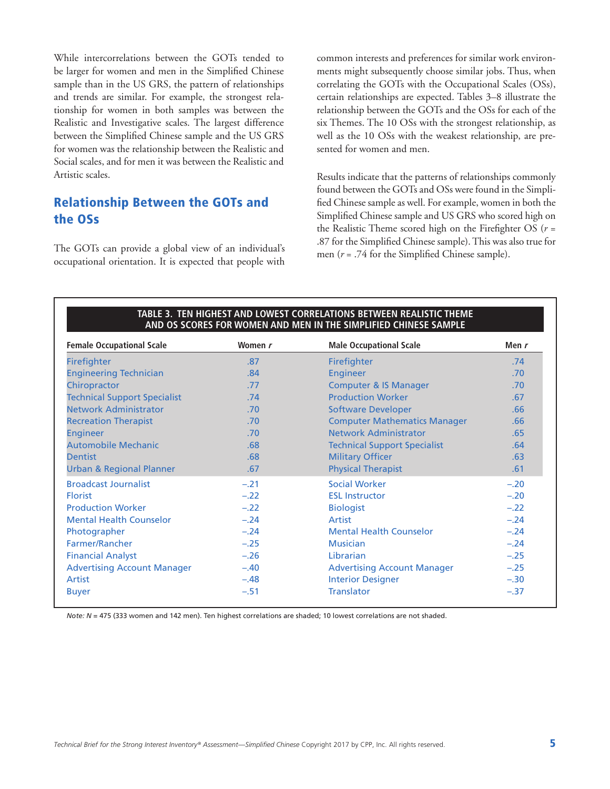While intercorrelations between the GOTs tended to be larger for women and men in the Simplified Chinese sample than in the US GRS, the pattern of relationships and trends are similar. For example, the strongest relationship for women in both samples was between the Realistic and Investigative scales. The largest difference between the Simplified Chinese sample and the US GRS for women was the relationship between the Realistic and Social scales, and for men it was between the Realistic and Artistic scales.

### Relationship Between the GOTs and the OSs

The GOTs can provide a global view of an individual's occupational orientation. It is expected that people with common interests and preferences for similar work environments might subsequently choose similar jobs. Thus, when correlating the GOTs with the Occupational Scales (OSs), certain relationships are expected. Tables 3–8 illustrate the relationship between the GOTs and the OSs for each of the six Themes. The 10 OSs with the strongest relationship, as well as the 10 OSs with the weakest relationship, are presented for women and men.

Results indicate that the patterns of relationships commonly found between the GOTs and OSs were found in the Simplified Chinese sample as well. For example, women in both the Simplified Chinese sample and US GRS who scored high on the Realistic Theme scored high on the Firefighter OS (*r* = .87 for the Simplified Chinese sample). This was also true for men (*r* = .74 for the Simplified Chinese sample).

| TABLE 3. TEN HIGHEST AND LOWEST CORRELATIONS BETWEEN REALISTIC THEME<br>AND OS SCORES FOR WOMEN AND MEN IN THE SIMPLIFIED CHINESE SAMPLE |         |                                     |         |  |  |  |  |  |  |
|------------------------------------------------------------------------------------------------------------------------------------------|---------|-------------------------------------|---------|--|--|--|--|--|--|
| <b>Female Occupational Scale</b>                                                                                                         | Women r | <b>Male Occupational Scale</b>      | Men $r$ |  |  |  |  |  |  |
| Firefighter                                                                                                                              | .87     | Firefighter                         | .74     |  |  |  |  |  |  |
| <b>Engineering Technician</b>                                                                                                            | .84     | <b>Engineer</b>                     | .70     |  |  |  |  |  |  |
| Chiropractor                                                                                                                             | .77     | <b>Computer &amp; IS Manager</b>    | .70     |  |  |  |  |  |  |
| <b>Technical Support Specialist</b>                                                                                                      | .74     | <b>Production Worker</b>            | .67     |  |  |  |  |  |  |
| <b>Network Administrator</b>                                                                                                             | .70     | <b>Software Developer</b>           | .66     |  |  |  |  |  |  |
| <b>Recreation Therapist</b>                                                                                                              | .70     | <b>Computer Mathematics Manager</b> | .66     |  |  |  |  |  |  |
| <b>Engineer</b>                                                                                                                          | .70     | Network Administrator               | .65     |  |  |  |  |  |  |
| <b>Automobile Mechanic</b>                                                                                                               | .68     | <b>Technical Support Specialist</b> | .64     |  |  |  |  |  |  |
| <b>Dentist</b>                                                                                                                           | .68     | <b>Military Officer</b>             | .63     |  |  |  |  |  |  |
| <b>Urban &amp; Regional Planner</b>                                                                                                      | .67     | <b>Physical Therapist</b>           | .61     |  |  |  |  |  |  |
| <b>Broadcast Journalist</b>                                                                                                              | $-.21$  | <b>Social Worker</b>                | $-.20$  |  |  |  |  |  |  |
| <b>Florist</b>                                                                                                                           | $-.22$  | <b>ESL Instructor</b>               | $-.20$  |  |  |  |  |  |  |
| <b>Production Worker</b>                                                                                                                 | $-.22$  | <b>Biologist</b>                    | $-.22$  |  |  |  |  |  |  |
| <b>Mental Health Counselor</b>                                                                                                           | $-.24$  | Artist                              | $-.24$  |  |  |  |  |  |  |
| Photographer                                                                                                                             | $-.24$  | <b>Mental Health Counselor</b>      | $-.24$  |  |  |  |  |  |  |
| Farmer/Rancher                                                                                                                           | $-.25$  | <b>Musician</b>                     | $-.24$  |  |  |  |  |  |  |
| <b>Financial Analyst</b>                                                                                                                 | $-.26$  | Librarian                           | $-.25$  |  |  |  |  |  |  |
| <b>Advertising Account Manager</b>                                                                                                       | $-.40$  | <b>Advertising Account Manager</b>  | $-.25$  |  |  |  |  |  |  |
| Artist                                                                                                                                   | $-.48$  | <b>Interior Designer</b>            | $-.30$  |  |  |  |  |  |  |
| <b>Buyer</b>                                                                                                                             | $-.51$  | <b>Translator</b>                   | $-.37$  |  |  |  |  |  |  |
|                                                                                                                                          |         |                                     |         |  |  |  |  |  |  |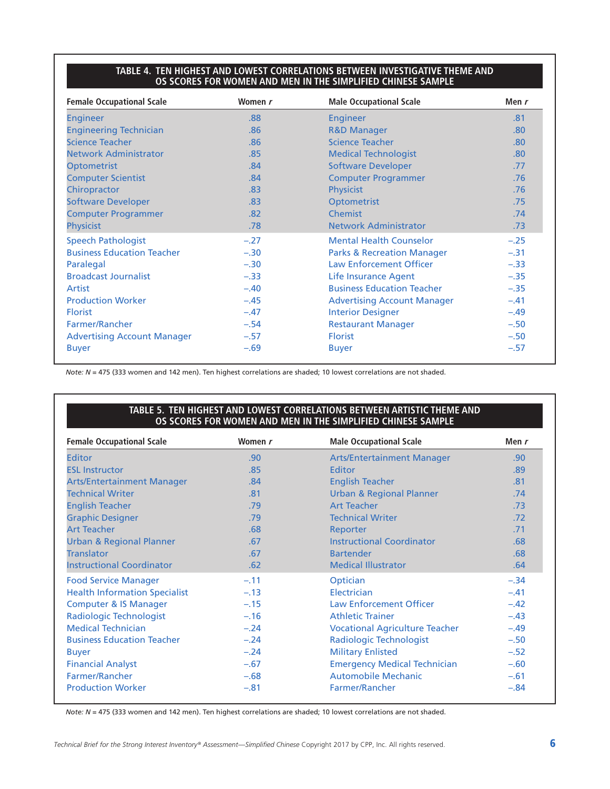#### **TABLE 4. TEN HIGHEST AND LOWEST CORRELATIONS BETWEEN INVESTIGATIVE THEME AND OS SCORES FOR WOMEN AND MEN IN THE SIMPLIFIED CHINESE SAMPLE**

| <b>Female Occupational Scale</b>   | Women r | <b>Male Occupational Scale</b>        | Men $r$ |
|------------------------------------|---------|---------------------------------------|---------|
| <b>Engineer</b>                    | .88     | <b>Engineer</b>                       | .81     |
| <b>Engineering Technician</b>      | .86     | <b>R&amp;D Manager</b>                | .80     |
| <b>Science Teacher</b>             | .86     | <b>Science Teacher</b>                | .80     |
| <b>Network Administrator</b>       | .85     | <b>Medical Technologist</b>           | .80     |
| <b>Optometrist</b>                 | .84     | <b>Software Developer</b>             | .77     |
| <b>Computer Scientist</b>          | .84     | <b>Computer Programmer</b>            | .76     |
| Chiropractor                       | .83     | <b>Physicist</b>                      | .76     |
| <b>Software Developer</b>          | .83     | <b>Optometrist</b>                    | .75     |
| <b>Computer Programmer</b>         | .82     | <b>Chemist</b>                        | .74     |
| <b>Physicist</b>                   | .78     | <b>Network Administrator</b>          | .73     |
| <b>Speech Pathologist</b>          | $-.27$  | <b>Mental Health Counselor</b>        | $-.25$  |
| <b>Business Education Teacher</b>  | $-.30$  | <b>Parks &amp; Recreation Manager</b> | $-.31$  |
| Paralegal                          | $-.30$  | <b>Law Enforcement Officer</b>        | $-.33$  |
| <b>Broadcast Journalist</b>        | $-.33$  | Life Insurance Agent                  | $-.35$  |
| Artist                             | $-.40$  | <b>Business Education Teacher</b>     | $-.35$  |
| <b>Production Worker</b>           | $-.45$  | <b>Advertising Account Manager</b>    | $-.41$  |
| <b>Florist</b>                     | $-.47$  | <b>Interior Designer</b>              | $-.49$  |
| Farmer/Rancher                     | $-.54$  | <b>Restaurant Manager</b>             | $-.50$  |
| <b>Advertising Account Manager</b> | $-.57$  | <b>Florist</b>                        | $-.50$  |
| <b>Buyer</b>                       | $-.69$  | <b>Buyer</b>                          | $-.57$  |

*Note: N* = 475 (333 women and 142 men). Ten highest correlations are shaded; 10 lowest correlations are not shaded.

#### **TABLE 5. TEN HIGHEST AND LOWEST CORRELATIONS BETWEEN ARTISTIC THEME AND OS SCORES FOR WOMEN AND MEN IN THE SIMPLIFIED CHINESE SAMPLE**

| <b>Female Occupational Scale</b>     | Women r          | <b>Male Occupational Scale</b>        | Men r  |
|--------------------------------------|------------------|---------------------------------------|--------|
| <b>Editor</b>                        | .90 <sub>1</sub> | <b>Arts/Entertainment Manager</b>     | .90    |
| <b>ESL Instructor</b>                | .85              | Editor                                | .89    |
| <b>Arts/Entertainment Manager</b>    | .84              | <b>English Teacher</b>                | .81    |
| <b>Technical Writer</b>              | .81              | <b>Urban &amp; Regional Planner</b>   | .74    |
| <b>English Teacher</b>               | .79              | <b>Art Teacher</b>                    | .73    |
| <b>Graphic Designer</b>              | .79              | <b>Technical Writer</b>               | .72    |
| <b>Art Teacher</b>                   | .68              | Reporter                              | .71    |
| <b>Urban &amp; Regional Planner</b>  | .67              | <b>Instructional Coordinator</b>      | .68    |
| <b>Translator</b>                    | .67              | <b>Bartender</b>                      | .68    |
| <b>Instructional Coordinator</b>     | .62              | <b>Medical Illustrator</b>            | .64    |
| <b>Food Service Manager</b>          | $-.11$           | Optician                              | $-.34$ |
| <b>Health Information Specialist</b> | $-.13$           | Electrician                           | $-.41$ |
| <b>Computer &amp; IS Manager</b>     | $-.15$           | <b>Law Enforcement Officer</b>        | $-.42$ |
| Radiologic Technologist              | $-.16$           | <b>Athletic Trainer</b>               | $-.43$ |
| <b>Medical Technician</b>            | $-.24$           | <b>Vocational Agriculture Teacher</b> | $-.49$ |
| <b>Business Education Teacher</b>    | $-.24$           | <b>Radiologic Technologist</b>        | $-.50$ |
| <b>Buyer</b>                         | $-.24$           | <b>Military Enlisted</b>              | $-.52$ |
| <b>Financial Analyst</b>             | $-.67$           | <b>Emergency Medical Technician</b>   | $-.60$ |
| Farmer/Rancher                       | $-.68$           | <b>Automobile Mechanic</b>            | $-.61$ |
| <b>Production Worker</b>             | $-.81$           | Farmer/Rancher                        | $-.84$ |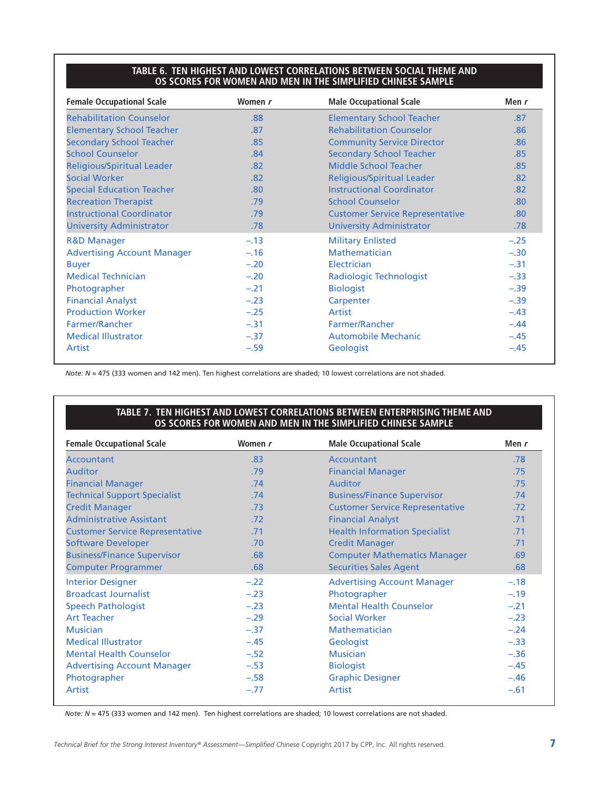#### **TABLE 6. TEN HIGHEST AND LOWEST CORRELATIONS BETWEEN SOCIAL THEME AND OS SCORES FOR WOMEN AND MEN IN THE SIMPLIFIED CHINESE SAMPLE**

| <b>Female Occupational Scale</b>   | Women r | <b>Male Occupational Scale</b>         | Men $r$ |
|------------------------------------|---------|----------------------------------------|---------|
| <b>Rehabilitation Counselor</b>    | .88     | <b>Elementary School Teacher</b>       | .87     |
| <b>Elementary School Teacher</b>   | .87     | <b>Rehabilitation Counselor</b>        | .86     |
| <b>Secondary School Teacher</b>    | .85     | <b>Community Service Director</b>      | .86     |
| <b>School Counselor</b>            | .84     | <b>Secondary School Teacher</b>        | .85     |
| <b>Religious/Spiritual Leader</b>  | .82     | <b>Middle School Teacher</b>           | .85     |
| <b>Social Worker</b>               | .82     | <b>Religious/Spiritual Leader</b>      | .82     |
| <b>Special Education Teacher</b>   | .80     | <b>Instructional Coordinator</b>       | .82     |
| <b>Recreation Therapist</b>        | .79     | <b>School Counselor</b>                | .80     |
| <b>Instructional Coordinator</b>   | .79     | <b>Customer Service Representative</b> | .80     |
| <b>University Administrator</b>    | .78     | <b>University Administrator</b>        | .78     |
| <b>R&amp;D Manager</b>             | $-.13$  | <b>Military Enlisted</b>               | $-.25$  |
| <b>Advertising Account Manager</b> | $-.16$  | Mathematician                          | $-.30$  |
| <b>Buyer</b>                       | $-.20$  | Electrician                            | $-.31$  |
| <b>Medical Technician</b>          | $-.20$  | Radiologic Technologist                | $-.33$  |
| Photographer                       | $-.21$  | <b>Biologist</b>                       | $-.39$  |
| <b>Financial Analyst</b>           | $-.23$  | Carpenter                              | $-.39$  |
| <b>Production Worker</b>           | $-.25$  | Artist                                 | $-.43$  |
| Farmer/Rancher                     | $-.31$  | Farmer/Rancher                         | $-.44$  |
| <b>Medical Illustrator</b>         | $-.37$  | <b>Automobile Mechanic</b>             | $-.45$  |
| Artist                             | $-.59$  | Geologist                              | $-.45$  |

*Note: N* = 475 (333 women and 142 men). Ten highest correlations are shaded; 10 lowest correlations are not shaded.

#### **TABLE 7. TEN HIGHEST AND LOWEST CORRELATIONS BETWEEN ENTERPRISING THEME AND OS SCORES FOR WOMEN AND MEN IN THE SIMPLIFIED CHINESE SAMPLE**

| <b>Female Occupational Scale</b>       | Women r | <b>Male Occupational Scale</b>         | Men $r$ |
|----------------------------------------|---------|----------------------------------------|---------|
| <b>Accountant</b>                      | .83     | Accountant                             | .78     |
| <b>Auditor</b>                         | .79     | <b>Financial Manager</b>               | .75     |
| <b>Financial Manager</b>               | .74     | <b>Auditor</b>                         | .75     |
| <b>Technical Support Specialist</b>    | .74     | <b>Business/Finance Supervisor</b>     | .74     |
| <b>Credit Manager</b>                  | .73     | <b>Customer Service Representative</b> | .72     |
| <b>Administrative Assistant</b>        | .72     | <b>Financial Analyst</b>               | .71     |
| <b>Customer Service Representative</b> | .71     | <b>Health Information Specialist</b>   | .71     |
| <b>Software Developer</b>              | .70     | <b>Credit Manager</b>                  | .71     |
| <b>Business/Finance Supervisor</b>     | .68     | <b>Computer Mathematics Manager</b>    | .69     |
| <b>Computer Programmer</b>             | .68     | <b>Securities Sales Agent</b>          | .68     |
| <b>Interior Designer</b>               | $-.22$  | <b>Advertising Account Manager</b>     | $-.18$  |
| <b>Broadcast Journalist</b>            | $-.23$  | Photographer                           | $-.19$  |
| <b>Speech Pathologist</b>              | $-.23$  | <b>Mental Health Counselor</b>         | $-.21$  |
| <b>Art Teacher</b>                     | $-.29$  | <b>Social Worker</b>                   | $-.23$  |
| <b>Musician</b>                        | $-.37$  | Mathematician                          | $-.24$  |
| <b>Medical Illustrator</b>             | $-.45$  | Geologist                              | $-.33$  |
| <b>Mental Health Counselor</b>         | $-.52$  | <b>Musician</b>                        | $-.36$  |
| <b>Advertising Account Manager</b>     | $-.53$  | <b>Biologist</b>                       | $-.45$  |
| Photographer                           | $-.58$  | <b>Graphic Designer</b>                | $-.46$  |
| Artist                                 | $-.77$  | Artist                                 | $-.61$  |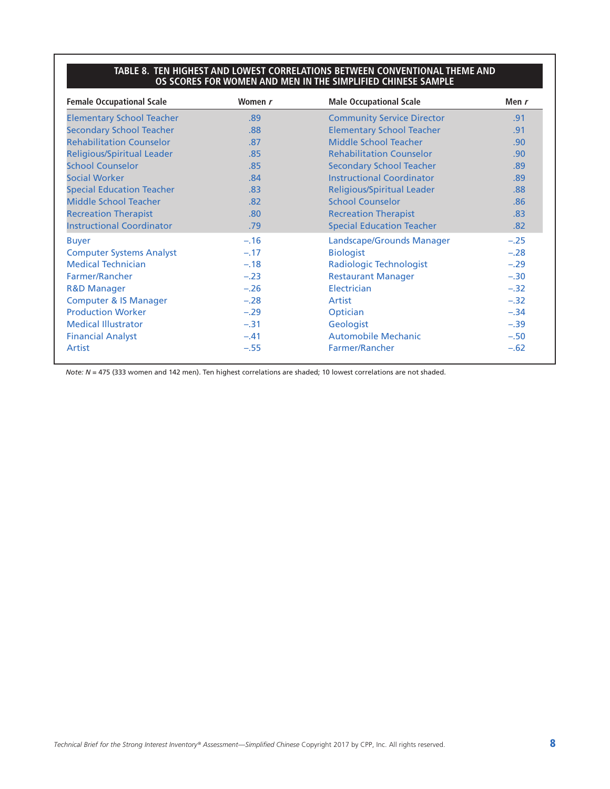#### **TABLE 8. TEN HIGHEST AND LOWEST CORRELATIONS BETWEEN CONVENTIONAL THEME AND OS SCORES FOR WOMEN AND MEN IN THE SIMPLIFIED CHINESE SAMPLE**

| <b>Female Occupational Scale</b>  | Women r | <b>Male Occupational Scale</b>    | Men $r$ |
|-----------------------------------|---------|-----------------------------------|---------|
| <b>Elementary School Teacher</b>  | .89     | <b>Community Service Director</b> | .91     |
| <b>Secondary School Teacher</b>   | .88     | <b>Elementary School Teacher</b>  | .91     |
| <b>Rehabilitation Counselor</b>   | .87     | Middle School Teacher             | .90     |
| <b>Religious/Spiritual Leader</b> | .85     | <b>Rehabilitation Counselor</b>   | .90     |
| <b>School Counselor</b>           | .85     | <b>Secondary School Teacher</b>   | .89     |
| <b>Social Worker</b>              | .84     | <b>Instructional Coordinator</b>  | .89     |
| <b>Special Education Teacher</b>  | .83     | <b>Religious/Spiritual Leader</b> | .88     |
| Middle School Teacher             | .82     | <b>School Counselor</b>           | .86     |
| <b>Recreation Therapist</b>       | .80     | <b>Recreation Therapist</b>       | .83     |
| <b>Instructional Coordinator</b>  | .79     | <b>Special Education Teacher</b>  | .82     |
| <b>Buyer</b>                      | $-.16$  | Landscape/Grounds Manager         | $-.25$  |
| <b>Computer Systems Analyst</b>   | $-.17$  | <b>Biologist</b>                  | $-.28$  |
| <b>Medical Technician</b>         | $-.18$  | <b>Radiologic Technologist</b>    | $-.29$  |
| Farmer/Rancher                    | $-.23$  | <b>Restaurant Manager</b>         | $-.30$  |
| <b>R&amp;D Manager</b>            | $-.26$  | Electrician                       | $-.32$  |
| <b>Computer &amp; IS Manager</b>  | $-.28$  | Artist                            | $-.32$  |
| <b>Production Worker</b>          | $-.29$  | Optician                          | $-.34$  |
| <b>Medical Illustrator</b>        | $-.31$  | Geologist                         | $-.39$  |
| <b>Financial Analyst</b>          | $-.41$  | <b>Automobile Mechanic</b>        | $-.50$  |
| Artist                            | $-.55$  | Farmer/Rancher                    | $-.62$  |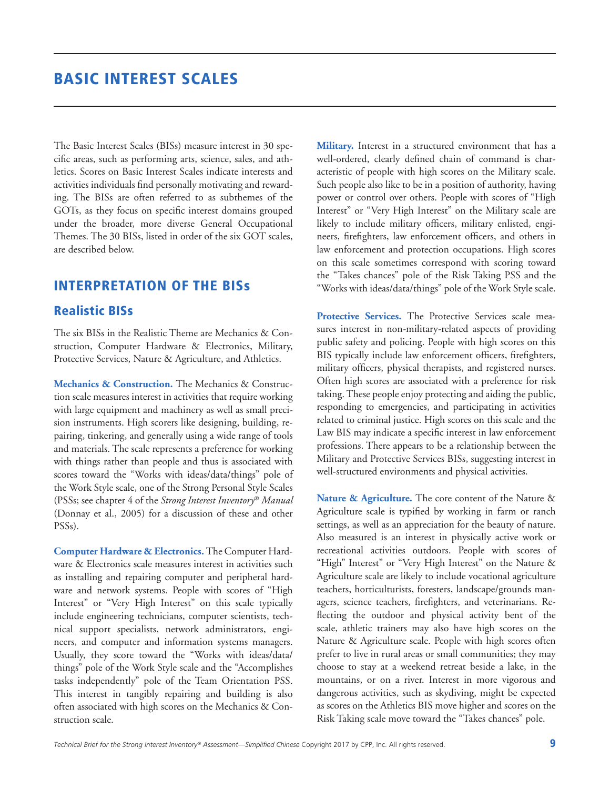# BASIC INTEREST SCALES

The Basic Interest Scales (BISs) measure interest in 30 specific areas, such as performing arts, science, sales, and athletics. Scores on Basic Interest Scales indicate interests and activities individuals find personally motivating and rewarding. The BISs are often referred to as subthemes of the GOTs, as they focus on specific interest domains grouped under the broader, more diverse General Occupational Themes. The 30 BISs, listed in order of the six GOT scales, are described below.

### INTERPRETATION OF THE BISs

#### Realistic BISs

The six BISs in the Realistic Theme are Mechanics & Construction, Computer Hardware & Electronics, Military, Protective Services, Nature & Agriculture, and Athletics.

**Mechanics & Construction.** The Mechanics & Construction scale measures interest in activities that require working with large equipment and machinery as well as small precision instruments. High scorers like designing, building, repairing, tinkering, and generally using a wide range of tools and materials. The scale represents a preference for working with things rather than people and thus is associated with scores toward the "Works with ideas/data/things" pole of the Work Style scale, one of the Strong Personal Style Scales (PSSs; see chapter 4 of the *Strong Interest Inventory*® *Manual* (Donnay et al., 2005) for a discussion of these and other PSSs).

**Computer Hardware & Electronics.** The Computer Hardware & Electronics scale measures interest in activities such as installing and repairing computer and peripheral hardware and network systems. People with scores of "High Interest" or "Very High Interest" on this scale typically include engineering technicians, computer scientists, technical support specialists, network administrators, engineers, and computer and information systems managers. Usually, they score toward the "Works with ideas/data/ things" pole of the Work Style scale and the "Accomplishes tasks independently" pole of the Team Orientation PSS. This interest in tangibly repairing and building is also often associated with high scores on the Mechanics & Construction scale.

**Military.** Interest in a structured environment that has a well-ordered, clearly defined chain of command is characteristic of people with high scores on the Military scale. Such people also like to be in a position of authority, having power or control over others. People with scores of "High Interest" or "Very High Interest" on the Military scale are likely to include military officers, military enlisted, engineers, firefighters, law enforcement officers, and others in law enforcement and protection occupations. High scores on this scale sometimes correspond with scoring toward the "Takes chances" pole of the Risk Taking PSS and the "Works with ideas/data/things" pole of the Work Style scale.

**Protective Services.** The Protective Services scale measures interest in non-military-related aspects of providing public safety and policing. People with high scores on this BIS typically include law enforcement officers, firefighters, military officers, physical therapists, and registered nurses. Often high scores are associated with a preference for risk taking. These people enjoy protecting and aiding the public, responding to emergencies, and participating in activities related to criminal justice. High scores on this scale and the Law BIS may indicate a specific interest in law enforcement professions. There appears to be a relationship between the Military and Protective Services BISs, suggesting interest in well-structured environments and physical activities.

Nature & Agriculture. The core content of the Nature & Agriculture scale is typified by working in farm or ranch settings, as well as an appreciation for the beauty of nature. Also measured is an interest in physically active work or recreational activities outdoors. People with scores of "High" Interest" or "Very High Interest" on the Nature & Agriculture scale are likely to include vocational agriculture teachers, horticulturists, foresters, landscape/grounds managers, science teachers, firefighters, and veterinarians. Reflecting the outdoor and physical activity bent of the scale, athletic trainers may also have high scores on the Nature & Agriculture scale. People with high scores often prefer to live in rural areas or small communities; they may choose to stay at a weekend retreat beside a lake, in the mountains, or on a river. Interest in more vigorous and dangerous activities, such as skydiving, might be expected as scores on the Athletics BIS move higher and scores on the Risk Taking scale move toward the "Takes chances" pole.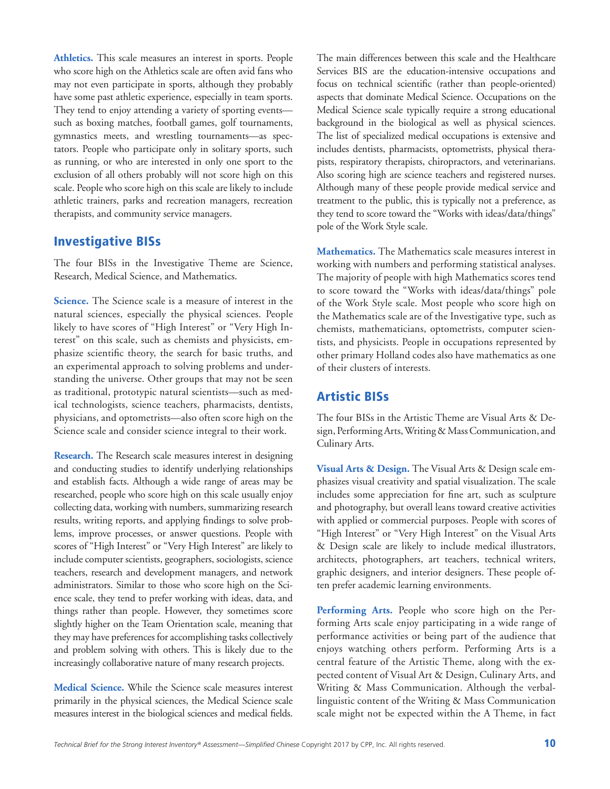**Athletics.** This scale measures an interest in sports. People who score high on the Athletics scale are often avid fans who may not even participate in sports, although they probably have some past athletic experience, especially in team sports. They tend to enjoy attending a variety of sporting events such as boxing matches, football games, golf tournaments, gymnastics meets, and wrestling tournaments—as spectators. People who participate only in solitary sports, such as running, or who are interested in only one sport to the exclusion of all others probably will not score high on this scale. People who score high on this scale are likely to include athletic trainers, parks and recreation managers, recreation therapists, and community service managers.

#### Investigative BISs

The four BISs in the Investigative Theme are Science, Research, Medical Science, and Mathematics.

**Science.** The Science scale is a measure of interest in the natural sciences, especially the physical sciences. People likely to have scores of "High Interest" or "Very High Interest" on this scale, such as chemists and physicists, emphasize scientific theory, the search for basic truths, and an experimental approach to solving problems and understanding the universe. Other groups that may not be seen as traditional, prototypic natural scientists—such as medical technologists, science teachers, pharmacists, dentists, physicians, and optometrists—also often score high on the Science scale and consider science integral to their work.

**Research.** The Research scale measures interest in designing and conducting studies to identify underlying relationships and establish facts. Although a wide range of areas may be researched, people who score high on this scale usually enjoy collecting data, working with numbers, summarizing research results, writing reports, and applying findings to solve problems, improve processes, or answer questions. People with scores of "High Interest" or "Very High Interest" are likely to include computer scientists, geographers, sociologists, science teachers, research and development managers, and network administrators. Similar to those who score high on the Science scale, they tend to prefer working with ideas, data, and things rather than people. However, they sometimes score slightly higher on the Team Orientation scale, meaning that they may have preferences for accomplishing tasks collectively and problem solving with others. This is likely due to the increasingly collaborative nature of many research projects.

**Medical Science.** While the Science scale measures interest primarily in the physical sciences, the Medical Science scale measures interest in the biological sciences and medical fields.

The main differences between this scale and the Healthcare Services BIS are the education-intensive occupations and focus on technical scientific (rather than people-oriented) aspects that dominate Medical Science. Occupations on the Medical Science scale typically require a strong educational background in the biological as well as physical sciences. The list of specialized medical occupations is extensive and includes dentists, pharmacists, optometrists, physical therapists, respiratory therapists, chiropractors, and veterinarians. Also scoring high are science teachers and registered nurses. Although many of these people provide medical service and treatment to the public, this is typically not a preference, as they tend to score toward the "Works with ideas/data/things" pole of the Work Style scale.

**Mathematics.** The Mathematics scale measures interest in working with numbers and performing statistical analyses. The majority of people with high Mathematics scores tend to score toward the "Works with ideas/data/things" pole of the Work Style scale. Most people who score high on the Mathematics scale are of the Investigative type, such as chemists, mathematicians, optometrists, computer scientists, and physicists. People in occupations represented by other primary Holland codes also have mathematics as one of their clusters of interests.

### Artistic BISs

The four BISs in the Artistic Theme are Visual Arts & Design, Performing Arts, Writing & Mass Communication, and Culinary Arts.

**Visual Arts & Design.** The Visual Arts & Design scale emphasizes visual creativity and spatial visualization. The scale includes some appreciation for fine art, such as sculpture and photography, but overall leans toward creative activities with applied or commercial purposes. People with scores of "High Interest" or "Very High Interest" on the Visual Arts & Design scale are likely to include medical illustrators, architects, photographers, art teachers, technical writers, graphic designers, and interior designers. These people often prefer academic learning environments.

**Performing Arts.** People who score high on the Performing Arts scale enjoy participating in a wide range of performance activities or being part of the audience that enjoys watching others perform. Performing Arts is a central feature of the Artistic Theme, along with the expected content of Visual Art & Design, Culinary Arts, and Writing & Mass Communication. Although the verballinguistic content of the Writing & Mass Communication scale might not be expected within the A Theme, in fact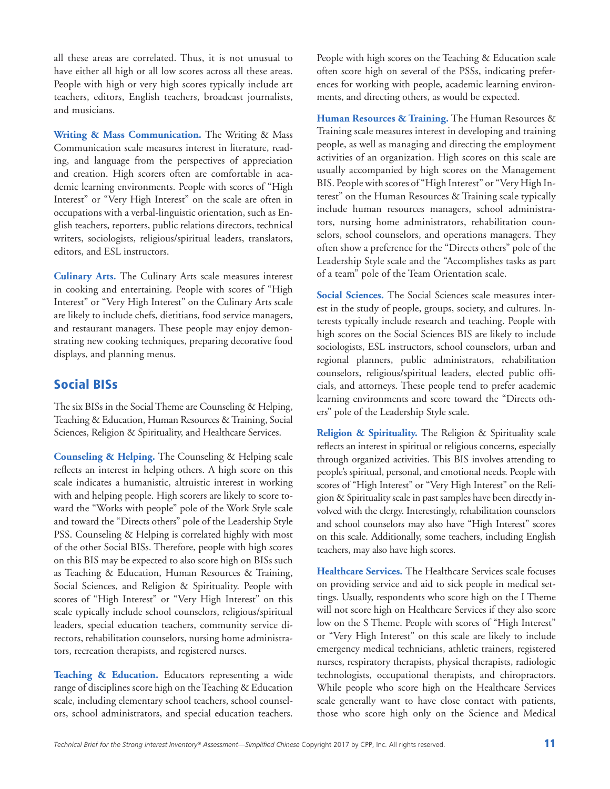all these areas are correlated. Thus, it is not unusual to have either all high or all low scores across all these areas. People with high or very high scores typically include art teachers, editors, English teachers, broadcast journalists, and musicians.

**Writing & Mass Communication.** The Writing & Mass Communication scale measures interest in literature, reading, and language from the perspectives of appreciation and creation. High scorers often are comfortable in academic learning environments. People with scores of "High Interest" or "Very High Interest" on the scale are often in occupations with a verbal-linguistic orientation, such as English teachers, reporters, public relations directors, technical writers, sociologists, religious/spiritual leaders, translators, editors, and ESL instructors.

**Culinary Arts.** The Culinary Arts scale measures interest in cooking and entertaining. People with scores of "High Interest" or "Very High Interest" on the Culinary Arts scale are likely to include chefs, dietitians, food service managers, and restaurant managers. These people may enjoy demonstrating new cooking techniques, preparing decorative food displays, and planning menus.

## Social BISs

The six BISs in the Social Theme are Counseling & Helping, Teaching & Education, Human Resources & Training, Social Sciences, Religion & Spirituality, and Healthcare Services.

**Counseling & Helping.** The Counseling & Helping scale reflects an interest in helping others. A high score on this scale indicates a humanistic, altruistic interest in working with and helping people. High scorers are likely to score toward the "Works with people" pole of the Work Style scale and toward the "Directs others" pole of the Leadership Style PSS. Counseling & Helping is correlated highly with most of the other Social BISs. Therefore, people with high scores on this BIS may be expected to also score high on BISs such as Teaching & Education, Human Resources & Training, Social Sciences, and Religion & Spirituality. People with scores of "High Interest" or "Very High Interest" on this scale typically include school counselors, religious/spiritual leaders, special education teachers, community service directors, rehabilitation counselors, nursing home administrators, recreation therapists, and registered nurses.

**Teaching & Education.** Educators representing a wide range of disciplines score high on the Teaching & Education scale, including elementary school teachers, school counselors, school administrators, and special education teachers. People with high scores on the Teaching & Education scale often score high on several of the PSSs, indicating preferences for working with people, academic learning environments, and directing others, as would be expected.

**Human Resources & Training.** The Human Resources & Training scale measures interest in developing and training people, as well as managing and directing the employment activities of an organization. High scores on this scale are usually accompanied by high scores on the Management BIS. People with scores of "High Interest" or "Very High Interest" on the Human Resources & Training scale typically include human resources managers, school administrators, nursing home administrators, rehabilitation counselors, school counselors, and operations managers. They often show a preference for the "Directs others" pole of the Leadership Style scale and the "Accomplishes tasks as part of a team" pole of the Team Orientation scale.

**Social Sciences.** The Social Sciences scale measures interest in the study of people, groups, society, and cultures. Interests typically include research and teaching. People with high scores on the Social Sciences BIS are likely to include sociologists, ESL instructors, school counselors, urban and regional planners, public administrators, rehabilitation counselors, religious/spiritual leaders, elected public officials, and attorneys. These people tend to prefer academic learning environments and score toward the "Directs others" pole of the Leadership Style scale.

**Religion & Spirituality.** The Religion & Spirituality scale reflects an interest in spiritual or religious concerns, especially through organized activities. This BIS involves attending to people's spiritual, personal, and emotional needs. People with scores of "High Interest" or "Very High Interest" on the Religion & Spirituality scale in past samples have been directly involved with the clergy. Interestingly, rehabilitation counselors and school counselors may also have "High Interest" scores on this scale. Additionally, some teachers, including English teachers, may also have high scores.

**Healthcare Services.** The Healthcare Services scale focuses on providing service and aid to sick people in medical settings. Usually, respondents who score high on the I Theme will not score high on Healthcare Services if they also score low on the S Theme. People with scores of "High Interest" or "Very High Interest" on this scale are likely to include emergency medical technicians, athletic trainers, registered nurses, respiratory therapists, physical therapists, radiologic technologists, occupational therapists, and chiropractors. While people who score high on the Healthcare Services scale generally want to have close contact with patients, those who score high only on the Science and Medical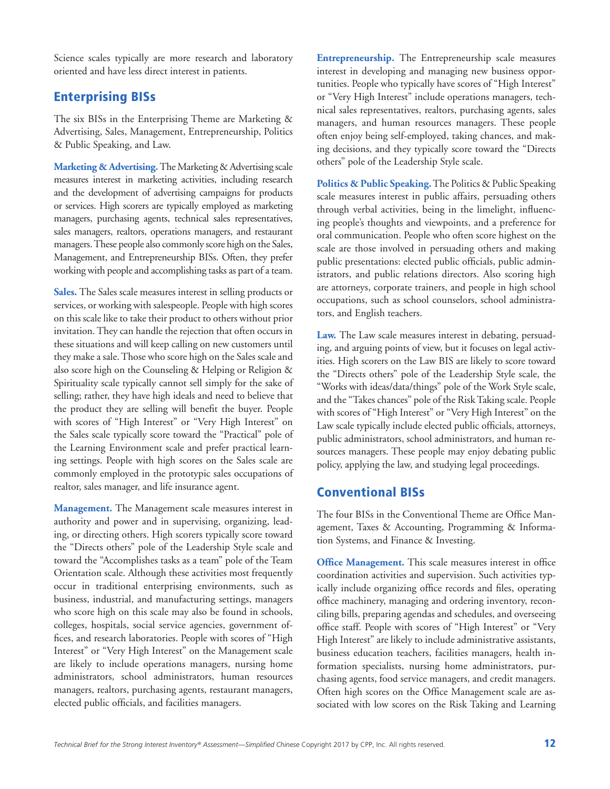Science scales typically are more research and laboratory oriented and have less direct interest in patients.

# Enterprising BISs

The six BISs in the Enterprising Theme are Marketing & Advertising, Sales, Management, Entrepreneurship, Politics & Public Speaking, and Law.

**Marketing & Advertising.** The Marketing & Advertising scale measures interest in marketing activities, including research and the development of advertising campaigns for products or services. High scorers are typically employed as marketing managers, purchasing agents, technical sales representatives, sales managers, realtors, operations managers, and restaurant managers. These people also commonly score high on the Sales, Management, and Entrepreneurship BISs. Often, they prefer working with people and accomplishing tasks as part of a team.

**Sales.** The Sales scale measures interest in selling products or services, or working with salespeople. People with high scores on this scale like to take their product to others without prior invitation. They can handle the rejection that often occurs in these situations and will keep calling on new customers until they make a sale. Those who score high on the Sales scale and also score high on the Counseling & Helping or Religion & Spirituality scale typically cannot sell simply for the sake of selling; rather, they have high ideals and need to believe that the product they are selling will benefit the buyer. People with scores of "High Interest" or "Very High Interest" on the Sales scale typically score toward the "Practical" pole of the Learning Environment scale and prefer practical learning settings. People with high scores on the Sales scale are commonly employed in the prototypic sales occupations of realtor, sales manager, and life insurance agent.

**Management.** The Management scale measures interest in authority and power and in supervising, organizing, leading, or directing others. High scorers typically score toward the "Directs others" pole of the Leadership Style scale and toward the "Accomplishes tasks as a team" pole of the Team Orientation scale. Although these activities most frequently occur in traditional enterprising environments, such as business, industrial, and manufacturing settings, managers who score high on this scale may also be found in schools, colleges, hospitals, social service agencies, government offices, and research laboratories. People with scores of "High Interest" or "Very High Interest" on the Management scale are likely to include operations managers, nursing home administrators, school administrators, human resources managers, realtors, purchasing agents, restaurant managers, elected public officials, and facilities managers.

**Entrepreneurship.** The Entrepreneurship scale measures interest in developing and managing new business opportunities. People who typically have scores of "High Interest" or "Very High Interest" include operations managers, technical sales representatives, realtors, purchasing agents, sales managers, and human resources managers. These people often enjoy being self-employed, taking chances, and making decisions, and they typically score toward the "Directs others" pole of the Leadership Style scale.

**Politics & Public Speaking.** The Politics & Public Speaking scale measures interest in public affairs, persuading others through verbal activities, being in the limelight, influencing people's thoughts and viewpoints, and a preference for oral communication. People who often score highest on the scale are those involved in persuading others and making public presentations: elected public officials, public administrators, and public relations directors. Also scoring high are attorneys, corporate trainers, and people in high school occupations, such as school counselors, school administrators, and English teachers.

**Law.** The Law scale measures interest in debating, persuading, and arguing points of view, but it focuses on legal activities. High scorers on the Law BIS are likely to score toward the "Directs others" pole of the Leadership Style scale, the "Works with ideas/data/things" pole of the Work Style scale, and the "Takes chances" pole of the Risk Taking scale. People with scores of "High Interest" or "Very High Interest" on the Law scale typically include elected public officials, attorneys, public administrators, school administrators, and human resources managers. These people may enjoy debating public policy, applying the law, and studying legal proceedings.

#### Conventional BISs

The four BISs in the Conventional Theme are Office Management, Taxes & Accounting, Programming & Information Systems, and Finance & Investing.

**Office Management.** This scale measures interest in office coordination activities and supervision. Such activities typically include organizing office records and files, operating office machinery, managing and ordering inventory, reconciling bills, preparing agendas and schedules, and overseeing office staff. People with scores of "High Interest" or "Very High Interest" are likely to include administrative assistants, business education teachers, facilities managers, health information specialists, nursing home administrators, purchasing agents, food service managers, and credit managers. Often high scores on the Office Management scale are associated with low scores on the Risk Taking and Learning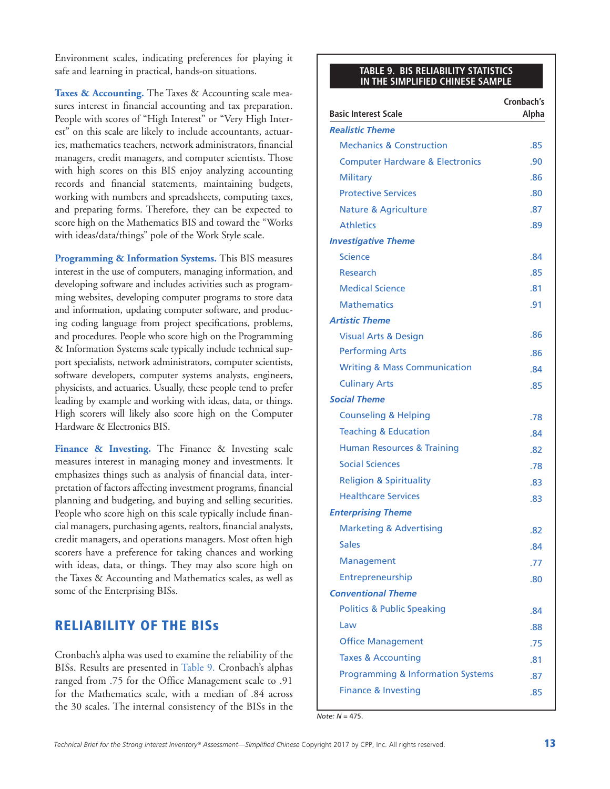Environment scales, indicating preferences for playing it safe and learning in practical, hands-on situations.

Taxes & Accounting. The Taxes & Accounting scale measures interest in financial accounting and tax preparation. People with scores of "High Interest" or "Very High Interest" on this scale are likely to include accountants, actuaries, mathematics teachers, network administrators, financial managers, credit managers, and computer scientists. Those with high scores on this BIS enjoy analyzing accounting records and financial statements, maintaining budgets, working with numbers and spreadsheets, computing taxes, and preparing forms. Therefore, they can be expected to score high on the Mathematics BIS and toward the "Works with ideas/data/things" pole of the Work Style scale.

**Programming & Information Systems.** This BIS measures interest in the use of computers, managing information, and developing software and includes activities such as programming websites, developing computer programs to store data and information, updating computer software, and producing coding language from project specifications, problems, and procedures. People who score high on the Programming & Information Systems scale typically include technical support specialists, network administrators, computer scientists, software developers, computer systems analysts, engineers, physicists, and actuaries. Usually, these people tend to prefer leading by example and working with ideas, data, or things. High scorers will likely also score high on the Computer Hardware & Electronics BIS.

Finance & Investing. The Finance & Investing scale measures interest in managing money and investments. It emphasizes things such as analysis of financial data, interpretation of factors affecting investment programs, financial planning and budgeting, and buying and selling securities. People who score high on this scale typically include financial managers, purchasing agents, realtors, financial analysts, credit managers, and operations managers. Most often high scorers have a preference for taking chances and working with ideas, data, or things. They may also score high on the Taxes & Accounting and Mathematics scales, as well as some of the Enterprising BISs.

### RELIABILITY OF THE BISs

Cronbach's alpha was used to examine the reliability of the BISs. Results are presented in Table 9. Cronbach's alphas ranged from .75 for the Office Management scale to .91 for the Mathematics scale, with a median of .84 across the 30 scales. The internal consistency of the BISs in the

#### **TABLE 9. BIS RELIABILITY STATISTICS IN THE SIMPLIFIED CHINESE SAMPLE**

|                                              | Cronbach's |
|----------------------------------------------|------------|
| <b>Basic Interest Scale</b>                  | Alpha      |
| <b>Realistic Theme</b>                       |            |
| <b>Mechanics &amp; Construction</b>          | .85        |
| <b>Computer Hardware &amp; Electronics</b>   | .90        |
| <b>Military</b>                              | .86        |
| <b>Protective Services</b>                   | .80        |
| <b>Nature &amp; Agriculture</b>              | .87        |
| <b>Athletics</b>                             | .89        |
| <b>Investigative Theme</b>                   |            |
| <b>Science</b>                               | .84        |
| Research                                     | .85        |
| <b>Medical Science</b>                       | .81        |
| <b>Mathematics</b>                           | .91        |
| <b>Artistic Theme</b>                        |            |
| <b>Visual Arts &amp; Design</b>              | .86        |
| <b>Performing Arts</b>                       | .86        |
| <b>Writing &amp; Mass Communication</b>      | .84        |
| <b>Culinary Arts</b>                         | .85        |
| <b>Social Theme</b>                          |            |
| <b>Counseling &amp; Helping</b>              | .78        |
| <b>Teaching &amp; Education</b>              | .84        |
| <b>Human Resources &amp; Training</b>        | .82        |
| <b>Social Sciences</b>                       | .78        |
| <b>Religion &amp; Spirituality</b>           | .83        |
| <b>Healthcare Services</b>                   | .83        |
| <b>Enterprising Theme</b>                    |            |
| <b>Marketing &amp; Advertising</b>           | .82        |
| <b>Sales</b>                                 | .84        |
| Management                                   | .77        |
| Entrepreneurship                             | .80        |
| <b>Conventional Theme</b>                    |            |
| <b>Politics &amp; Public Speaking</b>        | .84        |
| Law                                          | .88        |
| <b>Office Management</b>                     | .75        |
| <b>Taxes &amp; Accounting</b>                | .81        |
| <b>Programming &amp; Information Systems</b> | .87        |
| <b>Finance &amp; Investing</b>               | .85        |

*Note: N* = 475.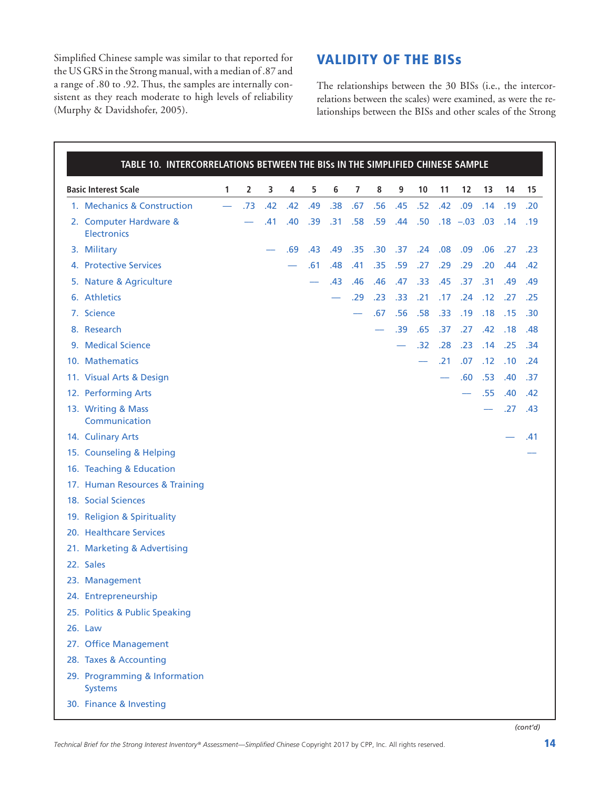Simplified Chinese sample was similar to that reported for the US GRS in the Strong manual, with a median of .87 and a range of .80 to .92. Thus, the samples are internally consistent as they reach moderate to high levels of reliability (Murphy & Davidshofer, 2005).

# VALIDITY OF THE BISs

The relationships between the 30 BISs (i.e., the intercorrelations between the scales) were examined, as were the relationships between the BISs and other scales of the Strong

| TABLE 10. INTERCORRELATIONS BETWEEN THE BISs IN THE SIMPLIFIED CHINESE SAMPLE |                          |     |     |     |     |     |     |     |     |     |     |             |     |     |     |
|-------------------------------------------------------------------------------|--------------------------|-----|-----|-----|-----|-----|-----|-----|-----|-----|-----|-------------|-----|-----|-----|
| <b>Basic Interest Scale</b>                                                   | 1                        | 2   | 3   | 4   | 5   | 6   | 7   | 8   | 9   | 10  | 11  | 12          | 13  | 14  | 15  |
| 1. Mechanics & Construction                                                   | $\overline{\phantom{0}}$ | .73 | .42 | .42 | .49 | .38 | .67 | .56 | .45 | .52 | .42 | .09         | .14 | .19 | .20 |
| 2. Computer Hardware &<br><b>Electronics</b>                                  |                          |     | .41 | .40 | .39 | .31 | .58 | .59 | .44 | .50 |     | $.18 - .03$ | .03 | .14 | .19 |
| 3. Military                                                                   |                          |     |     | .69 | .43 | .49 | .35 | .30 | .37 | .24 | .08 | .09         | .06 | .27 | .23 |
| 4. Protective Services                                                        |                          |     |     |     | .61 | .48 | .41 | .35 | .59 | .27 | .29 | .29         | .20 | .44 | .42 |
| <b>Nature &amp; Agriculture</b><br>5.                                         |                          |     |     |     |     | .43 | .46 | .46 | .47 | .33 | .45 | .37         | .31 | .49 | .49 |
| 6. Athletics                                                                  |                          |     |     |     |     |     | .29 | .23 | .33 | .21 | .17 | .24         | .12 | .27 | .25 |
| 7. Science                                                                    |                          |     |     |     |     |     |     | .67 | .56 | .58 | .33 | .19         | .18 | .15 | .30 |
| 8. Research                                                                   |                          |     |     |     |     |     |     |     | .39 | .65 | .37 | .27         | .42 | .18 | .48 |
| 9. Medical Science                                                            |                          |     |     |     |     |     |     |     |     | .32 | .28 | .23         | .14 | .25 | .34 |
| 10. Mathematics                                                               |                          |     |     |     |     |     |     |     |     |     | .21 | .07         | .12 | .10 | .24 |
| 11. Visual Arts & Design                                                      |                          |     |     |     |     |     |     |     |     |     |     | .60         | .53 | .40 | .37 |
| 12. Performing Arts                                                           |                          |     |     |     |     |     |     |     |     |     |     |             | .55 | .40 | .42 |
| 13. Writing & Mass<br>Communication                                           |                          |     |     |     |     |     |     |     |     |     |     |             |     | .27 | .43 |
| 14. Culinary Arts                                                             |                          |     |     |     |     |     |     |     |     |     |     |             |     |     | .41 |
| 15. Counseling & Helping                                                      |                          |     |     |     |     |     |     |     |     |     |     |             |     |     |     |
| 16. Teaching & Education                                                      |                          |     |     |     |     |     |     |     |     |     |     |             |     |     |     |
| 17. Human Resources & Training                                                |                          |     |     |     |     |     |     |     |     |     |     |             |     |     |     |
| 18. Social Sciences                                                           |                          |     |     |     |     |     |     |     |     |     |     |             |     |     |     |
| 19. Religion & Spirituality                                                   |                          |     |     |     |     |     |     |     |     |     |     |             |     |     |     |
| 20. Healthcare Services                                                       |                          |     |     |     |     |     |     |     |     |     |     |             |     |     |     |
| 21. Marketing & Advertising                                                   |                          |     |     |     |     |     |     |     |     |     |     |             |     |     |     |
| 22. Sales                                                                     |                          |     |     |     |     |     |     |     |     |     |     |             |     |     |     |
| 23. Management                                                                |                          |     |     |     |     |     |     |     |     |     |     |             |     |     |     |
| 24. Entrepreneurship                                                          |                          |     |     |     |     |     |     |     |     |     |     |             |     |     |     |
| 25. Politics & Public Speaking                                                |                          |     |     |     |     |     |     |     |     |     |     |             |     |     |     |
| 26. Law                                                                       |                          |     |     |     |     |     |     |     |     |     |     |             |     |     |     |
| 27. Office Management                                                         |                          |     |     |     |     |     |     |     |     |     |     |             |     |     |     |
| 28. Taxes & Accounting                                                        |                          |     |     |     |     |     |     |     |     |     |     |             |     |     |     |
| 29. Programming & Information<br><b>Systems</b>                               |                          |     |     |     |     |     |     |     |     |     |     |             |     |     |     |
| 30. Finance & Investing                                                       |                          |     |     |     |     |     |     |     |     |     |     |             |     |     |     |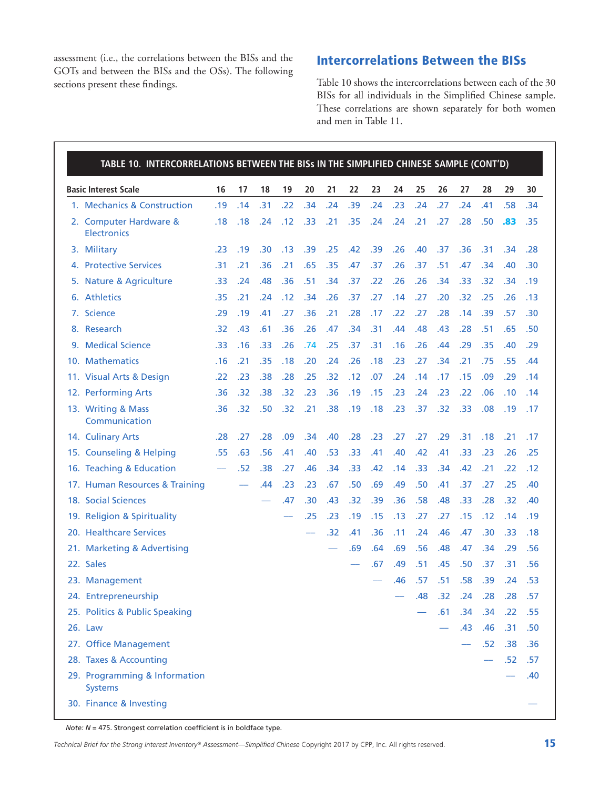assessment (i.e., the correlations between the BISs and the GOTs and between the BISs and the OSs). The following sections present these findings.

# Intercorrelations Between the BISs

Table 10 shows the intercorrelations between each of the 30 BISs for all individuals in the Simplified Chinese sample. These correlations are shown separately for both women and men in Table 11.

| <b>Basic Interest Scale</b>                     | 16  | 17  | 18  | 19  | 20  | 21  | 22  | 23  | 24  | 25  | 26  | 27  | 28  | 29        | 30  |
|-------------------------------------------------|-----|-----|-----|-----|-----|-----|-----|-----|-----|-----|-----|-----|-----|-----------|-----|
| 1. Mechanics & Construction                     | .19 | .14 | .31 | .22 | .34 | .24 | .39 | .24 | .23 | .24 | .27 | .24 | .41 | .58       | .34 |
| 2. Computer Hardware &<br><b>Electronics</b>    | .18 | .18 | .24 | .12 | .33 | .21 | .35 | .24 | .24 | .21 | .27 | .28 | .50 | .83       | .35 |
| 3. Military                                     | .23 | .19 | .30 | .13 | .39 | .25 | .42 | .39 | .26 | .40 | .37 | .36 | .31 | .34       | .28 |
| 4. Protective Services                          | .31 | .21 | .36 | .21 | .65 | .35 | .47 | .37 | .26 | .37 | .51 | .47 | .34 | .40       | .30 |
| 5. Nature & Agriculture                         | .33 | .24 | .48 | .36 | .51 | .34 | .37 | .22 | .26 | .26 | .34 | .33 | .32 | .34       | .19 |
| 6. Athletics                                    | .35 | .21 | .24 | .12 | .34 | .26 | .37 | .27 | .14 | .27 | .20 | .32 | .25 | .26       | .13 |
| 7. Science                                      | .29 | .19 | .41 | .27 | .36 | .21 | .28 | .17 | .22 | .27 | .28 | .14 | .39 | .57       | .30 |
| 8. Research                                     | .32 | .43 | .61 | .36 | .26 | .47 | .34 | .31 | .44 | .48 | .43 | .28 | .51 | .65       | .50 |
| 9. Medical Science                              | .33 | .16 | .33 | .26 | .74 | .25 | .37 | .31 | .16 | .26 | .44 | .29 | .35 | .40       | .29 |
| 10. Mathematics                                 | .16 | .21 | .35 | .18 | .20 | .24 | .26 | .18 | .23 | .27 | .34 | .21 | .75 | .55       | .44 |
| 11. Visual Arts & Design                        | .22 | .23 | .38 | .28 | .25 | .32 | .12 | .07 | .24 | .14 | .17 | .15 | .09 | .29       | .14 |
| 12. Performing Arts                             | .36 | .32 | .38 | .32 | .23 | .36 | .19 | .15 | .23 | .24 | .23 | .22 | .06 | .10       | .14 |
| 13. Writing & Mass<br>Communication             | .36 | .32 | .50 | .32 | .21 | .38 | .19 | .18 | .23 | .37 | .32 | .33 | .08 | .19       | .17 |
| 14. Culinary Arts                               | .28 | .27 | .28 | .09 | .34 | .40 | .28 | .23 | .27 | .27 | .29 | .31 | .18 | .21       | .17 |
| 15. Counseling & Helping                        | .55 | .63 | .56 | .41 | .40 | .53 | .33 | .41 | .40 | .42 | .41 | .33 | .23 | .26       | .25 |
| 16. Teaching & Education                        |     | .52 | .38 | .27 | .46 | .34 | .33 | .42 | .14 | .33 | .34 | .42 | .21 | .22       | .12 |
| 17. Human Resources & Training                  |     |     | .44 | .23 | .23 | .67 | .50 | .69 | .49 | .50 | .41 | .37 | .27 | .25       | .40 |
| 18. Social Sciences                             |     |     |     | .47 | .30 | .43 | .32 | .39 | .36 | .58 | .48 | .33 | .28 | .32       | .40 |
| 19. Religion & Spirituality                     |     |     |     |     | .25 | .23 | .19 | .15 | .13 | .27 | .27 | .15 | .12 | .14       | .19 |
| 20. Healthcare Services                         |     |     |     |     |     | .32 | .41 | .36 | .11 | .24 | .46 | .47 | .30 | .33       | .18 |
| 21. Marketing & Advertising                     |     |     |     |     |     |     | .69 | .64 | .69 | .56 | .48 | .47 | .34 | .29       | .56 |
| 22. Sales                                       |     |     |     |     |     |     |     | .67 | .49 | .51 | .45 | .50 | .37 | .31       | .56 |
| 23. Management                                  |     |     |     |     |     |     |     |     | .46 | .57 | .51 | .58 | .39 | .24       | .53 |
| 24. Entrepreneurship                            |     |     |     |     |     |     |     |     |     | .48 | .32 | .24 | .28 | .28       | .57 |
| 25. Politics & Public Speaking                  |     |     |     |     |     |     |     |     |     |     | .61 | .34 | .34 | .22       | .55 |
| 26. Law                                         |     |     |     |     |     |     |     |     |     |     |     | .43 | .46 | .31       | .50 |
| 27. Office Management                           |     |     |     |     |     |     |     |     |     |     |     |     | .52 | .38       | .36 |
| 28. Taxes & Accounting                          |     |     |     |     |     |     |     |     |     |     |     |     |     | $.52$ .57 |     |
| 29. Programming & Information<br><b>Systems</b> |     |     |     |     |     |     |     |     |     |     |     |     |     |           | .40 |
| 30. Finance & Investing                         |     |     |     |     |     |     |     |     |     |     |     |     |     |           |     |

*Note: N* = 475. Strongest correlation coefficient is in boldface type.

*Technical Brief for the Strong Interest Inventory® Assessment—Simplified Chinese Copyright 2017 by CPP, Inc. All rights reserved.*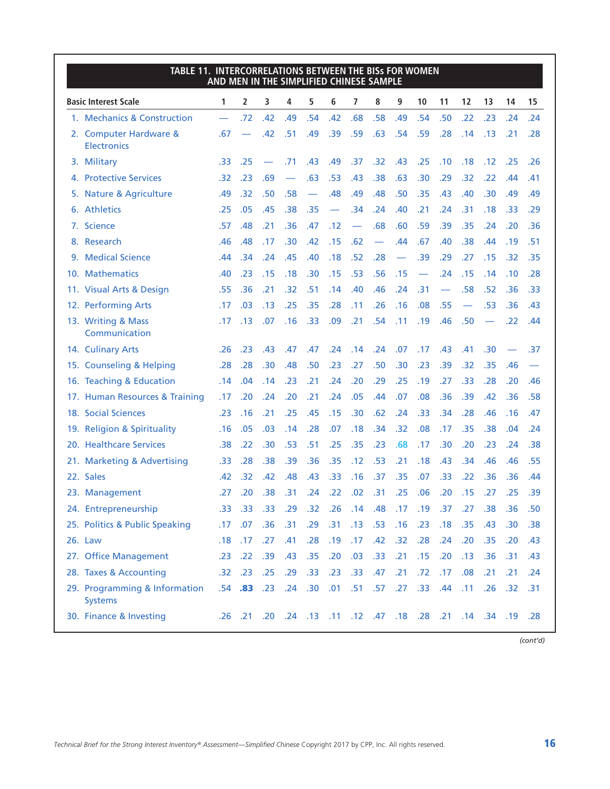| TABLE 11. INTERCORRELATIONS BETWEEN THE BISs FOR WOMEN | AND MEN IN THE SIMPLIFIED CHINESE SAMPLE |             |     |                          |     |     |                                                             |                          |     |     |                          |     |                          |     |        |
|--------------------------------------------------------|------------------------------------------|-------------|-----|--------------------------|-----|-----|-------------------------------------------------------------|--------------------------|-----|-----|--------------------------|-----|--------------------------|-----|--------|
| <b>Basic Interest Scale</b>                            | 1                                        | 2           | 3   | 4                        | 5   | 6   | 7                                                           | 8                        | 9   | 10  | 11                       | 12  | 13                       | 14  | 15     |
| 1. Mechanics & Construction                            | $\overline{\phantom{0}}$                 | .72         | .42 | .49                      | .54 | .42 | .68                                                         | .58                      | .49 | .54 | .50                      | .22 | .23                      | .24 | .24    |
| 2. Computer Hardware &<br><b>Electronics</b>           | .67                                      |             | .42 | .51                      | .49 | .39 | .59                                                         | .63                      | .54 | .59 | .28                      | .14 | .13                      | .21 | .28    |
| 3. Military                                            | .33                                      | .25         |     | .71                      | .43 | .49 | .37                                                         | .32                      | .43 | .25 | .10                      | .18 | .12                      | .25 | .26    |
| 4. Protective Services                                 | .32                                      | .23         | .69 | $\overline{\phantom{0}}$ | .63 | .53 | .43                                                         | .38                      | .63 | .30 | .29                      | .32 | .22                      | .44 | .41    |
| 5. Nature & Agriculture                                | .49                                      | .32         | .50 | .58                      |     | .48 | .49                                                         | .48                      | .50 | .35 | .43                      | .40 | .30                      | .49 | .49    |
| 6. Athletics                                           | .25                                      | .05         | .45 | .38                      | .35 |     | .34                                                         | .24                      | .40 | .21 | .24                      | .31 | .18                      | .33 | .29    |
| 7. Science                                             | .57                                      | .48         | .21 | .36                      | .47 | .12 |                                                             | .68                      | .60 | .59 | .39                      | .35 | .24                      | .20 | .36    |
| 8. Research                                            | .46                                      | .48         | .17 | .30                      | .42 | .15 | .62                                                         | $\overline{\phantom{0}}$ | .44 | .67 | .40                      | .38 | .44                      | .19 | .51    |
| 9. Medical Science                                     | .44                                      | .34         | .24 | .45                      | .40 | .18 | .52                                                         | .28                      |     | .39 | .29                      | .27 | .15                      | .32 | .35    |
| 10. Mathematics                                        | .40                                      | .23         | .15 | .18                      | .30 | .15 | .53                                                         | .56                      | .15 |     | .24                      | .15 | .14                      | .10 | .28    |
| 11. Visual Arts & Design                               | .55                                      | .36         | .21 | .32                      | .51 | .14 | .40                                                         | .46                      | .24 | .31 | $\overline{\phantom{0}}$ | .58 | .52                      | .36 | .33    |
| 12. Performing Arts                                    | .17                                      | .03         | .13 | .25                      | .35 | .28 | .11                                                         | .26                      | .16 | .08 | .55                      |     | .53                      | .36 | .43    |
| 13. Writing & Mass<br>Communication                    | .17                                      | .13         | .07 | .16                      | .33 | .09 | .21                                                         | .54                      | .11 | .19 | .46                      | .50 | $\overline{\phantom{0}}$ | .22 | .44    |
| 14. Culinary Arts                                      | .26                                      | .23         | .43 | .47                      | .47 | .24 | .14                                                         | .24                      | .07 | .17 | .43                      | .41 | .30                      |     | .37    |
| 15. Counseling & Helping                               | .28                                      | .28         | .30 | .48                      | .50 | .23 | .27                                                         | .50                      | .30 | .23 | .39                      | .32 | .35                      | .46 |        |
| 16. Teaching & Education                               | .14                                      | .04         | .14 | .23                      | .21 | .24 | .20                                                         | .29                      | .25 | .19 | .27                      | .33 | .28                      | .20 | .46    |
| 17. Human Resources & Training                         | .17                                      | .20         | .24 | .20                      | .21 | .24 | .05                                                         | .44                      | .07 | .08 | .36                      | .39 | .42                      | .36 | .58    |
| 18. Social Sciences                                    | .23                                      | .16         | .21 | .25                      | .45 | .15 | .30                                                         | .62                      | .24 | .33 | .34                      | .28 | .46                      | .16 | .47    |
| 19. Religion & Spirituality                            | .16                                      | .05         | .03 | .14                      | .28 | .07 | .18                                                         | .34                      | .32 | .08 | .17                      | .35 | .38                      | .04 | .24    |
| 20. Healthcare Services                                | .38                                      | .22         | .30 | .53                      | .51 | .25 | .35                                                         | .23                      | .68 | .17 | .30                      | .20 | .23                      | .24 | .38    |
| 21. Marketing & Advertising                            | .33                                      | .28         | .38 | .39                      | .36 | .35 | .12                                                         | .53                      | .21 | .18 | .43                      | .34 | .46                      | .46 | .55    |
| 22. Sales                                              | .42                                      | .32         | .42 | .48                      | .43 | .33 | .16                                                         | .37                      | .35 | .07 | .33                      | .22 | .36                      | .36 | .44    |
| 23. Management                                         | .27                                      | .20         | .38 | .31                      | .24 | .22 | .02                                                         | .31                      | .25 | .06 | .20                      | .15 | .27                      | .25 | .39    |
| 24. Entrepreneurship                                   | .33                                      | .33         | .33 | .29                      | .32 | .26 |                                                             | $.14$ .48                | .17 | .19 | .37                      | .27 | .38                      | .36 | .50    |
| 25. Politics & Public Speaking                         | .17 <sub>1</sub>                         | .07         | .36 | .31                      | .29 | .31 | .13                                                         | .53                      | .16 | .23 | .18                      | .35 | .43                      | .30 | .38    |
| 26. Law                                                |                                          | $.18$ .17   | .27 | .41                      | .28 | .19 | .17                                                         | .42                      | .32 | .28 | .24                      | .20 | .35                      | .20 | .43    |
| 27. Office Management                                  | .23                                      | .22         | .39 | .43                      | .35 | .20 | .03                                                         | .33                      | .21 | .15 | .20                      | .13 | .36                      | .31 | .43    |
| 28. Taxes & Accounting                                 |                                          | $.32$ $.23$ | .25 | .29                      | .33 | .23 | .33                                                         | .47                      | .21 | .72 | .17                      | .08 | .21                      | .21 | .24    |
| 29. Programming & Information<br><b>Systems</b>        |                                          | $.54$ $.83$ | .23 | .24                      | .30 | .01 | .51                                                         | .57                      | .27 | .33 | .44                      | .11 | .26                      | .32 | $-.31$ |
| 30. Finance & Investing                                |                                          |             |     |                          |     |     | 19. 34. 14. 21. 23. 18. 47. 12. 12. 11. 13. 24. 20. 21. 26. |                          |     |     |                          |     |                          |     | .28    |

*(cont'd)*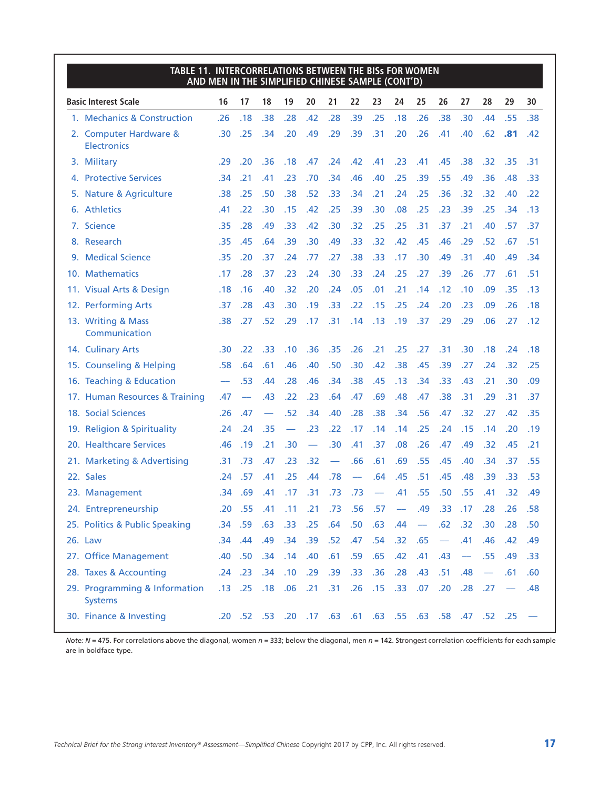| <b>TABLE 11. INTERCORRELATIONS BETWEEN THE BISS FOR WOMEN</b><br>AND MEN IN THE SIMPLIFIED CHINESE SAMPLE (CONT'D) |     |                   |           |                          |                          |                          |                          |                                |                          |                  |                          |                          |                   |     |     |
|--------------------------------------------------------------------------------------------------------------------|-----|-------------------|-----------|--------------------------|--------------------------|--------------------------|--------------------------|--------------------------------|--------------------------|------------------|--------------------------|--------------------------|-------------------|-----|-----|
| <b>Basic Interest Scale</b>                                                                                        | 16  | 17                | 18        | 19                       | 20                       | 21                       | 22                       | 23                             | 24                       | 25               | 26                       | 27                       | 28                | 29  | 30  |
| 1. Mechanics & Construction                                                                                        | .26 | .18               | .38       | .28                      | .42                      | .28                      | .39                      | .25                            | .18                      | .26              | .38                      | .30                      | .44               | .55 | .38 |
| 2. Computer Hardware &<br><b>Electronics</b>                                                                       | .30 | .25               | .34       | .20                      | .49                      | .29                      | .39                      | .31                            | .20                      | .26              | .41                      | .40                      | .62               | .81 | .42 |
| 3. Military                                                                                                        | .29 | .20               | .36       | .18                      | .47                      | .24                      | .42                      | .41                            | .23                      | .41              | .45                      | .38                      | .32               | .35 | .31 |
| 4. Protective Services                                                                                             | .34 | .21               | .41       | .23                      | .70                      | .34                      | .46                      | .40                            | .25                      | .39              | .55                      | .49                      | .36               | .48 | .33 |
| 5. Nature & Agriculture                                                                                            | .38 | .25               | .50       | .38                      | .52                      | .33                      | .34                      | .21                            | .24                      | .25              | .36                      | .32                      | .32               | .40 | .22 |
| 6. Athletics                                                                                                       | .41 | .22               | .30       | .15                      | .42                      | .25                      | .39                      | .30                            | .08                      | .25              | .23                      | .39                      | .25               | .34 | .13 |
| 7. Science                                                                                                         | .35 | .28               | .49       | .33                      | .42                      | .30                      | .32                      | .25                            | .25                      | .31              | .37                      | .21                      | .40               | .57 | .37 |
| 8. Research                                                                                                        | .35 | .45               | .64       | .39                      | .30                      | .49                      | .33                      | .32                            | .42                      | .45              | .46                      | .29                      | .52               | .67 | .51 |
| 9. Medical Science                                                                                                 | .35 | .20               | .37       | .24                      | .77                      | .27                      | .38                      | .33                            | .17                      | .30              | .49                      | .31                      | .40               | .49 | .34 |
| 10. Mathematics                                                                                                    | .17 | .28               | .37       | .23                      | .24                      | .30                      | .33                      | .24                            | .25                      | .27              | .39                      | .26                      | .77               | .61 | .51 |
| 11. Visual Arts & Design                                                                                           | .18 | .16               | .40       | .32                      | .20                      | .24                      | .05                      | .01                            | .21                      | .14              | .12                      | .10                      | .09               | .35 | .13 |
| 12. Performing Arts                                                                                                | .37 | .28               | .43       | .30                      | .19                      | .33                      | .22                      | .15                            | .25                      | .24              | .20                      | .23                      | .09               | .26 | .18 |
| 13. Writing & Mass<br>Communication                                                                                | .38 | .27               | .52       | .29                      | .17                      | .31                      | .14                      | .13                            | .19                      | .37              | .29                      | .29                      | .06               | .27 | .12 |
| 14. Culinary Arts                                                                                                  | .30 | .22               | .33       | .10                      | .36                      | .35                      | .26                      | .21                            | .25                      | .27              | .31                      | .30                      | .18               | .24 | .18 |
| 15. Counseling & Helping                                                                                           | .58 | .64               | .61       | .46                      | .40                      | .50                      | .30                      | .42                            | .38                      | .45              | .39                      | .27                      | .24               | .32 | .25 |
| 16. Teaching & Education                                                                                           |     | .53               | .44       | .28                      | .46                      | .34                      | .38                      | .45                            | .13                      | .34              | .33                      | .43                      | .21               | .30 | .09 |
| 17. Human Resources & Training                                                                                     | .47 |                   | .43       | .22                      | .23                      | .64                      | .47                      | .69                            | .48                      | .47              | .38                      | .31                      | .29               | .31 | .37 |
| 18. Social Sciences                                                                                                | .26 | .47               |           | .52                      | .34                      | .40                      | .28                      | .38                            | .34                      | .56              | .47                      | .32                      | .27               | .42 | .35 |
| 19. Religion & Spirituality                                                                                        | .24 | .24               | .35       | $\overline{\phantom{0}}$ | .23                      | .22                      | .17                      | .14                            | .14                      | .25              | .24                      | .15                      | .14               | .20 | .19 |
| 20. Healthcare Services                                                                                            | .46 | .19               | .21       | .30                      | $\overline{\phantom{0}}$ | .30                      | .41                      | .37                            | .08                      | .26              | .47                      | .49                      | .32               | .45 | .21 |
| 21. Marketing & Advertising                                                                                        | .31 | .73               | .47       | .23                      | .32                      | $\overline{\phantom{0}}$ | .66                      | .61                            | .69                      | .55              | .45                      | .40                      | .34               | .37 | .55 |
| 22. Sales                                                                                                          | .24 | .57               | .41       | .25                      | .44                      | .78                      | $\overline{\phantom{0}}$ | .64                            | .45                      | .51              | .45                      | .48                      | .39               | .33 | .53 |
| 23. Management                                                                                                     | .34 | .69               | .41       | .17                      | .31                      | .73                      | .73                      | $\overbrace{\phantom{123321}}$ | .41                      | .55              | .50                      | .55                      | .41               | .32 | .49 |
| 24. Entrepreneurship                                                                                               | .20 |                   | $.55-.41$ |                          | $.11-.21$                | .73                      | .56                      | .57                            | $\overline{\phantom{a}}$ | .49              | .33 <sub>1</sub>         | .17                      | .28               | .26 | .58 |
| 25. Politics & Public Speaking                                                                                     | .34 | .59               | .63       | .33                      | .25                      | .64                      | .50 <sub>1</sub>         | .63                            | .44                      | $\hspace{0.1mm}$ | .62                      | .32                      | .30               | .28 | .50 |
| 26. Law                                                                                                            | .34 | .44               | .49       | .34                      | .39                      | .52                      | .47                      | .54                            | .32                      | .65              | $\overline{\phantom{m}}$ | .41                      | .46               | .42 | .49 |
| 27. Office Management                                                                                              | .40 | .50               | .34       | .14                      | .40                      | .61                      | .59                      | .65                            | .42                      | .41              | .43                      | $\overline{\phantom{m}}$ | .55               | .49 | .33 |
| 28. Taxes & Accounting                                                                                             |     | $.24$ .23         | .34       | .10                      | .29                      | .39                      | .33                      | .36                            | .28                      | .43              | .51                      | .48                      | $\hspace{0.05cm}$ | .61 | .60 |
| 29. Programming & Information<br><b>Systems</b>                                                                    |     | $.13$ .25         | .18       | .06                      | .21                      | .31                      | .26                      | .15                            | .33                      | .07              | .20                      | .28                      | .27               |     | .48 |
| 30. Finance & Investing                                                                                            |     | $.20$ $.52$ $.53$ |           | .20                      | .17                      |                          | $.63$ $.61$              | .63 .55                        |                          |                  | .63 .58                  | .47                      | $.52$ .25         |     |     |

*Note: N* = 475. For correlations above the diagonal, women *n* = 333; below the diagonal, men *n* = 142. Strongest correlation coefficients for each sample are in boldface type.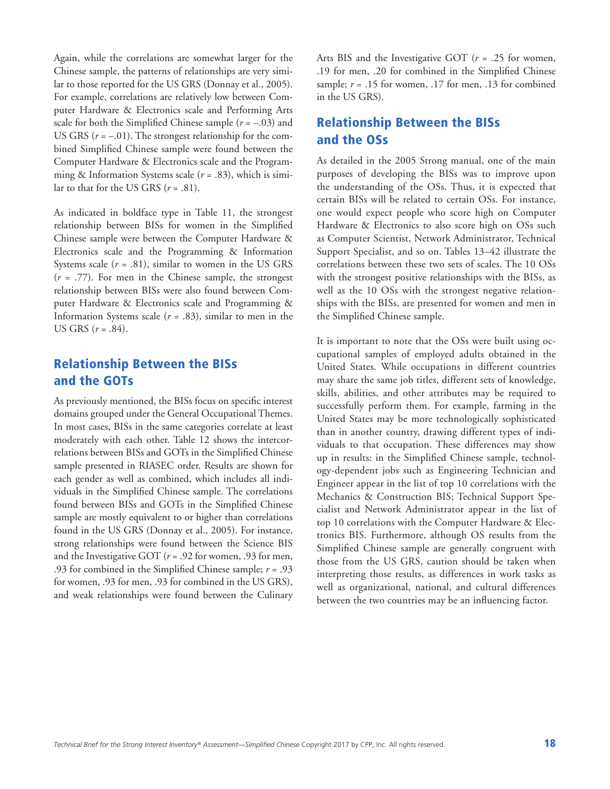Again, while the correlations are somewhat larger for the Chinese sample, the patterns of relationships are very similar to those reported for the US GRS (Donnay et al., 2005). For example, correlations are relatively low between Computer Hardware & Electronics scale and Performing Arts scale for both the Simplified Chinese sample  $(r = -.03)$  and US GRS  $(r = -.01)$ . The strongest relationship for the combined Simplified Chinese sample were found between the Computer Hardware & Electronics scale and the Programming & Information Systems scale (*r* = .83), which is similar to that for the US GRS  $(r=.81)$ .

As indicated in boldface type in Table 11, the strongest relationship between BISs for women in the Simplified Chinese sample were between the Computer Hardware & Electronics scale and the Programming & Information Systems scale  $(r = .81)$ , similar to women in the US GRS (*r* = .77). For men in the Chinese sample, the strongest relationship between BISs were also found between Computer Hardware & Electronics scale and Programming & Information Systems scale (*r* = .83), similar to men in the US GRS (*r* = .84).

# Relationship Between the BISs and the GOTs

As previously mentioned, the BISs focus on specific interest domains grouped under the General Occupational Themes. In most cases, BISs in the same categories correlate at least moderately with each other. Table 12 shows the intercorrelations between BISs and GOTs in the Simplified Chinese sample presented in RIASEC order. Results are shown for each gender as well as combined, which includes all individuals in the Simplified Chinese sample. The correlations found between BISs and GOTs in the Simplified Chinese sample are mostly equivalent to or higher than correlations found in the US GRS (Donnay et al., 2005). For instance, strong relationships were found between the Science BIS and the Investigative GOT (*r* = .92 for women, .93 for men, .93 for combined in the Simplified Chinese sample; *r* = .93 for women, .93 for men, .93 for combined in the US GRS), and weak relationships were found between the Culinary

Arts BIS and the Investigative GOT (*r* = .25 for women, .19 for men, .20 for combined in the Simplified Chinese sample;  $r = .15$  for women,  $.17$  for men,  $.13$  for combined in the US GRS).

## Relationship Between the BISs and the OSs

As detailed in the 2005 Strong manual, one of the main purposes of developing the BISs was to improve upon the understanding of the OSs. Thus, it is expected that certain BISs will be related to certain OSs. For instance, one would expect people who score high on Computer Hardware & Electronics to also score high on OSs such as Computer Scientist, Network Administrator, Technical Support Specialist, and so on. Tables 13–42 illustrate the correlations between these two sets of scales. The 10 OSs with the strongest positive relationships with the BISs, as well as the 10 OSs with the strongest negative relationships with the BISs, are presented for women and men in the Simplified Chinese sample.

It is important to note that the OSs were built using occupational samples of employed adults obtained in the United States. While occupations in different countries may share the same job titles, different sets of knowledge, skills, abilities, and other attributes may be required to successfully perform them. For example, farming in the United States may be more technologically sophisticated than in another country, drawing different types of individuals to that occupation. These differences may show up in results: in the Simplified Chinese sample, technology-dependent jobs such as Engineering Technician and Engineer appear in the list of top 10 correlations with the Mechanics & Construction BIS; Technical Support Specialist and Network Administrator appear in the list of top 10 correlations with the Computer Hardware & Electronics BIS. Furthermore, although OS results from the Simplified Chinese sample are generally congruent with those from the US GRS, caution should be taken when interpreting those results, as differences in work tasks as well as organizational, national, and cultural differences between the two countries may be an influencing factor.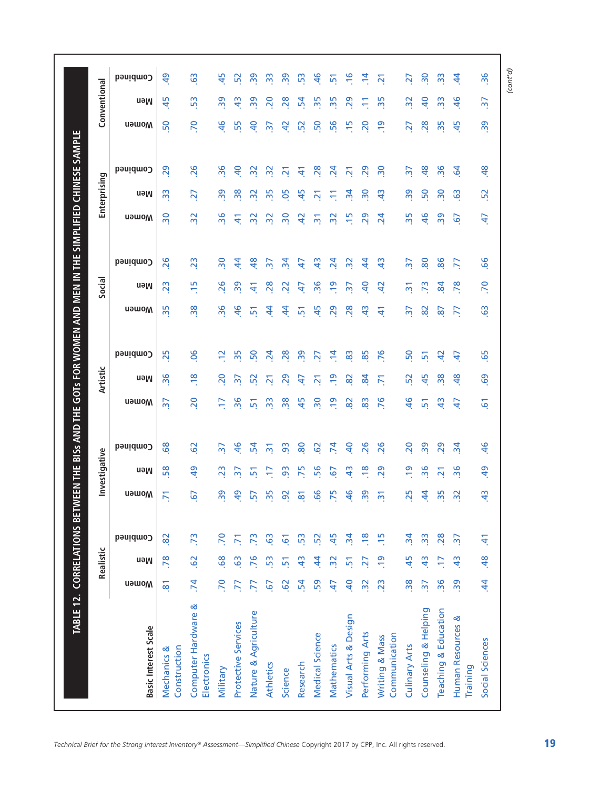|                                    |                           | Realistic      |                  |                 | Investigative  |                 |                         | Artistic                |                 |                | Social          |                         |                           | Enterprising            |                  |                 | Conventional    |  |
|------------------------------------|---------------------------|----------------|------------------|-----------------|----------------|-----------------|-------------------------|-------------------------|-----------------|----------------|-----------------|-------------------------|---------------------------|-------------------------|------------------|-----------------|-----------------|--|
| <b>Basic Interest Scale</b>        | <b>u</b> əwo <sub>M</sub> | neM            | Combined         | Women           | neM            | Combined        | <b>Nomen</b>            | neM                     | Combined        | <b>Nomen</b>   | neM             | Combined                | <b>u</b> əwo <sub>M</sub> | neM                     | Combined         | <b>u</b> əwom   | neM             |  |
| Construction<br>ళ<br>Mechanics     | $\overline{8}$            | .78            | 82               | 5               | 58             | 89              | $\frac{1}{2}$           | $\frac{6}{36}$          | 25              | 35             | $\overline{23}$ | 26                      | $\frac{1}{2}$             | $\frac{3}{2}$           | 29               | 50              | 45              |  |
| Computer Hardware &<br>Electronics | .74                       | <b>S</b>       | $\overline{.73}$ | 67              | $\overline{6}$ | $\overline{62}$ | 20                      | $\frac{8}{1}$           | 90              | 38             | $\frac{5}{1}$   | 23                      | $\overline{32}$           | 27                      | 26               | <b>PC</b>       | 53              |  |
| Military                           | P.                        | 68             | 70               | 39              | 23             | $\overline{5}$  | F                       | 20                      | $\overline{5}$  | 36             | 26              | $\overline{\mathbf{5}}$ | 36                        | 39                      | 36               | $\frac{1}{6}$   | 39              |  |
| Protective Services                | 77                        | 63             | $\overline{r}$   | 9               | m              | $\frac{6}{5}$   | 36                      | 57                      | 35              | $\frac{4}{6}$  | 39              | $\overline{4}$          | $\Delta$                  | 38                      | $\overline{a}$   | 55              | \$              |  |
| Nature & Agriculture               | F                         | 76             | $\mathbb{R}^2$   | ίñ              | S              | 24              | 흕                       | 52                      | <sub>50</sub>   | 51             | $\pm$           | $\frac{8}{3}$           | $\overline{3}$            | $\overline{3}$          | $\frac{2}{3}$    | $\overline{a}$  | 39              |  |
| Athletics                          | $\overline{6}$            | 53             | <b>G</b>         | ഥ<br>$\sim$     |                | 忘               | 33                      | $\overline{\mathsf{N}}$ | $\overline{2}$  | \$             | 28              | $\overline{5}$          | $\overline{3}$            | 35                      | $\overline{3}$   | ਨ਼              | 20              |  |
| Science                            | 62                        | 51             | 61               | ႙               | 56             | 93              | 38                      | 29                      | 28              | \$             | 22              | $\overline{3}$          | $\overline{5}$            | 50                      | ត                | 5               | 28              |  |
| Research                           | $\mathbf{5}$              | $\frac{1}{2}$  | 53               | ౚ               | 75             | 80              | 45                      | £                       | 39              | 51             | 47              | 47                      | 5                         | 45                      | 41               | 52              | 24              |  |
| Medical Science                    | 59                        | \$             | 52               | 99              | 56             | 29              | $\overline{\mathbf{5}}$ | ត                       | 27              | 45             | 36              | $\frac{3}{4}$           | $\overline{5}$            | $\overline{z}$          | 28               | 50              | 35              |  |
| Mathematics                        | 47                        | $\mathbf{S}$   | 45               | 75              | 67             | 74              | <u>er</u>               | $\overline{6}$          | $\ddot{a}$      | 29             | $\overline{5}$  | $\overline{24}$         | <u>ჯ</u>                  |                         | $\overline{a}$   | 56              | 35              |  |
| Visual Arts & Design               | $\overline{a}$            | 51             | $\mathbf{r}$     | $\frac{6}{7}$   | $\frac{1}{4}$  | $\overline{a}$  | $\infty$                | $\overline{82}$         | 83              | 28             | $\overline{57}$ | 32                      | $\overline{15}$           | $\frac{1}{2}$           | $\overline{2}$ 1 | $\overline{15}$ | 29              |  |
| Performing Arts                    | $\overline{32}$           | $\overline{z}$ | $\frac{8}{2}$    | 39              | $\frac{8}{1}$  | 26              | 83                      | 84                      | 85              | $\frac{3}{4}$  | $\overline{a}$  | 4                       | 29                        | $\overline{5}$          | 29               | 20              |                 |  |
| Communication<br>Writing & Mass    | $\overline{23}$           | <u>၅</u>       | $\frac{15}{2}$   | $\overline{5}$  | 29             | 26              | 76                      | ĥ                       | 76              | 4              | $\overline{4}$  | $\frac{3}{4}$           | $\overline{2}$            | $\frac{3}{4}$           | $\overline{50}$  | <u>io</u>       | 35              |  |
| <b>Culinary Arts</b>               | 38                        | 45             | $\mathbf{z}$     | 25              | $\overline{6}$ | 20              | 46                      | 52                      | SO <sub>1</sub> | $\frac{2}{3}$  | $\overline{5}$  | $\overline{5}$          | 35                        | 39                      | $\overline{5}$   | 27              | $\overline{32}$ |  |
| Counseling & Helping               | $\frac{1}{2}$             | $\frac{4}{3}$  | 33               | \$              | 96             | 39              | 51                      | 45                      | 51              | 8              | $\overline{73}$ | 80                      | $\frac{1}{6}$             | 50                      | $\frac{8}{3}$    | 28              | $\overline{a}$  |  |
| Teaching & Education               | $\overline{36}$           | F              | 28               | 35              | $\sim$         | 29              | $\frac{4}{3}$           | $\overline{38}$         | ą               | $\overline{8}$ | 84              | 86                      | 39                        | $\overline{\mathbf{5}}$ | 36               | 35              | 33              |  |
| Human Resources &<br>Training      | 39                        | $\ddot{a}$     | $\frac{1}{2}$    | $\overline{32}$ | 36             | $\frac{1}{2}$   | 47                      | $\frac{48}{5}$          | 47              | $\overline{7}$ | 78              | ZZ.                     | 67                        | $\mathbf{c}_2$          | $\overline{5}$   | 45              | $\frac{4}{6}$   |  |
| Social Sciences                    | $\dot{4}$                 | 48             | Ë                | $\ddot{a}$      | $\overline{5}$ | 46              | 5                       | 69                      | 65              | $\overline{6}$ | 70              | 99                      | 47                        | 52                      | 48               | $\overline{39}$ | $\overline{37}$ |  |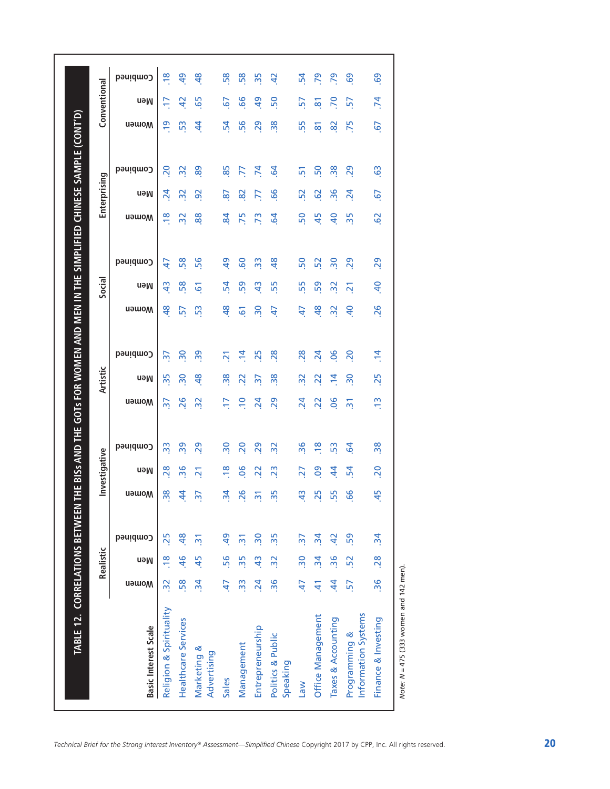|                                      |                 | Realistic               |                          |                | Investigative  |                 |                     | <b>Artistic</b> |                          |                 | Social         |                 |                 | Enterprising    |                 |                     | Conventional   |                |
|--------------------------------------|-----------------|-------------------------|--------------------------|----------------|----------------|-----------------|---------------------|-----------------|--------------------------|-----------------|----------------|-----------------|-----------------|-----------------|-----------------|---------------------|----------------|----------------|
| <b>Basic Interest Scale</b>          | <b>Nomen</b>    | neM                     | Combined                 | Women          | neM            | Combined        | Women               | neM             | Combined                 | <b>Nomen</b>    | neM            | Combined        | <b>Nomen</b>    | neM             | Combined        | <b>Nomen</b>        | neM            | Combined       |
| Religion & Spirituality              | $\overline{3}$  | $\frac{8}{10}$          | 25                       | 38             | 28             | က္က             | $\overline{\omega}$ | $\overline{35}$ | $\overline{\mathcal{E}}$ | $\frac{8}{4}$   | $\frac{3}{4}$  | $\ddot{t}$      | $\frac{8}{2}$   | $\overline{24}$ | 20              | $\overline{5}$      | Ε              | $\frac{8}{10}$ |
| <b>Healthcare Services</b>           | 58              | 46                      | 48                       | \$             | 36             | 39              | 26                  | $\overline{30}$ | $\frac{30}{2}$           | 57              | 58             | 58              | $\overline{32}$ | $\overline{32}$ | 32              | 53                  | $\overline{a}$ | $\overline{a}$ |
| Marketing &<br>Advertising           | $\ddot{a}$      | 45                      | $\overline{2}$           | $\frac{2}{3}$  | $\overline{2}$ | 29              | $\overline{32}$     | 48              | 39                       | 53              | $\overline{6}$ | 56              | 88              | $\overline{92}$ | 89              | $\ddot{a}$          | 65             | $\frac{8}{3}$  |
| Sales                                | 47              | 56                      | $\overline{a}$           | $\overline{3}$ | $\frac{8}{10}$ | 30              | Ε                   | $\overline{38}$ | ភ                        | $\frac{8}{2}$   | 54             | $\overline{a}$  | 84              | 2               | 85              | 54                  | 67             | 58             |
| Management                           | $\frac{3}{2}$   | 35                      | $\overline{m}$           | 26             | 90             | 20              | $\Xi$               | $\overline{2}$  | $\ddot{a}$               | $\overline{6}$  | 59             | <b>GO</b>       | 75              | 82              | ZZ.             | 56                  | 99             | 58             |
| Entrepreneurship                     | $\overline{24}$ | $\frac{1}{2}$           | $\overline{\mathbf{50}}$ | $\overline{5}$ | $\overline{2}$ | 29              | $\overline{24}$     | $\frac{1}{2}$   | 25                       | $\overline{30}$ | $\frac{4}{3}$  | $\frac{3}{2}$   | 73              | 77              | 74              | 29                  | $\overline{5}$ | 35             |
| Politics & Public<br>Speaking        | $\overline{36}$ | $\overline{32}$         | 35                       | 35             | 23             | $\overline{32}$ | 29                  | $\frac{8}{3}$   | 28                       | 47              | 55             | 48              | $\overline{q}$  | 99              | $\overline{6}$  | 38                  | 50             | $\overline{a}$ |
| <b>Nel</b>                           | 47              | $\overline{\mathbf{5}}$ | $\overline{5}$           | $\frac{1}{2}$  | 27             | 36              | $\overline{24}$     | $\overline{32}$ | 28                       | $\overline{4}$  | 55             | 50              | 50              | 52              | $\overline{5}$  | 55                  | 57             | 54             |
| Office Management                    | 41              | $\mathbf{z}$            | $\overline{3}$           | 25             | 80             | $\frac{8}{2}$   | $\overline{2}$      | 22              | $\overline{24}$          | $\frac{8}{3}$   | 59             | 52              | 45              | 62              | 50              | $\overline{\infty}$ | <u>ន</u>       | 79             |
| Taxes & Accounting                   | \$              | 36                      | $\overline{a}$           | 55             | 4              | 53              | $\overline{0}$      | $\ddot{a}$      | $\overline{0}$           | $\overline{32}$ | $\frac{2}{3}$  | $\overline{30}$ | $\overline{a}$  | 36              | $\overline{38}$ | $\infty$            | $\mathsf{S}$   | 29             |
| Information Systems<br>Programming & | 57              | 52                      | 59                       | 99             | 54             | $\overline{5}$  | $\overline{m}$      | $\overline{30}$ | 20                       | $\overline{a}$  | $\overline{2}$ | 29              | 35              | $\overline{24}$ | 29              | .75                 | 57             | 69             |
| Finance & Investing                  | $\overline{36}$ | .28                     | $\ddot{a}$               | 45             | 20             | 38              | e,                  | 25              | $\overline{14}$          | 26              | $\overline{a}$ | 29              | $\overline{6}$  | 5               | $\overline{63}$ | 5.                  | .74            | 69             |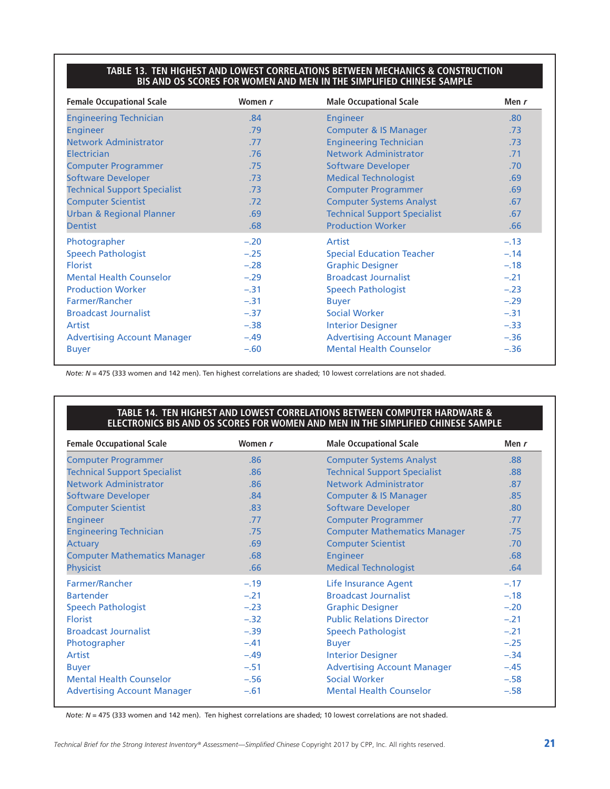#### **TABLE 13. TEN HIGHEST AND LOWEST CORRELATIONS BETWEEN MECHANICS & CONSTRUCTION BIS AND OS SCORES FOR WOMEN AND MEN IN THE SIMPLIFIED CHINESE SAMPLE**

| <b>Female Occupational Scale</b>    | Women r | <b>Male Occupational Scale</b>      | Men $r$          |
|-------------------------------------|---------|-------------------------------------|------------------|
| <b>Engineering Technician</b>       | .84     | Engineer                            | .80 <sub>1</sub> |
| <b>Engineer</b>                     | .79     | <b>Computer &amp; IS Manager</b>    | .73              |
| <b>Network Administrator</b>        | .77     | <b>Engineering Technician</b>       | .73              |
| Electrician                         | .76     | <b>Network Administrator</b>        | .71              |
| <b>Computer Programmer</b>          | .75     | <b>Software Developer</b>           | .70              |
| <b>Software Developer</b>           | .73     | <b>Medical Technologist</b>         | .69              |
| <b>Technical Support Specialist</b> | .73     | <b>Computer Programmer</b>          | .69              |
| <b>Computer Scientist</b>           | .72     | <b>Computer Systems Analyst</b>     | .67              |
| <b>Urban &amp; Regional Planner</b> | .69     | <b>Technical Support Specialist</b> | .67              |
| <b>Dentist</b>                      | .68     | <b>Production Worker</b>            | .66              |
| Photographer                        | $-.20$  | Artist                              | $-.13$           |
| <b>Speech Pathologist</b>           | $-.25$  | <b>Special Education Teacher</b>    | $-.14$           |
| <b>Florist</b>                      | $-.28$  | <b>Graphic Designer</b>             | $-.18$           |
| <b>Mental Health Counselor</b>      | $-.29$  | <b>Broadcast Journalist</b>         | $-.21$           |
| <b>Production Worker</b>            | $-.31$  | <b>Speech Pathologist</b>           | $-.23$           |
| Farmer/Rancher                      | $-.31$  | <b>Buyer</b>                        | $-.29$           |
| <b>Broadcast Journalist</b>         | $-.37$  | <b>Social Worker</b>                | $-.31$           |
| Artist                              | $-.38$  | <b>Interior Designer</b>            | $-.33$           |
| <b>Advertising Account Manager</b>  | $-.49$  | <b>Advertising Account Manager</b>  | $-.36$           |
| <b>Buyer</b>                        | $-.60$  | <b>Mental Health Counselor</b>      | $-.36$           |

*Note: N* = 475 (333 women and 142 men). Ten highest correlations are shaded; 10 lowest correlations are not shaded.

#### **TABLE 14. TEN HIGHEST AND LOWEST CORRELATIONS BETWEEN COMPUTER HARDWARE & ELECTRONICS BIS AND OS SCORES FOR WOMEN AND MEN IN THE SIMPLIFIED CHINESE SAMPLE**

| <b>Female Occupational Scale</b>    | Women r | <b>Male Occupational Scale</b>      | Men $r$ |
|-------------------------------------|---------|-------------------------------------|---------|
| <b>Computer Programmer</b>          | .86     | <b>Computer Systems Analyst</b>     | .88     |
| <b>Technical Support Specialist</b> | .86     | <b>Technical Support Specialist</b> | .88     |
| <b>Network Administrator</b>        | .86     | <b>Network Administrator</b>        | .87     |
| <b>Software Developer</b>           | .84     | <b>Computer &amp; IS Manager</b>    | .85     |
| <b>Computer Scientist</b>           | .83     | <b>Software Developer</b>           | .80     |
| <b>Engineer</b>                     | .77     | <b>Computer Programmer</b>          | .77     |
| <b>Engineering Technician</b>       | .75     | <b>Computer Mathematics Manager</b> | .75     |
| <b>Actuary</b>                      | .69     | <b>Computer Scientist</b>           | .70     |
| <b>Computer Mathematics Manager</b> | .68     | <b>Engineer</b>                     | .68     |
| <b>Physicist</b>                    | .66     | <b>Medical Technologist</b>         | .64     |
| Farmer/Rancher                      | $-.19$  | <b>Life Insurance Agent</b>         | $-.17$  |
| <b>Bartender</b>                    | $-.21$  | <b>Broadcast Journalist</b>         | $-.18$  |
| <b>Speech Pathologist</b>           | $-.23$  | <b>Graphic Designer</b>             | $-.20$  |
| <b>Florist</b>                      | $-.32$  | <b>Public Relations Director</b>    | $-.21$  |
| <b>Broadcast Journalist</b>         | $-.39$  | <b>Speech Pathologist</b>           | $-21$   |
| Photographer                        | $-.41$  | <b>Buyer</b>                        | $-.25$  |
| Artist                              | $-.49$  | <b>Interior Designer</b>            | $-.34$  |
| <b>Buyer</b>                        | $-.51$  | <b>Advertising Account Manager</b>  | $-.45$  |
| <b>Mental Health Counselor</b>      | $-.56$  | <b>Social Worker</b>                | $-.58$  |
| <b>Advertising Account Manager</b>  | $-.61$  | <b>Mental Health Counselor</b>      | $-.58$  |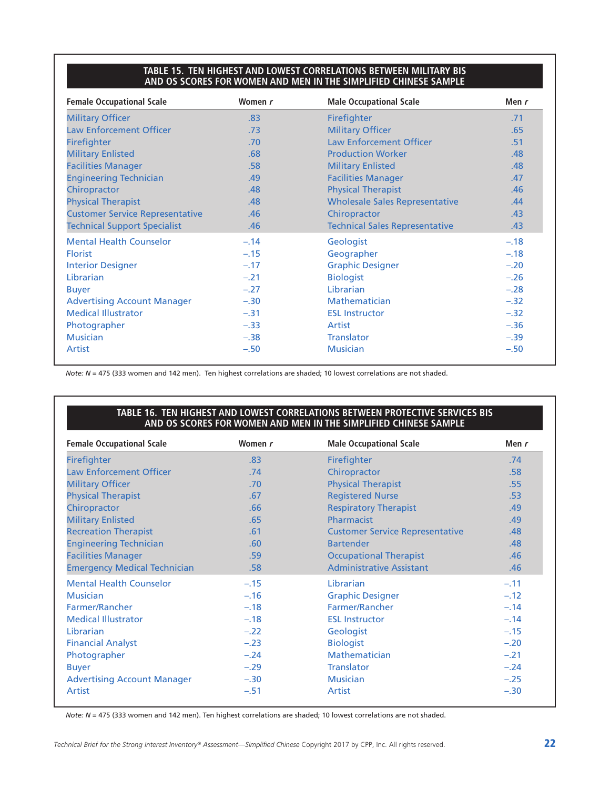#### **TABLE 15. TEN HIGHEST AND LOWEST CORRELATIONS BETWEEN MILITARY BIS AND OS SCORES FOR WOMEN AND MEN IN THE SIMPLIFIED CHINESE SAMPLE**

| <b>Female Occupational Scale</b>       | Women r | <b>Male Occupational Scale</b>        | Men $r$ |
|----------------------------------------|---------|---------------------------------------|---------|
| <b>Military Officer</b>                | .83     | Firefighter                           | .71     |
| <b>Law Enforcement Officer</b>         | .73     | <b>Military Officer</b>               | .65     |
| <b>Firefighter</b>                     | .70     | <b>Law Enforcement Officer</b>        | .51     |
| <b>Military Enlisted</b>               | .68     | <b>Production Worker</b>              | .48     |
| <b>Facilities Manager</b>              | .58     | <b>Military Enlisted</b>              | .48     |
| <b>Engineering Technician</b>          | .49     | <b>Facilities Manager</b>             | .47     |
| Chiropractor                           | .48     | <b>Physical Therapist</b>             | .46     |
| <b>Physical Therapist</b>              | .48     | <b>Wholesale Sales Representative</b> | .44     |
| <b>Customer Service Representative</b> | .46     | Chiropractor                          | .43     |
| <b>Technical Support Specialist</b>    | .46     | <b>Technical Sales Representative</b> | .43     |
| <b>Mental Health Counselor</b>         | $-.14$  | Geologist                             | $-.18$  |
| <b>Florist</b>                         | $-.15$  | Geographer                            | $-.18$  |
| <b>Interior Designer</b>               | $-.17$  | <b>Graphic Designer</b>               | $-.20$  |
| Librarian                              | $-.21$  | <b>Biologist</b>                      | $-.26$  |
| <b>Buyer</b>                           | $-.27$  | Librarian                             | $-.28$  |
| <b>Advertising Account Manager</b>     | $-.30$  | Mathematician                         | $-.32$  |
| <b>Medical Illustrator</b>             | $-.31$  | <b>ESL Instructor</b>                 | $-.32$  |
| Photographer                           | $-.33$  | Artist                                | $-.36$  |
| <b>Musician</b>                        | $-.38$  | <b>Translator</b>                     | $-.39$  |
| Artist                                 | $-.50$  | <b>Musician</b>                       | $-.50$  |

*Note: N* = 475 (333 women and 142 men). Ten highest correlations are shaded; 10 lowest correlations are not shaded.

#### **TABLE 16. TEN HIGHEST AND LOWEST CORRELATIONS BETWEEN PROTECTIVE SERVICES BIS AND OS SCORES FOR WOMEN AND MEN IN THE SIMPLIFIED CHINESE SAMPLE**

| <b>Female Occupational Scale</b>    | Women r | <b>Male Occupational Scale</b>         | Men r  |
|-------------------------------------|---------|----------------------------------------|--------|
| Firefighter                         | .83     | Firefighter                            | .74    |
| <b>Law Enforcement Officer</b>      | .74     | Chiropractor                           | .58    |
| <b>Military Officer</b>             | .70     | <b>Physical Therapist</b>              | .55    |
| <b>Physical Therapist</b>           | .67     | <b>Registered Nurse</b>                | .53    |
| Chiropractor                        | .66     | <b>Respiratory Therapist</b>           | .49    |
| <b>Military Enlisted</b>            | .65     | Pharmacist                             | .49    |
| <b>Recreation Therapist</b>         | .61     | <b>Customer Service Representative</b> | .48    |
| <b>Engineering Technician</b>       | .60     | <b>Bartender</b>                       | .48    |
| <b>Facilities Manager</b>           | .59     | <b>Occupational Therapist</b>          | .46    |
| <b>Emergency Medical Technician</b> | .58     | <b>Administrative Assistant</b>        | .46    |
| <b>Mental Health Counselor</b>      | $-.15$  | Librarian                              | $-.11$ |
| <b>Musician</b>                     | $-.16$  | <b>Graphic Designer</b>                | $-.12$ |
| Farmer/Rancher                      | $-.18$  | Farmer/Rancher                         | $-.14$ |
| <b>Medical Illustrator</b>          | $-.18$  | <b>ESL Instructor</b>                  | $-.14$ |
| Librarian                           | $-.22$  | Geologist                              | $-.15$ |
| <b>Financial Analyst</b>            | $-.23$  | <b>Biologist</b>                       | $-.20$ |
| Photographer                        | $-.24$  | <b>Mathematician</b>                   | $-.21$ |
| <b>Buyer</b>                        | $-.29$  | <b>Translator</b>                      | $-.24$ |
| <b>Advertising Account Manager</b>  | $-.30$  | <b>Musician</b>                        | $-.25$ |
| <b>Artist</b>                       | $-.51$  | Artist                                 | $-.30$ |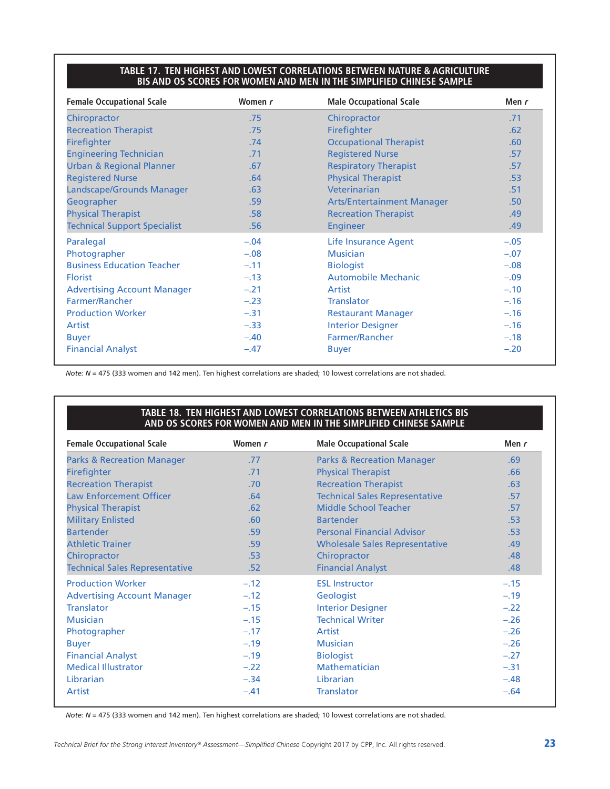#### **TABLE 17. TEN HIGHEST AND LOWEST CORRELATIONS BETWEEN NATURE & AGRICULTURE BIS AND OS SCORES FOR WOMEN AND MEN IN THE SIMPLIFIED CHINESE SAMPLE**

| <b>Female Occupational Scale</b>    | Women r | <b>Male Occupational Scale</b>    | Men r            |
|-------------------------------------|---------|-----------------------------------|------------------|
| Chiropractor                        | .75     | Chiropractor                      | .71              |
| <b>Recreation Therapist</b>         | .75     | Firefighter                       | .62              |
| Firefighter                         | .74     | <b>Occupational Therapist</b>     | .60              |
| <b>Engineering Technician</b>       | .71     | <b>Registered Nurse</b>           | .57              |
| <b>Urban &amp; Regional Planner</b> | .67     | <b>Respiratory Therapist</b>      | .57              |
| <b>Registered Nurse</b>             | .64     | <b>Physical Therapist</b>         | .53              |
| Landscape/Grounds Manager           | .63     | Veterinarian                      | .51              |
| Geographer                          | .59     | <b>Arts/Entertainment Manager</b> | .50 <sub>1</sub> |
| <b>Physical Therapist</b>           | .58     | <b>Recreation Therapist</b>       | .49              |
| <b>Technical Support Specialist</b> | .56     | <b>Engineer</b>                   | .49              |
| Paralegal                           | $-.04$  | <b>Life Insurance Agent</b>       | $-.05$           |
| Photographer                        | $-.08$  | <b>Musician</b>                   | $-.07$           |
| <b>Business Education Teacher</b>   | $-.11$  | <b>Biologist</b>                  | $-.08$           |
| <b>Florist</b>                      | $-.13$  | <b>Automobile Mechanic</b>        | $-.09$           |
| <b>Advertising Account Manager</b>  | $-.21$  | Artist                            | $-.10$           |
| Farmer/Rancher                      | $-.23$  | <b>Translator</b>                 | $-.16$           |
| <b>Production Worker</b>            | $-.31$  | <b>Restaurant Manager</b>         | $-.16$           |
| Artist                              | $-.33$  | <b>Interior Designer</b>          | $-.16$           |
| <b>Buyer</b>                        | $-.40$  | Farmer/Rancher                    | $-.18$           |
| <b>Financial Analyst</b>            | $-.47$  | <b>Buyer</b>                      | $-.20$           |

*Note: N* = 475 (333 women and 142 men). Ten highest correlations are shaded; 10 lowest correlations are not shaded.

#### **TABLE 18. TEN HIGHEST AND LOWEST CORRELATIONS BETWEEN ATHLETICS BIS AND OS SCORES FOR WOMEN AND MEN IN THE SIMPLIFIED CHINESE SAMPLE**

| <b>Female Occupational Scale</b>      | Women r | <b>Male Occupational Scale</b>        | Men $r$ |
|---------------------------------------|---------|---------------------------------------|---------|
| <b>Parks &amp; Recreation Manager</b> | .77     | <b>Parks &amp; Recreation Manager</b> | .69     |
| Firefighter                           | .71     | <b>Physical Therapist</b>             | .66     |
| <b>Recreation Therapist</b>           | .70     | <b>Recreation Therapist</b>           | .63     |
| <b>Law Enforcement Officer</b>        | .64     | <b>Technical Sales Representative</b> | .57     |
| <b>Physical Therapist</b>             | .62     | Middle School Teacher                 | .57     |
| <b>Military Enlisted</b>              | .60     | <b>Bartender</b>                      | .53     |
| <b>Bartender</b>                      | .59     | <b>Personal Financial Advisor</b>     | .53     |
| <b>Athletic Trainer</b>               | .59     | <b>Wholesale Sales Representative</b> | .49     |
| Chiropractor                          | .53     | Chiropractor                          | .48     |
| <b>Technical Sales Representative</b> | .52     | <b>Financial Analyst</b>              | .48     |
| <b>Production Worker</b>              | $-.12$  | <b>ESL Instructor</b>                 | $-.15$  |
| <b>Advertising Account Manager</b>    | $-.12$  | Geologist                             | $-.19$  |
| <b>Translator</b>                     | $-.15$  | <b>Interior Designer</b>              | $-.22$  |
| <b>Musician</b>                       | $-.15$  | <b>Technical Writer</b>               | $-.26$  |
| Photographer                          | $-.17$  | Artist                                | $-.26$  |
| <b>Buyer</b>                          | $-.19$  | <b>Musician</b>                       | $-.26$  |
| <b>Financial Analyst</b>              | $-.19$  | <b>Biologist</b>                      | $-.27$  |
| <b>Medical Illustrator</b>            | $-.22$  | <b>Mathematician</b>                  | $-.31$  |
| Librarian                             | $-.34$  | Librarian                             | $-.48$  |
| Artist                                | $-.41$  | <b>Translator</b>                     | $-.64$  |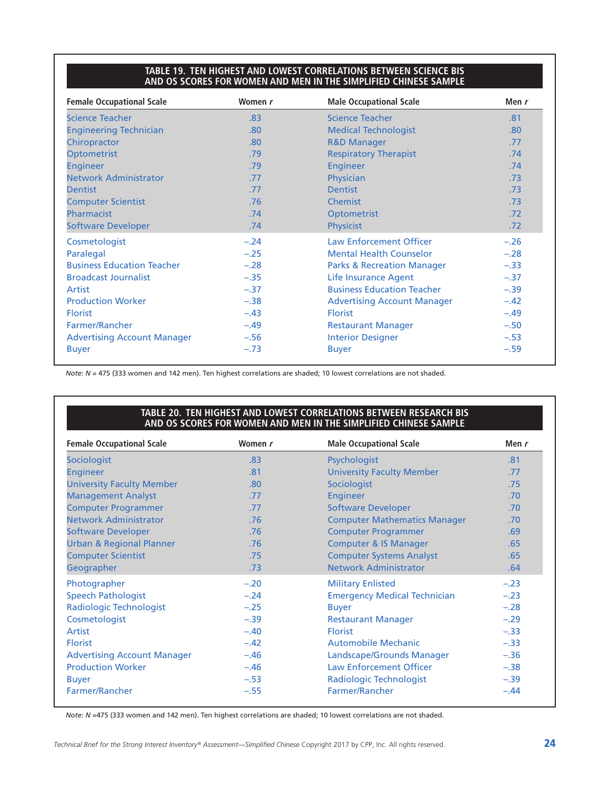#### **TABLE 19. TEN HIGHEST AND LOWEST CORRELATIONS BETWEEN SCIENCE BIS AND OS SCORES FOR WOMEN AND MEN IN THE SIMPLIFIED CHINESE SAMPLE**

| <b>Female Occupational Scale</b>   | Women r | <b>Male Occupational Scale</b>        | Men $r$          |
|------------------------------------|---------|---------------------------------------|------------------|
| <b>Science Teacher</b>             | .83     | <b>Science Teacher</b>                | .81              |
| <b>Engineering Technician</b>      | .80     | <b>Medical Technologist</b>           | .80 <sub>1</sub> |
| Chiropractor                       | .80     | <b>R&amp;D Manager</b>                | .77              |
| <b>Optometrist</b>                 | .79     | <b>Respiratory Therapist</b>          | .74              |
| <b>Engineer</b>                    | .79     | Engineer                              | .74              |
| <b>Network Administrator</b>       | .77     | Physician                             | .73              |
| <b>Dentist</b>                     | .77     | <b>Dentist</b>                        | .73              |
| <b>Computer Scientist</b>          | .76     | <b>Chemist</b>                        | .73              |
| Pharmacist                         | .74     | <b>Optometrist</b>                    | .72              |
| <b>Software Developer</b>          | .74     | <b>Physicist</b>                      | .72              |
| Cosmetologist                      | $-.24$  | <b>Law Enforcement Officer</b>        | $-.26$           |
| Paralegal                          | $-.25$  | <b>Mental Health Counselor</b>        | $-.28$           |
| <b>Business Education Teacher</b>  | $-.28$  | <b>Parks &amp; Recreation Manager</b> | $-.33$           |
| <b>Broadcast Journalist</b>        | $-.35$  | Life Insurance Agent                  | $-.37$           |
| Artist                             | $-.37$  | <b>Business Education Teacher</b>     | $-.39$           |
| <b>Production Worker</b>           | $-.38$  | <b>Advertising Account Manager</b>    | $-.42$           |
| <b>Florist</b>                     | $-.43$  | <b>Florist</b>                        | $-.49$           |
| Farmer/Rancher                     | $-.49$  | <b>Restaurant Manager</b>             | $-.50$           |
| <b>Advertising Account Manager</b> | $-.56$  | <b>Interior Designer</b>              | $-.53$           |
| <b>Buyer</b>                       | $-.73$  | <b>Buyer</b>                          | $-.59$           |

*Note: N* = 475 (333 women and 142 men). Ten highest correlations are shaded; 10 lowest correlations are not shaded.

#### **TABLE 20. TEN HIGHEST AND LOWEST CORRELATIONS BETWEEN RESEARCH BIS AND OS SCORES FOR WOMEN AND MEN IN THE SIMPLIFIED CHINESE SAMPLE**

| <b>Female Occupational Scale</b>    | Women r | <b>Male Occupational Scale</b>      | Men $r$ |
|-------------------------------------|---------|-------------------------------------|---------|
| Sociologist                         | .83     | Psychologist                        | .81     |
| <b>Engineer</b>                     | .81     | <b>University Faculty Member</b>    | .77     |
| <b>University Faculty Member</b>    | .80     | Sociologist                         | .75     |
| <b>Management Analyst</b>           | .77     | <b>Engineer</b>                     | .70     |
| <b>Computer Programmer</b>          | .77     | <b>Software Developer</b>           | .70     |
| <b>Network Administrator</b>        | .76     | <b>Computer Mathematics Manager</b> | .70     |
| <b>Software Developer</b>           | .76     | <b>Computer Programmer</b>          | .69     |
| <b>Urban &amp; Regional Planner</b> | .76     | <b>Computer &amp; IS Manager</b>    | .65     |
| <b>Computer Scientist</b>           | .75     | <b>Computer Systems Analyst</b>     | .65     |
| Geographer                          | .73     | <b>Network Administrator</b>        | .64     |
| Photographer                        | $-.20$  | <b>Military Enlisted</b>            | $-.23$  |
| <b>Speech Pathologist</b>           | $-.24$  | <b>Emergency Medical Technician</b> | $-.23$  |
| <b>Radiologic Technologist</b>      | $-.25$  | <b>Buyer</b>                        | $-.28$  |
| Cosmetologist                       | $-.39$  | <b>Restaurant Manager</b>           | $-.29$  |
| Artist                              | $-.40$  | <b>Florist</b>                      | $-.33$  |
| <b>Florist</b>                      | $-.42$  | <b>Automobile Mechanic</b>          | $-.33$  |
| <b>Advertising Account Manager</b>  | $-.46$  | Landscape/Grounds Manager           | $-.36$  |
| <b>Production Worker</b>            | $-.46$  | <b>Law Enforcement Officer</b>      | $-.38$  |
| <b>Buyer</b>                        | $-.53$  | <b>Radiologic Technologist</b>      | $-.39$  |
| Farmer/Rancher                      | $-.55$  | Farmer/Rancher                      | $-.44$  |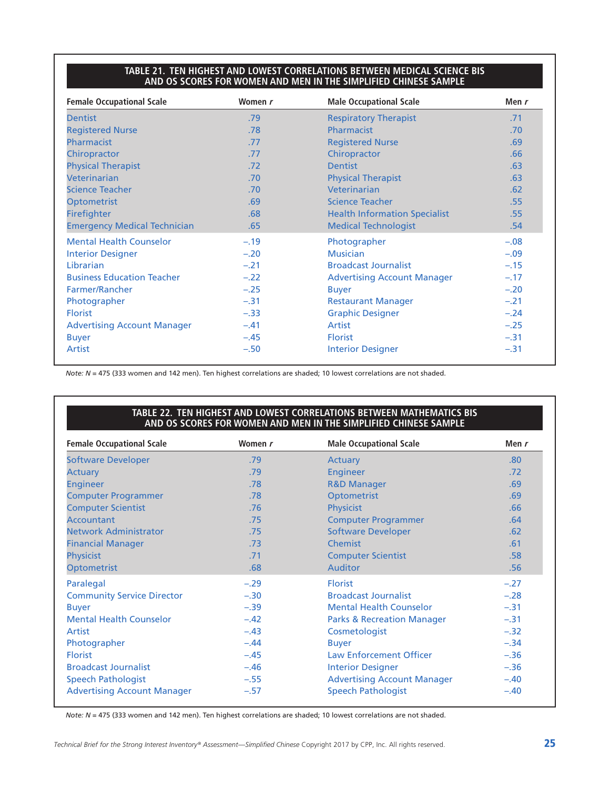#### **TABLE 21. TEN HIGHEST AND LOWEST CORRELATIONS BETWEEN MEDICAL SCIENCE BIS AND OS SCORES FOR WOMEN AND MEN IN THE SIMPLIFIED CHINESE SAMPLE**

| <b>Female Occupational Scale</b>    | Women r | <b>Male Occupational Scale</b>       | Men r  |
|-------------------------------------|---------|--------------------------------------|--------|
| <b>Dentist</b>                      | .79     | <b>Respiratory Therapist</b>         | .71    |
| <b>Registered Nurse</b>             | .78     | Pharmacist                           | .70    |
| Pharmacist                          | .77     | <b>Registered Nurse</b>              | .69    |
| Chiropractor                        | .77     | Chiropractor                         | .66    |
| <b>Physical Therapist</b>           | .72     | <b>Dentist</b>                       | .63    |
| <b>Veterinarian</b>                 | .70     | <b>Physical Therapist</b>            | .63    |
| <b>Science Teacher</b>              | .70     | Veterinarian                         | .62    |
| <b>Optometrist</b>                  | .69     | <b>Science Teacher</b>               | .55    |
| <b>Firefighter</b>                  | .68     | <b>Health Information Specialist</b> | .55    |
| <b>Emergency Medical Technician</b> | .65     | <b>Medical Technologist</b>          | .54    |
| <b>Mental Health Counselor</b>      | $-.19$  | Photographer                         | $-.08$ |
| <b>Interior Designer</b>            | $-.20$  | <b>Musician</b>                      | $-.09$ |
| Librarian                           | $-.21$  | <b>Broadcast Journalist</b>          | $-.15$ |
| <b>Business Education Teacher</b>   | $-.22$  | <b>Advertising Account Manager</b>   | $-.17$ |
| Farmer/Rancher                      | $-.25$  | <b>Buyer</b>                         | $-.20$ |
| Photographer                        | $-.31$  | <b>Restaurant Manager</b>            | $-.21$ |
| <b>Florist</b>                      | $-.33$  | <b>Graphic Designer</b>              | $-.24$ |
| <b>Advertising Account Manager</b>  | $-.41$  | Artist                               | $-.25$ |
| <b>Buyer</b>                        | $-.45$  | <b>Florist</b>                       | $-.31$ |
| <b>Artist</b>                       | $-.50$  | <b>Interior Designer</b>             | $-.31$ |

*Note: N* = 475 (333 women and 142 men). Ten highest correlations are shaded; 10 lowest correlations are not shaded.

#### **TABLE 22. TEN HIGHEST AND LOWEST CORRELATIONS BETWEEN MATHEMATICS BIS AND OS SCORES FOR WOMEN AND MEN IN THE SIMPLIFIED CHINESE SAMPLE**

| <b>Female Occupational Scale</b>   | Women r | <b>Male Occupational Scale</b>        | Men $r$ |
|------------------------------------|---------|---------------------------------------|---------|
| <b>Software Developer</b>          | .79     | <b>Actuary</b>                        | .80     |
| <b>Actuary</b>                     | .79     | <b>Engineer</b>                       | .72     |
| <b>Engineer</b>                    | .78     | <b>R&amp;D Manager</b>                | .69     |
| <b>Computer Programmer</b>         | .78     | Optometrist                           | .69     |
| <b>Computer Scientist</b>          | .76     | <b>Physicist</b>                      | .66     |
| Accountant                         | .75     | <b>Computer Programmer</b>            | .64     |
| <b>Network Administrator</b>       | .75     | <b>Software Developer</b>             | .62     |
| <b>Financial Manager</b>           | .73     | Chemist                               | .61     |
| <b>Physicist</b>                   | .71     | <b>Computer Scientist</b>             | .58     |
| Optometrist                        | .68     | <b>Auditor</b>                        | .56     |
| Paralegal                          | $-.29$  | <b>Florist</b>                        | $-.27$  |
| <b>Community Service Director</b>  | $-.30$  | <b>Broadcast Journalist</b>           | $-.28$  |
| <b>Buyer</b>                       | $-.39$  | <b>Mental Health Counselor</b>        | $-.31$  |
| <b>Mental Health Counselor</b>     | $-.42$  | <b>Parks &amp; Recreation Manager</b> | $-.31$  |
| Artist                             | $-.43$  | Cosmetologist                         | $-.32$  |
| Photographer                       | $-.44$  | <b>Buyer</b>                          | $-.34$  |
| <b>Florist</b>                     | $-.45$  | <b>Law Enforcement Officer</b>        | $-.36$  |
| <b>Broadcast Journalist</b>        | $-.46$  | <b>Interior Designer</b>              | $-.36$  |
| <b>Speech Pathologist</b>          | $-.55$  | <b>Advertising Account Manager</b>    | $-.40$  |
| <b>Advertising Account Manager</b> | $-.57$  | <b>Speech Pathologist</b>             | $-.40$  |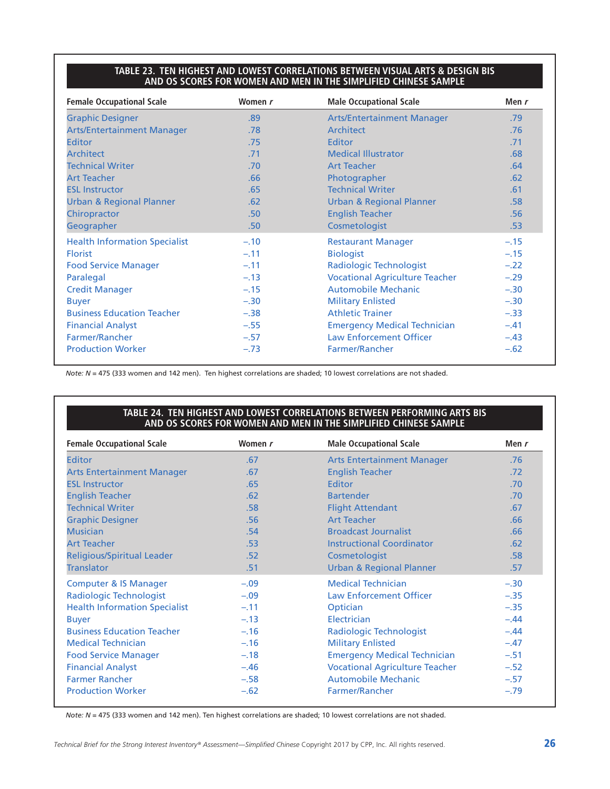#### **TABLE 23. TEN HIGHEST AND LOWEST CORRELATIONS BETWEEN VISUAL ARTS & DESIGN BIS AND OS SCORES FOR WOMEN AND MEN IN THE SIMPLIFIED CHINESE SAMPLE**

| <b>Female Occupational Scale</b>     | Women r | <b>Male Occupational Scale</b>        | Men $r$ |
|--------------------------------------|---------|---------------------------------------|---------|
| <b>Graphic Designer</b>              | .89     | <b>Arts/Entertainment Manager</b>     | .79     |
| <b>Arts/Entertainment Manager</b>    | .78     | Architect                             | .76     |
| <b>Editor</b>                        | .75     | Editor                                | .71     |
| <b>Architect</b>                     | .71     | <b>Medical Illustrator</b>            | .68     |
| <b>Technical Writer</b>              | .70     | <b>Art Teacher</b>                    | .64     |
| <b>Art Teacher</b>                   | .66     | Photographer                          | .62     |
| <b>ESL Instructor</b>                | .65     | <b>Technical Writer</b>               | .61     |
| <b>Urban &amp; Regional Planner</b>  | .62     | <b>Urban &amp; Regional Planner</b>   | .58     |
| Chiropractor                         | .50     | <b>English Teacher</b>                | .56     |
| Geographer                           | .50     | Cosmetologist                         | .53     |
| <b>Health Information Specialist</b> | $-.10$  | <b>Restaurant Manager</b>             | $-.15$  |
| <b>Florist</b>                       | $-.11$  | <b>Biologist</b>                      | $-.15$  |
| <b>Food Service Manager</b>          | $-.11$  | <b>Radiologic Technologist</b>        | $-.22$  |
| Paralegal                            | $-.13$  | <b>Vocational Agriculture Teacher</b> | $-.29$  |
| <b>Credit Manager</b>                | $-.15$  | <b>Automobile Mechanic</b>            | $-.30$  |
| <b>Buyer</b>                         | $-.30$  | <b>Military Enlisted</b>              | $-.30$  |
| <b>Business Education Teacher</b>    | $-.38$  | <b>Athletic Trainer</b>               | $-.33$  |
| <b>Financial Analyst</b>             | $-.55$  | <b>Emergency Medical Technician</b>   | $-.41$  |
| <b>Farmer/Rancher</b>                | $-.57$  | <b>Law Enforcement Officer</b>        | $-.43$  |
| <b>Production Worker</b>             | $-.73$  | <b>Farmer/Rancher</b>                 | $-.62$  |

*Note: N* = 475 (333 women and 142 men). Ten highest correlations are shaded; 10 lowest correlations are not shaded.

#### **TABLE 24. TEN HIGHEST AND LOWEST CORRELATIONS BETWEEN PERFORMING ARTS BIS AND OS SCORES FOR WOMEN AND MEN IN THE SIMPLIFIED CHINESE SAMPLE**

| <b>Female Occupational Scale</b>     | Women r | <b>Male Occupational Scale</b>        | Men r  |
|--------------------------------------|---------|---------------------------------------|--------|
| <b>Editor</b>                        | .67     | <b>Arts Entertainment Manager</b>     | .76    |
| <b>Arts Entertainment Manager</b>    | .67     | <b>English Teacher</b>                | .72    |
| <b>ESL Instructor</b>                | .65     | Editor                                | .70    |
| <b>English Teacher</b>               | .62     | <b>Bartender</b>                      | .70    |
| <b>Technical Writer</b>              | .58     | <b>Flight Attendant</b>               | .67    |
| <b>Graphic Designer</b>              | .56     | <b>Art Teacher</b>                    | .66    |
| <b>Musician</b>                      | .54     | <b>Broadcast Journalist</b>           | .66    |
| <b>Art Teacher</b>                   | .53     | <b>Instructional Coordinator</b>      | .62    |
| <b>Religious/Spiritual Leader</b>    | .52     | Cosmetologist                         | .58    |
| <b>Translator</b>                    | .51     | <b>Urban &amp; Regional Planner</b>   | .57    |
| <b>Computer &amp; IS Manager</b>     | $-.09$  | <b>Medical Technician</b>             | $-.30$ |
| Radiologic Technologist              | $-.09$  | <b>Law Enforcement Officer</b>        | $-.35$ |
| <b>Health Information Specialist</b> | $-.11$  | Optician                              | $-.35$ |
| <b>Buyer</b>                         | $-.13$  | Electrician                           | $-.44$ |
| <b>Business Education Teacher</b>    | $-.16$  | Radiologic Technologist               | $-.44$ |
| <b>Medical Technician</b>            | $-.16$  | <b>Military Enlisted</b>              | $-.47$ |
| <b>Food Service Manager</b>          | $-.18$  | <b>Emergency Medical Technician</b>   | $-.51$ |
| <b>Financial Analyst</b>             | $-.46$  | <b>Vocational Agriculture Teacher</b> | $-.52$ |
| <b>Farmer Rancher</b>                | $-.58$  | Automobile Mechanic                   | $-.57$ |
| <b>Production Worker</b>             | $-.62$  | Farmer/Rancher                        | $-.79$ |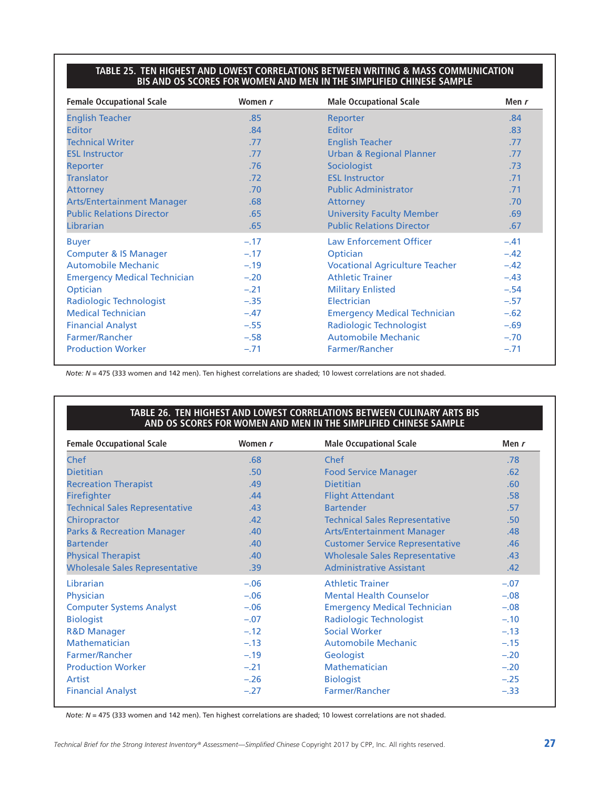#### **TABLE 25. TEN HIGHEST AND LOWEST CORRELATIONS BETWEEN WRITING & MASS COMMUNICATION BIS AND OS SCORES FOR WOMEN AND MEN IN THE SIMPLIFIED CHINESE SAMPLE**

| <b>Female Occupational Scale</b>    | Women r | <b>Male Occupational Scale</b>        | Men r  |
|-------------------------------------|---------|---------------------------------------|--------|
| <b>English Teacher</b>              | .85     | Reporter                              | .84    |
| <b>Editor</b>                       | .84     | <b>Editor</b>                         | .83    |
| <b>Technical Writer</b>             | .77     | <b>English Teacher</b>                | .77    |
| <b>ESL Instructor</b>               | .77     | <b>Urban &amp; Regional Planner</b>   | .77    |
| Reporter                            | .76     | Sociologist                           | .73    |
| <b>Translator</b>                   | .72     | <b>ESL Instructor</b>                 | .71    |
| <b>Attorney</b>                     | .70     | <b>Public Administrator</b>           | .71    |
| <b>Arts/Entertainment Manager</b>   | .68     | <b>Attorney</b>                       | .70    |
| <b>Public Relations Director</b>    | .65     | <b>University Faculty Member</b>      | .69    |
| Librarian                           | .65     | <b>Public Relations Director</b>      | .67    |
| <b>Buyer</b>                        | $-.17$  | <b>Law Enforcement Officer</b>        | $-.41$ |
| <b>Computer &amp; IS Manager</b>    | $-.17$  | Optician                              | $-.42$ |
| <b>Automobile Mechanic</b>          | $-.19$  | <b>Vocational Agriculture Teacher</b> | $-.42$ |
| <b>Emergency Medical Technician</b> | $-.20$  | <b>Athletic Trainer</b>               | $-.43$ |
| Optician                            | $-.21$  | <b>Military Enlisted</b>              | $-.54$ |
| Radiologic Technologist             | $-.35$  | Electrician                           | $-.57$ |
| <b>Medical Technician</b>           | $-.47$  | <b>Emergency Medical Technician</b>   | $-.62$ |
| <b>Financial Analyst</b>            | $-.55$  | <b>Radiologic Technologist</b>        | $-.69$ |
| Farmer/Rancher                      | $-.58$  | <b>Automobile Mechanic</b>            | $-.70$ |
| <b>Production Worker</b>            | $-.71$  | Farmer/Rancher                        | $-.71$ |

*Note: N* = 475 (333 women and 142 men). Ten highest correlations are shaded; 10 lowest correlations are not shaded.

#### **TABLE 26. TEN HIGHEST AND LOWEST CORRELATIONS BETWEEN CULINARY ARTS BIS AND OS SCORES FOR WOMEN AND MEN IN THE SIMPLIFIED CHINESE SAMPLE**

| <b>Female Occupational Scale</b>      | Women r | <b>Male Occupational Scale</b>         | Men r  |
|---------------------------------------|---------|----------------------------------------|--------|
| Chef                                  | .68     | Chef                                   | .78    |
| <b>Dietitian</b>                      | .50     | <b>Food Service Manager</b>            | .62    |
| <b>Recreation Therapist</b>           | .49     | <b>Dietitian</b>                       | .60    |
| <b>Firefighter</b>                    | .44     | <b>Flight Attendant</b>                | .58    |
| <b>Technical Sales Representative</b> | .43     | <b>Bartender</b>                       | .57    |
| Chiropractor                          | .42     | <b>Technical Sales Representative</b>  | .50    |
| <b>Parks &amp; Recreation Manager</b> | .40     | <b>Arts/Entertainment Manager</b>      | .48    |
| <b>Bartender</b>                      | .40     | <b>Customer Service Representative</b> | .46    |
| <b>Physical Therapist</b>             | .40     | <b>Wholesale Sales Representative</b>  | .43    |
| <b>Wholesale Sales Representative</b> | .39     | <b>Administrative Assistant</b>        | .42    |
| Librarian                             | $-.06$  | <b>Athletic Trainer</b>                | $-.07$ |
| Physician                             | $-.06$  | <b>Mental Health Counselor</b>         | $-.08$ |
| <b>Computer Systems Analyst</b>       | $-.06$  | <b>Emergency Medical Technician</b>    | $-.08$ |
| <b>Biologist</b>                      | $-.07$  | <b>Radiologic Technologist</b>         | $-.10$ |
| <b>R&amp;D Manager</b>                | $-.12$  | <b>Social Worker</b>                   | $-.13$ |
| Mathematician                         | $-.13$  | <b>Automobile Mechanic</b>             | $-.15$ |
| Farmer/Rancher                        | $-.19$  | Geologist                              | $-.20$ |
| <b>Production Worker</b>              | $-.21$  | Mathematician                          | $-.20$ |
| Artist                                | $-.26$  | <b>Biologist</b>                       | $-.25$ |
| <b>Financial Analyst</b>              | $-.27$  | Farmer/Rancher                         | $-.33$ |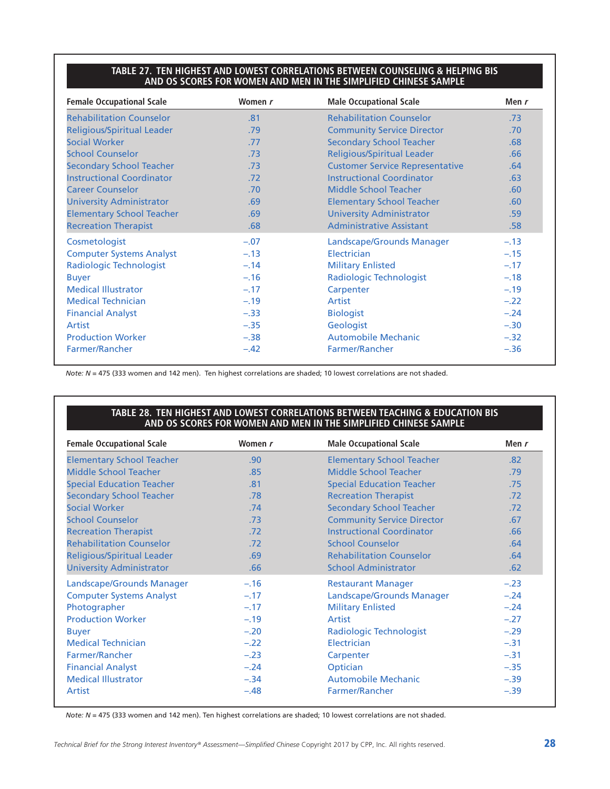#### **TABLE 27. TEN HIGHEST AND LOWEST CORRELATIONS BETWEEN COUNSELING & HELPING BIS AND OS SCORES FOR WOMEN AND MEN IN THE SIMPLIFIED CHINESE SAMPLE**

| <b>Female Occupational Scale</b>  | Women r | <b>Male Occupational Scale</b>         | Men $r$ |
|-----------------------------------|---------|----------------------------------------|---------|
| <b>Rehabilitation Counselor</b>   | .81     | <b>Rehabilitation Counselor</b>        | .73     |
| <b>Religious/Spiritual Leader</b> | .79     | <b>Community Service Director</b>      | .70     |
| <b>Social Worker</b>              | .77     | <b>Secondary School Teacher</b>        | .68     |
| <b>School Counselor</b>           | .73     | <b>Religious/Spiritual Leader</b>      | .66     |
| <b>Secondary School Teacher</b>   | .73     | <b>Customer Service Representative</b> | .64     |
| <b>Instructional Coordinator</b>  | .72     | <b>Instructional Coordinator</b>       | .63     |
| <b>Career Counselor</b>           | .70     | Middle School Teacher                  | .60     |
| <b>University Administrator</b>   | .69     | <b>Elementary School Teacher</b>       | .60     |
| <b>Elementary School Teacher</b>  | .69     | <b>University Administrator</b>        | .59     |
| <b>Recreation Therapist</b>       | .68     | <b>Administrative Assistant</b>        | .58     |
| Cosmetologist                     | $-.07$  | Landscape/Grounds Manager              | $-.13$  |
| <b>Computer Systems Analyst</b>   | $-.13$  | Electrician                            | $-.15$  |
| Radiologic Technologist           | $-.14$  | <b>Military Enlisted</b>               | $-.17$  |
| <b>Buyer</b>                      | $-.16$  | <b>Radiologic Technologist</b>         | $-.18$  |
| <b>Medical Illustrator</b>        | $-.17$  | Carpenter                              | $-.19$  |
| <b>Medical Technician</b>         | $-.19$  | Artist                                 | $-.22$  |
| <b>Financial Analyst</b>          | $-.33$  | <b>Biologist</b>                       | $-.24$  |
| Artist                            | $-.35$  | Geologist                              | $-.30$  |
| <b>Production Worker</b>          | $-.38$  | <b>Automobile Mechanic</b>             | $-.32$  |
| Farmer/Rancher                    | $-.42$  | Farmer/Rancher                         | $-.36$  |

*Note: N* = 475 (333 women and 142 men). Ten highest correlations are shaded; 10 lowest correlations are not shaded.

#### **TABLE 28. TEN HIGHEST AND LOWEST CORRELATIONS BETWEEN TEACHING & EDUCATION BIS AND OS SCORES FOR WOMEN AND MEN IN THE SIMPLIFIED CHINESE SAMPLE**

| <b>Female Occupational Scale</b>  | Women r          | <b>Male Occupational Scale</b>    | Men $r$ |
|-----------------------------------|------------------|-----------------------------------|---------|
| <b>Elementary School Teacher</b>  | .90              | <b>Elementary School Teacher</b>  | .82     |
| Middle School Teacher             | .85              | Middle School Teacher             | .79     |
| <b>Special Education Teacher</b>  | .81              | <b>Special Education Teacher</b>  | .75     |
| <b>Secondary School Teacher</b>   | .78              | <b>Recreation Therapist</b>       | .72     |
| <b>Social Worker</b>              | .74              | <b>Secondary School Teacher</b>   | .72     |
| <b>School Counselor</b>           | .73              | <b>Community Service Director</b> | .67     |
| <b>Recreation Therapist</b>       | .72 <sub>2</sub> | <b>Instructional Coordinator</b>  | .66     |
| <b>Rehabilitation Counselor</b>   | .72 <sub>2</sub> | <b>School Counselor</b>           | .64     |
| <b>Religious/Spiritual Leader</b> | .69              | <b>Rehabilitation Counselor</b>   | .64     |
| <b>University Administrator</b>   | .66              | <b>School Administrator</b>       | .62     |
| Landscape/Grounds Manager         | $-.16$           | <b>Restaurant Manager</b>         | $-.23$  |
| <b>Computer Systems Analyst</b>   | $-.17$           | Landscape/Grounds Manager         | $-.24$  |
| Photographer                      | $-.17$           | <b>Military Enlisted</b>          | $-.24$  |
| <b>Production Worker</b>          | $-.19$           | Artist                            | $-.27$  |
| <b>Buyer</b>                      | $-.20$           | Radiologic Technologist           | $-.29$  |
| <b>Medical Technician</b>         | $-.22$           | Electrician                       | $-.31$  |
| Farmer/Rancher                    | $-.23$           | Carpenter                         | $-.31$  |
| <b>Financial Analyst</b>          | $-.24$           | Optician                          | $-.35$  |
| <b>Medical Illustrator</b>        | $-.34$           | <b>Automobile Mechanic</b>        | $-.39$  |
| Artist                            | $-.48$           | Farmer/Rancher                    | $-.39$  |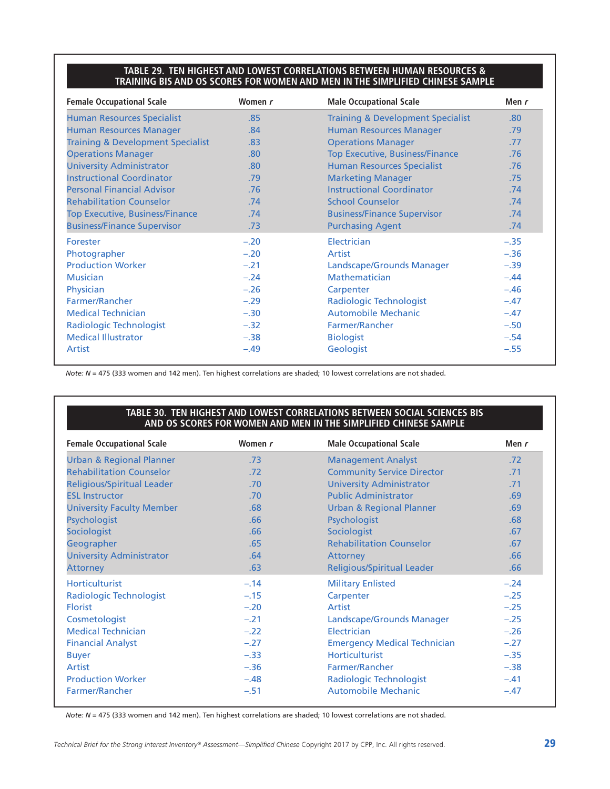#### **TABLE 29. TEN HIGHEST AND LOWEST CORRELATIONS BETWEEN HUMAN RESOURCES & TRAINING BIS AND OS SCORES FOR WOMEN AND MEN IN THE SIMPLIFIED CHINESE SAMPLE**

| <b>Female Occupational Scale</b>             | Women r | <b>Male Occupational Scale</b>               | Men r  |
|----------------------------------------------|---------|----------------------------------------------|--------|
| <b>Human Resources Specialist</b>            | .85     | <b>Training &amp; Development Specialist</b> | .80    |
| <b>Human Resources Manager</b>               | .84     | <b>Human Resources Manager</b>               | .79    |
| <b>Training &amp; Development Specialist</b> | .83     | <b>Operations Manager</b>                    | .77    |
| <b>Operations Manager</b>                    | .80     | <b>Top Executive, Business/Finance</b>       | .76    |
| <b>University Administrator</b>              | .80     | <b>Human Resources Specialist</b>            | .76    |
| <b>Instructional Coordinator</b>             | .79     | <b>Marketing Manager</b>                     | .75    |
| <b>Personal Financial Advisor</b>            | .76     | <b>Instructional Coordinator</b>             | .74    |
| <b>Rehabilitation Counselor</b>              | .74     | <b>School Counselor</b>                      | .74    |
| <b>Top Executive, Business/Finance</b>       | .74     | <b>Business/Finance Supervisor</b>           | .74    |
| <b>Business/Finance Supervisor</b>           | .73     | <b>Purchasing Agent</b>                      | .74    |
| Forester                                     | $-.20$  | Electrician                                  | $-.35$ |
| Photographer                                 | $-.20$  | Artist                                       | $-.36$ |
| <b>Production Worker</b>                     | $-.21$  | Landscape/Grounds Manager                    | $-.39$ |
| <b>Musician</b>                              | $-.24$  | Mathematician                                | $-.44$ |
| Physician                                    | $-.26$  | Carpenter                                    | $-.46$ |
| Farmer/Rancher                               | $-.29$  | Radiologic Technologist                      | $-.47$ |
| <b>Medical Technician</b>                    | $-.30$  | <b>Automobile Mechanic</b>                   | $-.47$ |
| Radiologic Technologist                      | $-.32$  | Farmer/Rancher                               | $-.50$ |
| <b>Medical Illustrator</b>                   | $-.38$  | <b>Biologist</b>                             | $-.54$ |
| Artist                                       | $-.49$  | Geologist                                    | $-.55$ |

*Note: N* = 475 (333 women and 142 men). Ten highest correlations are shaded; 10 lowest correlations are not shaded.

#### **TABLE 30. TEN HIGHEST AND LOWEST CORRELATIONS BETWEEN SOCIAL SCIENCES BIS AND OS SCORES FOR WOMEN AND MEN IN THE SIMPLIFIED CHINESE SAMPLE**

| <b>Female Occupational Scale</b>    | Women r | <b>Male Occupational Scale</b>      | Men $r$ |
|-------------------------------------|---------|-------------------------------------|---------|
| <b>Urban &amp; Regional Planner</b> | .73     | <b>Management Analyst</b>           | .72     |
| <b>Rehabilitation Counselor</b>     | .72     | <b>Community Service Director</b>   | .71     |
| <b>Religious/Spiritual Leader</b>   | .70     | <b>University Administrator</b>     | .71     |
| <b>ESL Instructor</b>               | .70     | <b>Public Administrator</b>         | .69     |
| <b>University Faculty Member</b>    | .68     | <b>Urban &amp; Regional Planner</b> | .69     |
| Psychologist                        | .66     | Psychologist                        | .68     |
| Sociologist                         | .66     | Sociologist                         | .67     |
| Geographer                          | .65     | <b>Rehabilitation Counselor</b>     | .67     |
| <b>University Administrator</b>     | .64     | Attorney                            | .66     |
| <b>Attorney</b>                     | .63     | <b>Religious/Spiritual Leader</b>   | .66     |
| <b>Horticulturist</b>               | $-.14$  | <b>Military Enlisted</b>            | $-.24$  |
| Radiologic Technologist             | $-.15$  | Carpenter                           | $-.25$  |
| <b>Florist</b>                      | $-.20$  | Artist                              | $-.25$  |
| Cosmetologist                       | $-.21$  | Landscape/Grounds Manager           | $-.25$  |
| <b>Medical Technician</b>           | $-.22$  | Electrician                         | $-.26$  |
| <b>Financial Analyst</b>            | $-.27$  | <b>Emergency Medical Technician</b> | $-.27$  |
| <b>Buyer</b>                        | $-.33$  | <b>Horticulturist</b>               | $-.35$  |
| Artist                              | $-.36$  | Farmer/Rancher                      | $-.38$  |
| <b>Production Worker</b>            | $-.48$  | <b>Radiologic Technologist</b>      | $-.41$  |
| Farmer/Rancher                      | $-.51$  | <b>Automobile Mechanic</b>          | $-.47$  |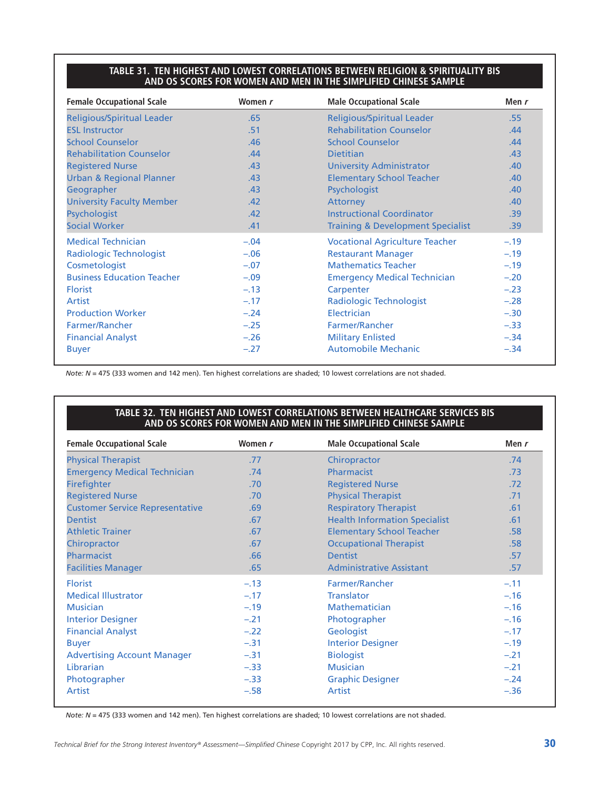#### **TABLE 31. TEN HIGHEST AND LOWEST CORRELATIONS BETWEEN RELIGION & SPIRITUALITY BIS AND OS SCORES FOR WOMEN AND MEN IN THE SIMPLIFIED CHINESE SAMPLE**

| <b>Female Occupational Scale</b>    | Women r | <b>Male Occupational Scale</b>               | Men r            |
|-------------------------------------|---------|----------------------------------------------|------------------|
| <b>Religious/Spiritual Leader</b>   | .65     | <b>Religious/Spiritual Leader</b>            | .55              |
| <b>ESL Instructor</b>               | .51     | <b>Rehabilitation Counselor</b>              | .44              |
| <b>School Counselor</b>             | .46     | <b>School Counselor</b>                      | .44              |
| <b>Rehabilitation Counselor</b>     | .44     | <b>Dietitian</b>                             | .43              |
| <b>Registered Nurse</b>             | .43     | <b>University Administrator</b>              | .40              |
| <b>Urban &amp; Regional Planner</b> | .43     | <b>Elementary School Teacher</b>             | .40              |
| Geographer                          | .43     | Psychologist                                 | .40              |
| <b>University Faculty Member</b>    | .42     | <b>Attorney</b>                              | .40              |
| Psychologist                        | .42     | <b>Instructional Coordinator</b>             | .39              |
| <b>Social Worker</b>                | .41     | <b>Training &amp; Development Specialist</b> | .39 <sub>0</sub> |
| <b>Medical Technician</b>           | $-.04$  | <b>Vocational Agriculture Teacher</b>        | $-.19$           |
| Radiologic Technologist             | $-.06$  | <b>Restaurant Manager</b>                    | $-.19$           |
| Cosmetologist                       | $-.07$  | <b>Mathematics Teacher</b>                   | $-.19$           |
| <b>Business Education Teacher</b>   | $-.09$  | <b>Emergency Medical Technician</b>          | $-.20$           |
| <b>Florist</b>                      | $-.13$  | Carpenter                                    | $-.23$           |
| Artist                              | $-.17$  | <b>Radiologic Technologist</b>               | $-.28$           |
| <b>Production Worker</b>            | $-.24$  | Electrician                                  | $-.30$           |
| <b>Farmer/Rancher</b>               | $-.25$  | Farmer/Rancher                               | $-.33$           |
| <b>Financial Analyst</b>            | $-.26$  | <b>Military Enlisted</b>                     | $-.34$           |
| <b>Buyer</b>                        | $-.27$  | <b>Automobile Mechanic</b>                   | $-.34$           |

*Note: N* = 475 (333 women and 142 men). Ten highest correlations are shaded; 10 lowest correlations are not shaded.

#### **TABLE 32. TEN HIGHEST AND LOWEST CORRELATIONS BETWEEN HEALTHCARE SERVICES BIS AND OS SCORES FOR WOMEN AND MEN IN THE SIMPLIFIED CHINESE SAMPLE**

| <b>Female Occupational Scale</b>       | Women r | <b>Male Occupational Scale</b>       | Men $r$ |
|----------------------------------------|---------|--------------------------------------|---------|
| <b>Physical Therapist</b>              | .77     | Chiropractor                         | .74     |
| <b>Emergency Medical Technician</b>    | .74     | Pharmacist                           | .73     |
| Firefighter                            | .70     | <b>Registered Nurse</b>              | .72     |
| <b>Registered Nurse</b>                | .70     | <b>Physical Therapist</b>            | .71     |
| <b>Customer Service Representative</b> | .69     | <b>Respiratory Therapist</b>         | .61     |
| <b>Dentist</b>                         | .67     | <b>Health Information Specialist</b> | .61     |
| <b>Athletic Trainer</b>                | .67     | <b>Elementary School Teacher</b>     | .58     |
| Chiropractor                           | .67     | <b>Occupational Therapist</b>        | .58     |
| Pharmacist                             | .66     | <b>Dentist</b>                       | .57     |
| <b>Facilities Manager</b>              | .65     | <b>Administrative Assistant</b>      | .57     |
| <b>Florist</b>                         | $-.13$  | Farmer/Rancher                       | $-.11$  |
| <b>Medical Illustrator</b>             | $-.17$  | <b>Translator</b>                    | $-.16$  |
| <b>Musician</b>                        | $-.19$  | <b>Mathematician</b>                 | $-.16$  |
| <b>Interior Designer</b>               | $-.21$  | Photographer                         | $-.16$  |
| <b>Financial Analyst</b>               | $-.22$  | Geologist                            | $-.17$  |
| <b>Buyer</b>                           | $-.31$  | <b>Interior Designer</b>             | $-.19$  |
| <b>Advertising Account Manager</b>     | $-.31$  | <b>Biologist</b>                     | $-.21$  |
| Librarian                              | $-.33$  | <b>Musician</b>                      | $-.21$  |
| Photographer                           | $-.33$  | <b>Graphic Designer</b>              | $-.24$  |
| Artist                                 | $-.58$  | Artist                               | $-.36$  |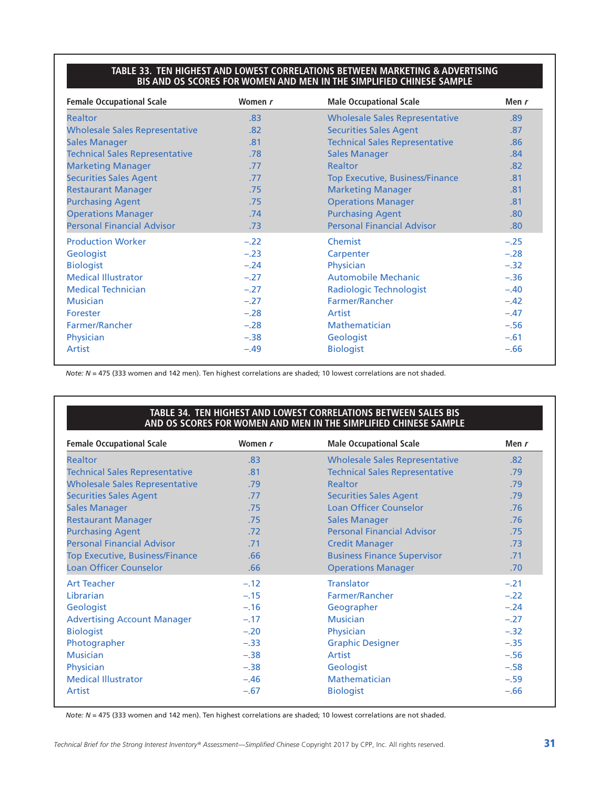#### **TABLE 33. TEN HIGHEST AND LOWEST CORRELATIONS BETWEEN MARKETING & ADVERTISING BIS AND OS SCORES FOR WOMEN AND MEN IN THE SIMPLIFIED CHINESE SAMPLE**

| <b>Female Occupational Scale</b>      | Women r | <b>Male Occupational Scale</b>         | Men r  |
|---------------------------------------|---------|----------------------------------------|--------|
| <b>Realtor</b>                        | .83     | <b>Wholesale Sales Representative</b>  | .89    |
| <b>Wholesale Sales Representative</b> | .82     | <b>Securities Sales Agent</b>          | .87    |
| <b>Sales Manager</b>                  | .81     | <b>Technical Sales Representative</b>  | .86    |
| <b>Technical Sales Representative</b> | .78     | <b>Sales Manager</b>                   | .84    |
| <b>Marketing Manager</b>              | .77     | <b>Realtor</b>                         | .82    |
| <b>Securities Sales Agent</b>         | .77     | <b>Top Executive, Business/Finance</b> | .81    |
| <b>Restaurant Manager</b>             | .75     | <b>Marketing Manager</b>               | .81    |
| <b>Purchasing Agent</b>               | .75     | <b>Operations Manager</b>              | .81    |
| <b>Operations Manager</b>             | .74     | <b>Purchasing Agent</b>                | .80    |
| <b>Personal Financial Advisor</b>     | .73     | <b>Personal Financial Advisor</b>      | .80    |
| <b>Production Worker</b>              | $-.22$  | Chemist                                | $-.25$ |
| Geologist                             | $-.23$  | Carpenter                              | $-.28$ |
| <b>Biologist</b>                      | $-.24$  | Physician                              | $-.32$ |
| <b>Medical Illustrator</b>            | $-.27$  | <b>Automobile Mechanic</b>             | $-.36$ |
| <b>Medical Technician</b>             | $-.27$  | Radiologic Technologist                | $-.40$ |
| <b>Musician</b>                       | $-.27$  | Farmer/Rancher                         | $-.42$ |
| Forester                              | $-.28$  | Artist                                 | $-.47$ |
| <b>Farmer/Rancher</b>                 | $-.28$  | <b>Mathematician</b>                   | $-.56$ |
| Physician                             | $-.38$  | Geologist                              | $-.61$ |
| <b>Artist</b>                         | $-.49$  | <b>Biologist</b>                       | $-.66$ |

*Note: N* = 475 (333 women and 142 men). Ten highest correlations are shaded; 10 lowest correlations are not shaded.

#### **TABLE 34. TEN HIGHEST AND LOWEST CORRELATIONS BETWEEN SALES BIS AND OS SCORES FOR WOMEN AND MEN IN THE SIMPLIFIED CHINESE SAMPLE**

| <b>Female Occupational Scale</b>       | Women r | <b>Male Occupational Scale</b>        | Men r  |  |
|----------------------------------------|---------|---------------------------------------|--------|--|
| <b>Realtor</b>                         | .83     | <b>Wholesale Sales Representative</b> | .82    |  |
| <b>Technical Sales Representative</b>  | .81     | <b>Technical Sales Representative</b> | .79    |  |
| <b>Wholesale Sales Representative</b>  | .79     | <b>Realtor</b>                        | .79    |  |
| <b>Securities Sales Agent</b>          | .77     | <b>Securities Sales Agent</b>         | .79    |  |
| <b>Sales Manager</b>                   | .75     | <b>Loan Officer Counselor</b>         | .76    |  |
| <b>Restaurant Manager</b>              | .75     | <b>Sales Manager</b>                  | .76    |  |
| <b>Purchasing Agent</b>                | .72     | <b>Personal Financial Advisor</b>     | .75    |  |
| <b>Personal Financial Advisor</b>      | .71     | <b>Credit Manager</b>                 | .73    |  |
| <b>Top Executive, Business/Finance</b> | .66     | <b>Business Finance Supervisor</b>    | .71    |  |
| <b>Loan Officer Counselor</b>          | .66     | <b>Operations Manager</b>             | .70    |  |
| <b>Art Teacher</b>                     | $-.12$  | <b>Translator</b>                     | $-.21$ |  |
| Librarian                              | $-.15$  | Farmer/Rancher                        | $-.22$ |  |
| Geologist                              | $-.16$  | Geographer                            | $-.24$ |  |
| <b>Advertising Account Manager</b>     | $-.17$  | <b>Musician</b>                       | $-.27$ |  |
| <b>Biologist</b>                       | $-.20$  | Physician                             | $-.32$ |  |
| Photographer                           | $-.33$  | <b>Graphic Designer</b>               | $-.35$ |  |
| <b>Musician</b>                        | $-.38$  | Artist                                | $-.56$ |  |
| Physician                              | $-.38$  | Geologist                             | $-.58$ |  |
| <b>Medical Illustrator</b>             | $-.46$  | Mathematician                         | $-.59$ |  |
| Artist                                 | $-.67$  | <b>Biologist</b>                      | $-.66$ |  |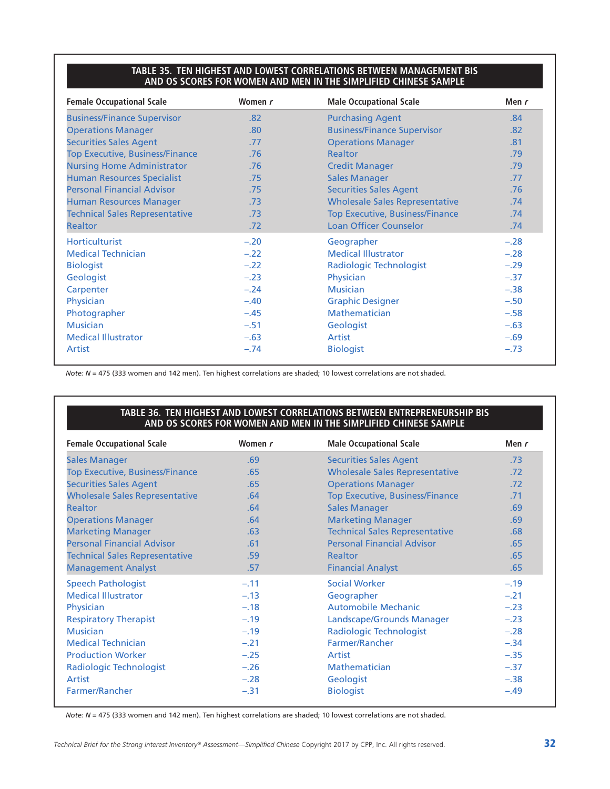#### **TABLE 35. TEN HIGHEST AND LOWEST CORRELATIONS BETWEEN MANAGEMENT BIS AND OS SCORES FOR WOMEN AND MEN IN THE SIMPLIFIED CHINESE SAMPLE**

| <b>Female Occupational Scale</b>       | Women r | <b>Male Occupational Scale</b>         | Men r  |  |
|----------------------------------------|---------|----------------------------------------|--------|--|
| <b>Business/Finance Supervisor</b>     | .82     | <b>Purchasing Agent</b>                | .84    |  |
| <b>Operations Manager</b>              | .80     | <b>Business/Finance Supervisor</b>     |        |  |
| <b>Securities Sales Agent</b>          | .77     | <b>Operations Manager</b>              | .81    |  |
| <b>Top Executive, Business/Finance</b> | .76     | <b>Realtor</b>                         | .79    |  |
| <b>Nursing Home Administrator</b>      | .76     | <b>Credit Manager</b>                  | .79    |  |
| <b>Human Resources Specialist</b>      | .75     | <b>Sales Manager</b>                   | .77    |  |
| <b>Personal Financial Advisor</b>      | .75     | <b>Securities Sales Agent</b>          | .76    |  |
| Human Resources Manager                | .73     | <b>Wholesale Sales Representative</b>  | .74    |  |
| <b>Technical Sales Representative</b>  | .73     | <b>Top Executive, Business/Finance</b> | .74    |  |
| <b>Realtor</b>                         | .72     | <b>Loan Officer Counselor</b>          | .74    |  |
| <b>Horticulturist</b>                  | $-.20$  | Geographer                             | $-.28$ |  |
| <b>Medical Technician</b>              | $-.22$  | <b>Medical Illustrator</b>             | $-.28$ |  |
| <b>Biologist</b>                       | $-.22$  | <b>Radiologic Technologist</b>         | $-.29$ |  |
| Geologist                              | $-.23$  | Physician                              | $-.37$ |  |
| Carpenter                              | $-.24$  | <b>Musician</b>                        | $-.38$ |  |
| Physician                              | $-.40$  | <b>Graphic Designer</b>                | $-.50$ |  |
| Photographer                           | $-.45$  | Mathematician                          | $-.58$ |  |
| <b>Musician</b>                        | $-.51$  | Geologist                              | $-.63$ |  |
| <b>Medical Illustrator</b>             | $-.63$  | Artist                                 | $-.69$ |  |
| Artist                                 | $-.74$  | <b>Biologist</b>                       | $-.73$ |  |

*Note: N* = 475 (333 women and 142 men). Ten highest correlations are shaded; 10 lowest correlations are not shaded.

#### **TABLE 36. TEN HIGHEST AND LOWEST CORRELATIONS BETWEEN ENTREPRENEURSHIP BIS AND OS SCORES FOR WOMEN AND MEN IN THE SIMPLIFIED CHINESE SAMPLE**

| <b>Female Occupational Scale</b>       | Women r | <b>Male Occupational Scale</b>         | Men $r$ |  |
|----------------------------------------|---------|----------------------------------------|---------|--|
| <b>Sales Manager</b>                   | .69     | <b>Securities Sales Agent</b>          | .73     |  |
| <b>Top Executive, Business/Finance</b> | .65     | <b>Wholesale Sales Representative</b>  | .72     |  |
| <b>Securities Sales Agent</b>          | .65     | <b>Operations Manager</b>              | .72     |  |
| <b>Wholesale Sales Representative</b>  | .64     | <b>Top Executive, Business/Finance</b> | .71     |  |
| <b>Realtor</b>                         | .64     | <b>Sales Manager</b>                   | .69     |  |
| <b>Operations Manager</b>              | .64     | <b>Marketing Manager</b>               | .69     |  |
| <b>Marketing Manager</b>               | .63     | <b>Technical Sales Representative</b>  | .68     |  |
| <b>Personal Financial Advisor</b>      | .61     | <b>Personal Financial Advisor</b>      | .65     |  |
| <b>Technical Sales Representative</b>  | .59     | Realtor                                | .65     |  |
| <b>Management Analyst</b>              | .57     | <b>Financial Analyst</b>               | .65     |  |
| <b>Speech Pathologist</b>              | $-.11$  | <b>Social Worker</b>                   | $-.19$  |  |
| <b>Medical Illustrator</b>             | $-.13$  | Geographer                             | $-.21$  |  |
| Physician                              | $-.18$  | <b>Automobile Mechanic</b>             | $-.23$  |  |
| <b>Respiratory Therapist</b>           | $-.19$  | Landscape/Grounds Manager              | $-.23$  |  |
| <b>Musician</b>                        | $-.19$  | Radiologic Technologist                | $-.28$  |  |
| <b>Medical Technician</b>              | $-.21$  | Farmer/Rancher                         | $-.34$  |  |
| <b>Production Worker</b>               | $-.25$  | Artist                                 | $-.35$  |  |
| Radiologic Technologist                | $-.26$  | <b>Mathematician</b>                   | $-.37$  |  |
| Artist                                 | $-.28$  | Geologist                              | $-.38$  |  |
| Farmer/Rancher                         | $-.31$  | <b>Biologist</b>                       | $-.49$  |  |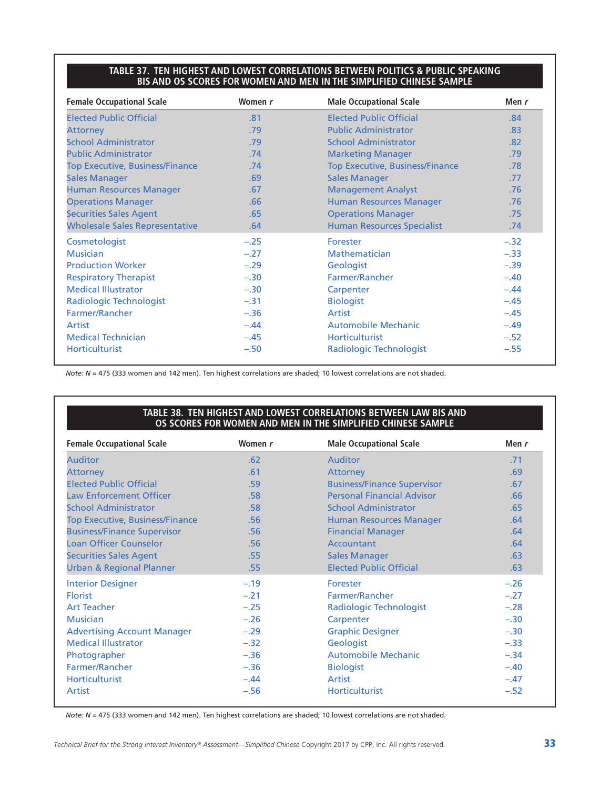#### **TABLE 37. TEN HIGHEST AND LOWEST CORRELATIONS BETWEEN POLITICS & PUBLIC SPEAKING BIS AND OS SCORES FOR WOMEN AND MEN IN THE SIMPLIFIED CHINESE SAMPLE**

| <b>Female Occupational Scale</b>       | Women r | <b>Male Occupational Scale</b>         | Men $r$ |
|----------------------------------------|---------|----------------------------------------|---------|
| <b>Elected Public Official</b>         | .81     | <b>Elected Public Official</b>         | .84     |
| <b>Attorney</b>                        | .79     | <b>Public Administrator</b>            |         |
| <b>School Administrator</b>            | .79     | <b>School Administrator</b>            | .82     |
| <b>Public Administrator</b>            | .74     | <b>Marketing Manager</b>               | .79     |
| <b>Top Executive, Business/Finance</b> | .74     | <b>Top Executive, Business/Finance</b> | .78     |
| <b>Sales Manager</b>                   | .69     | <b>Sales Manager</b>                   | .77     |
| <b>Human Resources Manager</b>         | .67     | <b>Management Analyst</b>              | .76     |
| <b>Operations Manager</b>              | .66     | <b>Human Resources Manager</b>         | .76     |
| <b>Securities Sales Agent</b>          | .65     | <b>Operations Manager</b>              | .75     |
| <b>Wholesale Sales Representative</b>  | .64     | <b>Human Resources Specialist</b>      | .74     |
| Cosmetologist                          | $-.25$  | Forester                               | $-.32$  |
| <b>Musician</b>                        | $-.27$  | Mathematician                          | $-.33$  |
| <b>Production Worker</b>               | $-.29$  | Geologist                              | $-.39$  |
| <b>Respiratory Therapist</b>           | $-.30$  | Farmer/Rancher                         | $-.40$  |
| <b>Medical Illustrator</b>             | $-.30$  | Carpenter                              | $-.44$  |
| Radiologic Technologist                | $-.31$  | <b>Biologist</b>                       | $-.45$  |
| Farmer/Rancher                         | $-.36$  | <b>Artist</b>                          | $-.45$  |
| Artist                                 | $-.44$  | <b>Automobile Mechanic</b>             | $-.49$  |
| <b>Medical Technician</b>              | $-.45$  | <b>Horticulturist</b>                  | $-.52$  |
| <b>Horticulturist</b>                  | $-.50$  | Radiologic Technologist                | $-.55$  |

*Note: N* = 475 (333 women and 142 men). Ten highest correlations are shaded; 10 lowest correlations are not shaded.

#### **TABLE 38. TEN HIGHEST AND LOWEST CORRELATIONS BETWEEN LAW BIS AND OS SCORES FOR WOMEN AND MEN IN THE SIMPLIFIED CHINESE SAMPLE**

| <b>Female Occupational Scale</b>       | Women r                         | <b>Male Occupational Scale</b>     | Men r  |
|----------------------------------------|---------------------------------|------------------------------------|--------|
| <b>Auditor</b>                         | .62                             | <b>Auditor</b>                     | .71    |
| <b>Attorney</b>                        | .61                             | <b>Attorney</b>                    | .69    |
| <b>Elected Public Official</b>         | .59                             | <b>Business/Finance Supervisor</b> | .67    |
| <b>Law Enforcement Officer</b>         | .58                             | <b>Personal Financial Advisor</b>  | .66    |
| <b>School Administrator</b>            | .58                             | <b>School Administrator</b>        | .65    |
| <b>Top Executive, Business/Finance</b> | .56                             | <b>Human Resources Manager</b>     | .64    |
| <b>Business/Finance Supervisor</b>     | <b>Financial Manager</b><br>.56 |                                    | .64    |
| <b>Loan Officer Counselor</b>          | Accountant<br>.56               |                                    | .64    |
| <b>Securities Sales Agent</b>          | .55                             | <b>Sales Manager</b>               | .63    |
| <b>Urban &amp; Regional Planner</b>    | .55                             | <b>Elected Public Official</b>     | .63    |
| <b>Interior Designer</b>               | $-.19$                          | Forester                           | $-.26$ |
| <b>Florist</b>                         | $-.21$                          | Farmer/Rancher                     | $-.27$ |
| <b>Art Teacher</b>                     | $-.25$                          | Radiologic Technologist            | $-.28$ |
| <b>Musician</b>                        | $-.26$                          | Carpenter                          | $-.30$ |
| <b>Advertising Account Manager</b>     | $-.29$                          | <b>Graphic Designer</b>            | $-.30$ |
| <b>Medical Illustrator</b>             | $-.32$                          | Geologist                          | $-.33$ |
| Photographer                           | $-.36$                          | Automobile Mechanic                | $-.34$ |
| Farmer/Rancher                         | $-.36$                          | <b>Biologist</b>                   | $-.40$ |
| <b>Horticulturist</b>                  | $-.44$                          | Artist                             | $-.47$ |
| Artist                                 | $-.56$                          | <b>Horticulturist</b>              | $-.52$ |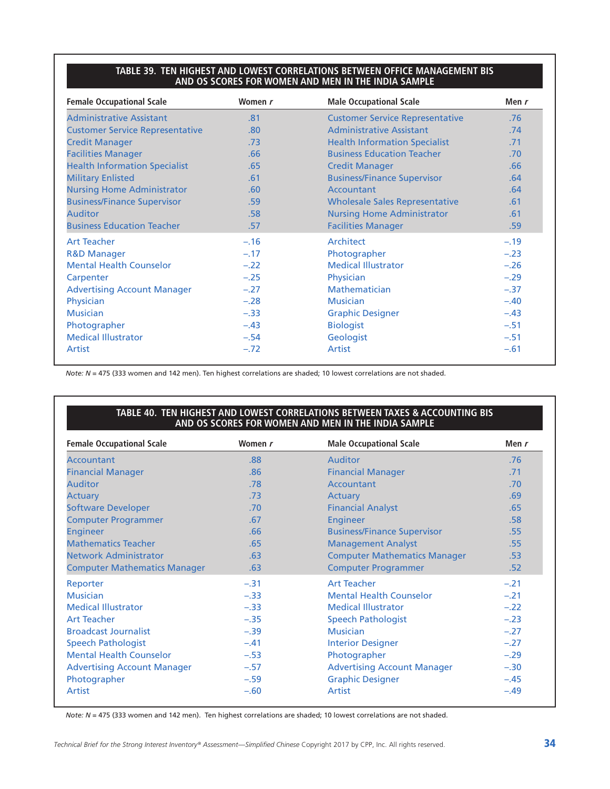#### **TABLE 39. TEN HIGHEST AND LOWEST CORRELATIONS BETWEEN OFFICE MANAGEMENT BIS AND OS SCORES FOR WOMEN AND MEN IN THE INDIA SAMPLE**

| <b>Female Occupational Scale</b>       | Women r                                | <b>Male Occupational Scale</b>         | Men $r$ |  |
|----------------------------------------|----------------------------------------|----------------------------------------|---------|--|
| <b>Administrative Assistant</b>        | .81                                    | <b>Customer Service Representative</b> | .76     |  |
| <b>Customer Service Representative</b> | <b>Administrative Assistant</b><br>.80 |                                        | .74     |  |
| <b>Credit Manager</b>                  | .73                                    | <b>Health Information Specialist</b>   | .71     |  |
| <b>Facilities Manager</b>              | .66                                    | <b>Business Education Teacher</b>      | .70     |  |
| <b>Health Information Specialist</b>   | .65                                    | <b>Credit Manager</b>                  | .66     |  |
| <b>Military Enlisted</b>               | .61                                    | <b>Business/Finance Supervisor</b>     | .64     |  |
| <b>Nursing Home Administrator</b>      | .60                                    | Accountant                             |         |  |
| <b>Business/Finance Supervisor</b>     | .59                                    | <b>Wholesale Sales Representative</b>  | .61     |  |
| <b>Auditor</b>                         | .58                                    | <b>Nursing Home Administrator</b>      | .61     |  |
| <b>Business Education Teacher</b>      | .57                                    | <b>Facilities Manager</b>              | .59     |  |
| <b>Art Teacher</b>                     | $-.16$                                 | Architect                              | $-.19$  |  |
| <b>R&amp;D Manager</b>                 | $-.17$                                 | Photographer                           | $-.23$  |  |
| <b>Mental Health Counselor</b>         | $-.22$                                 | <b>Medical Illustrator</b>             | $-.26$  |  |
| Carpenter                              | $-.25$                                 | Physician                              | $-.29$  |  |
| <b>Advertising Account Manager</b>     | $-.27$                                 | Mathematician                          | $-.37$  |  |
| Physician                              | $-.28$                                 | <b>Musician</b>                        | $-.40$  |  |
| <b>Musician</b>                        | $-.33$                                 | <b>Graphic Designer</b>                | $-.43$  |  |
| Photographer                           | $-.43$                                 | <b>Biologist</b>                       | $-.51$  |  |
| <b>Medical Illustrator</b>             | $-.54$                                 | Geologist                              | $-.51$  |  |
| Artist                                 | $-.72$                                 | Artist                                 | $-.61$  |  |

*Note: N* = 475 (333 women and 142 men). Ten highest correlations are shaded; 10 lowest correlations are not shaded.

#### **TABLE 40. TEN HIGHEST AND LOWEST CORRELATIONS BETWEEN TAXES & ACCOUNTING BIS AND OS SCORES FOR WOMEN AND MEN IN THE INDIA SAMPLE**

| <b>Female Occupational Scale</b>    | Women r                          | <b>Male Occupational Scale</b>      | Men $r$ |  |
|-------------------------------------|----------------------------------|-------------------------------------|---------|--|
| Accountant                          | .88                              | <b>Auditor</b>                      | .76     |  |
| <b>Financial Manager</b>            | .86                              | <b>Financial Manager</b>            | .71     |  |
| <b>Auditor</b>                      | .78                              | Accountant                          | .70     |  |
| <b>Actuary</b>                      | .73                              | Actuary                             | .69     |  |
| <b>Software Developer</b>           | .70                              | <b>Financial Analyst</b>            | .65     |  |
| <b>Computer Programmer</b>          | .67                              | <b>Engineer</b>                     | .58     |  |
| <b>Engineer</b>                     | .66                              | <b>Business/Finance Supervisor</b>  | .55     |  |
| <b>Mathematics Teacher</b>          | <b>Management Analyst</b><br>.65 |                                     | .55     |  |
| <b>Network Administrator</b>        | .63                              | <b>Computer Mathematics Manager</b> | .53     |  |
| <b>Computer Mathematics Manager</b> | .63                              | <b>Computer Programmer</b>          | .52     |  |
| Reporter                            | $-.31$                           | <b>Art Teacher</b>                  | $-.21$  |  |
| <b>Musician</b>                     | $-.33$                           | <b>Mental Health Counselor</b>      | $-.21$  |  |
| <b>Medical Illustrator</b>          | $-.33$                           | <b>Medical Illustrator</b>          | $-.22$  |  |
| <b>Art Teacher</b>                  | $-.35$                           | <b>Speech Pathologist</b>           | $-.23$  |  |
| <b>Broadcast Journalist</b>         | $-.39$                           | <b>Musician</b>                     | $-.27$  |  |
| <b>Speech Pathologist</b>           | $-.41$                           | <b>Interior Designer</b>            | $-.27$  |  |
| <b>Mental Health Counselor</b>      | $-.53$                           | Photographer                        | $-.29$  |  |
| <b>Advertising Account Manager</b>  | $-.57$                           | <b>Advertising Account Manager</b>  | $-.30$  |  |
| Photographer                        | $-.59$                           | <b>Graphic Designer</b>             | $-.45$  |  |
| Artist                              | $-.60$                           | Artist                              | $-.49$  |  |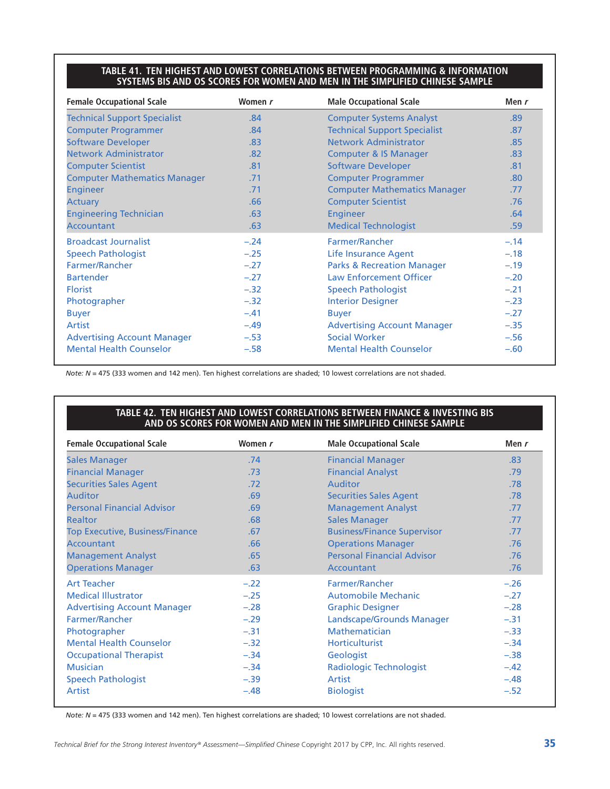#### **TABLE 41. TEN HIGHEST AND LOWEST CORRELATIONS BETWEEN PROGRAMMING & INFORMATION SYSTEMS BIS AND OS SCORES FOR WOMEN AND MEN IN THE SIMPLIFIED CHINESE SAMPLE**

| <b>Female Occupational Scale</b>    | Women r | <b>Male Occupational Scale</b>        | Men $r$ |
|-------------------------------------|---------|---------------------------------------|---------|
| <b>Technical Support Specialist</b> | .84     | <b>Computer Systems Analyst</b>       | .89     |
| <b>Computer Programmer</b>          | .84     | <b>Technical Support Specialist</b>   | .87     |
| <b>Software Developer</b>           | .83     | Network Administrator                 | .85     |
| <b>Network Administrator</b>        | .82     | <b>Computer &amp; IS Manager</b>      | .83     |
| <b>Computer Scientist</b>           | .81     | <b>Software Developer</b>             | .81     |
| <b>Computer Mathematics Manager</b> | .71     | <b>Computer Programmer</b>            | .80     |
| <b>Engineer</b>                     | .71     | <b>Computer Mathematics Manager</b>   | .77     |
| <b>Actuary</b>                      | .66     | <b>Computer Scientist</b>             | .76     |
| <b>Engineering Technician</b>       | .63     | <b>Engineer</b>                       | .64     |
| <b>Accountant</b>                   | .63     | <b>Medical Technologist</b>           | .59     |
| <b>Broadcast Journalist</b>         | $-.24$  | Farmer/Rancher                        | $-.14$  |
| <b>Speech Pathologist</b>           | $-.25$  | Life Insurance Agent                  | $-.18$  |
| Farmer/Rancher                      | $-.27$  | <b>Parks &amp; Recreation Manager</b> | $-.19$  |
| <b>Bartender</b>                    | $-.27$  | <b>Law Enforcement Officer</b>        | $-.20$  |
| <b>Florist</b>                      | $-.32$  | <b>Speech Pathologist</b>             | $-.21$  |
| Photographer                        | $-.32$  | <b>Interior Designer</b>              | $-.23$  |
| <b>Buyer</b>                        | $-.41$  | <b>Buyer</b>                          | $-.27$  |
| Artist                              | $-.49$  | <b>Advertising Account Manager</b>    | $-.35$  |
| <b>Advertising Account Manager</b>  | $-.53$  | <b>Social Worker</b>                  | $-.56$  |
| <b>Mental Health Counselor</b>      | $-.58$  | <b>Mental Health Counselor</b>        | $-.60$  |

*Note: N* = 475 (333 women and 142 men). Ten highest correlations are shaded; 10 lowest correlations are not shaded.

#### **TABLE 42. TEN HIGHEST AND LOWEST CORRELATIONS BETWEEN FINANCE & INVESTING BIS AND OS SCORES FOR WOMEN AND MEN IN THE SIMPLIFIED CHINESE SAMPLE**

| <b>Female Occupational Scale</b>       | Women r | <b>Male Occupational Scale</b>     | Men r  |
|----------------------------------------|---------|------------------------------------|--------|
| <b>Sales Manager</b>                   | .74     | <b>Financial Manager</b>           | .83    |
| <b>Financial Manager</b>               | .73     | <b>Financial Analyst</b>           | .79    |
| <b>Securities Sales Agent</b>          | .72     | <b>Auditor</b>                     | .78    |
| <b>Auditor</b>                         | .69     | <b>Securities Sales Agent</b>      | .78    |
| <b>Personal Financial Advisor</b>      | .69     | <b>Management Analyst</b>          | .77    |
| <b>Realtor</b>                         | .68     | <b>Sales Manager</b>               | .77    |
| <b>Top Executive, Business/Finance</b> | .67     | <b>Business/Finance Supervisor</b> | .77    |
| Accountant                             | .66     | <b>Operations Manager</b>          | .76    |
| <b>Management Analyst</b>              | .65     | <b>Personal Financial Advisor</b>  | .76    |
| <b>Operations Manager</b>              | .63     | Accountant                         | .76    |
| <b>Art Teacher</b>                     | $-.22$  | Farmer/Rancher                     | $-.26$ |
| <b>Medical Illustrator</b>             | $-.25$  | Automobile Mechanic                | $-.27$ |
| <b>Advertising Account Manager</b>     | $-.28$  | <b>Graphic Designer</b>            | $-.28$ |
| Farmer/Rancher                         | $-.29$  | Landscape/Grounds Manager          | $-.31$ |
| Photographer                           | $-.31$  | Mathematician                      | $-.33$ |
| <b>Mental Health Counselor</b>         | $-.32$  | <b>Horticulturist</b>              | $-.34$ |
| <b>Occupational Therapist</b>          | $-.34$  | Geologist                          | $-.38$ |
| <b>Musician</b>                        | $-.34$  | <b>Radiologic Technologist</b>     | $-.42$ |
| <b>Speech Pathologist</b>              | $-.39$  | Artist                             | $-.48$ |
| Artist                                 | $-.48$  | <b>Biologist</b>                   | $-.52$ |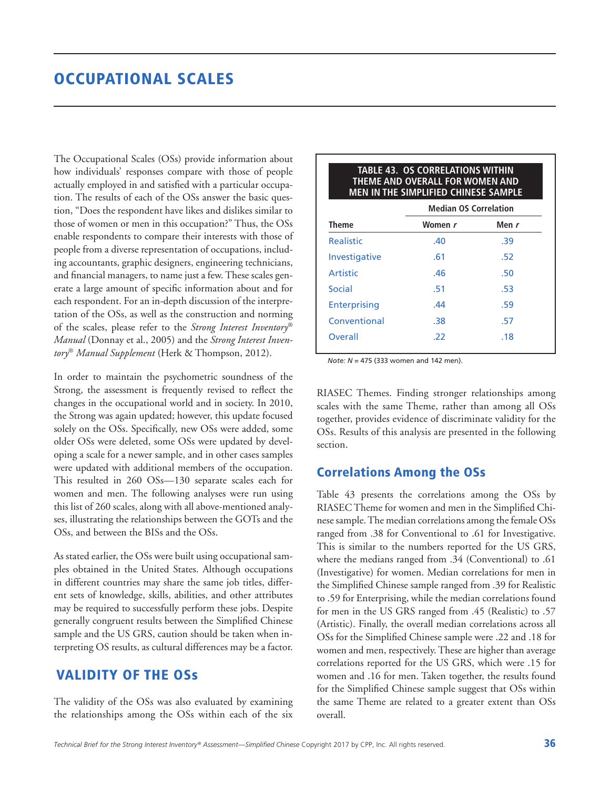# OCCUPATIONAL SCALES

The Occupational Scales (OSs) provide information about how individuals' responses compare with those of people actually employed in and satisfied with a particular occupation. The results of each of the OSs answer the basic question, "Does the respondent have likes and dislikes similar to those of women or men in this occupation?" Thus, the OSs enable respondents to compare their interests with those of people from a diverse representation of occupations, including accountants, graphic designers, engineering technicians, and financial managers, to name just a few. These scales generate a large amount of specific information about and for each respondent. For an in-depth discussion of the interpretation of the OSs, as well as the construction and norming of the scales, please refer to the *Strong Interest Inventory*® *Manual* (Donnay et al., 2005) and the *Strong Interest Inventory*® *Manual Supplement* (Herk & Thompson, 2012).

In order to maintain the psychometric soundness of the Strong, the assessment is frequently revised to reflect the changes in the occupational world and in society. In 2010, the Strong was again updated; however, this update focused solely on the OSs. Specifically, new OSs were added, some older OSs were deleted, some OSs were updated by developing a scale for a newer sample, and in other cases samples were updated with additional members of the occupation. This resulted in 260 OSs—130 separate scales each for women and men. The following analyses were run using this list of 260 scales, along with all above-mentioned analyses, illustrating the relationships between the GOTs and the OSs, and between the BISs and the OSs.

As stated earlier, the OSs were built using occupational samples obtained in the United States. Although occupations in different countries may share the same job titles, different sets of knowledge, skills, abilities, and other attributes may be required to successfully perform these jobs. Despite generally congruent results between the Simplified Chinese sample and the US GRS, caution should be taken when interpreting OS results, as cultural differences may be a factor.

### VALIDITY OF THE OSs

The validity of the OSs was also evaluated by examining the relationships among the OSs within each of the six

|                     | <b>Median OS Correlation</b> |       |
|---------------------|------------------------------|-------|
| Theme               | Women r                      | Men r |
| <b>Realistic</b>    | .40                          | .39   |
| Investigative       | .61                          | .52   |
| Artistic            | .46                          | .50   |
| Social              | .51                          | .53   |
| <b>Enterprising</b> | .44                          | .59   |
| Conventional        | .38                          | .57   |
| Overall             | .22                          | .18   |

**TABLE 43. OS CORRELATIONS WITHIN** 

*Note: N* = 475 (333 women and 142 men).

RIASEC Themes. Finding stronger relationships among scales with the same Theme, rather than among all OSs together, provides evidence of discriminate validity for the OSs. Results of this analysis are presented in the following section.

### Correlations Among the OSs

Table 43 presents the correlations among the OSs by RIASEC Theme for women and men in the Simplified Chinese sample. The median correlations among the female OSs ranged from .38 for Conventional to .61 for Investigative. This is similar to the numbers reported for the US GRS, where the medians ranged from .34 (Conventional) to .61 (Investigative) for women. Median correlations for men in the Simplified Chinese sample ranged from .39 for Realistic to .59 for Enterprising, while the median correlations found for men in the US GRS ranged from .45 (Realistic) to .57 (Artistic). Finally, the overall median correlations across all OSs for the Simplified Chinese sample were .22 and .18 for women and men, respectively. These are higher than average correlations reported for the US GRS, which were .15 for women and .16 for men. Taken together, the results found for the Simplified Chinese sample suggest that OSs within the same Theme are related to a greater extent than OSs overall.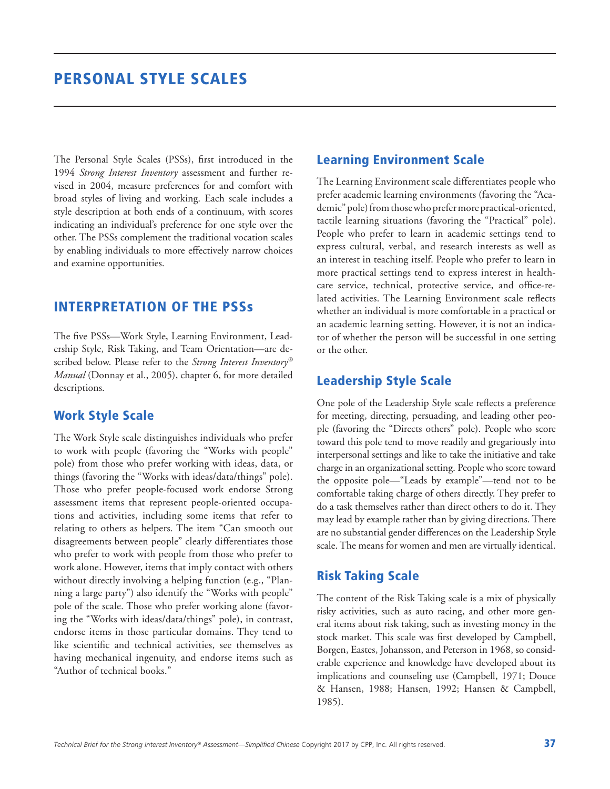The Personal Style Scales (PSSs), first introduced in the 1994 *Strong Interest Inventory* assessment and further revised in 2004, measure preferences for and comfort with broad styles of living and working. Each scale includes a style description at both ends of a continuum, with scores indicating an individual's preference for one style over the other. The PSSs complement the traditional vocation scales by enabling individuals to more effectively narrow choices and examine opportunities.

### INTERPRETATION OF THE PSSs

The five PSSs—Work Style, Learning Environment, Leadership Style, Risk Taking, and Team Orientation—are described below. Please refer to the *Strong Interest Inventory® Manual* (Donnay et al., 2005), chapter 6, for more detailed descriptions.

### Work Style Scale

The Work Style scale distinguishes individuals who prefer to work with people (favoring the "Works with people" pole) from those who prefer working with ideas, data, or things (favoring the "Works with ideas/data/things" pole). Those who prefer people-focused work endorse Strong assessment items that represent people-oriented occupations and activities, including some items that refer to relating to others as helpers. The item "Can smooth out disagreements between people" clearly differentiates those who prefer to work with people from those who prefer to work alone. However, items that imply contact with others without directly involving a helping function (e.g., "Planning a large party") also identify the "Works with people" pole of the scale. Those who prefer working alone (favoring the "Works with ideas/data/things" pole), in contrast, endorse items in those particular domains. They tend to like scientific and technical activities, see themselves as having mechanical ingenuity, and endorse items such as "Author of technical books."

### Learning Environment Scale

The Learning Environment scale differentiates people who prefer academic learning environments (favoring the "Academic" pole) from those who prefer more practical-oriented, tactile learning situations (favoring the "Practical" pole). People who prefer to learn in academic settings tend to express cultural, verbal, and research interests as well as an interest in teaching itself. People who prefer to learn in more practical settings tend to express interest in healthcare service, technical, protective service, and office-related activities. The Learning Environment scale reflects whether an individual is more comfortable in a practical or an academic learning setting. However, it is not an indicator of whether the person will be successful in one setting or the other.

## Leadership Style Scale

One pole of the Leadership Style scale reflects a preference for meeting, directing, persuading, and leading other people (favoring the "Directs others" pole). People who score toward this pole tend to move readily and gregariously into interpersonal settings and like to take the initiative and take charge in an organizational setting. People who score toward the opposite pole—"Leads by example"—tend not to be comfortable taking charge of others directly. They prefer to do a task themselves rather than direct others to do it. They may lead by example rather than by giving directions. There are no substantial gender differences on the Leadership Style scale. The means for women and men are virtually identical.

### Risk Taking Scale

The content of the Risk Taking scale is a mix of physically risky activities, such as auto racing, and other more general items about risk taking, such as investing money in the stock market. This scale was first developed by Campbell, Borgen, Eastes, Johansson, and Peterson in 1968, so considerable experience and knowledge have developed about its implications and counseling use (Campbell, 1971; Douce & Hansen, 1988; Hansen, 1992; Hansen & Campbell, 1985).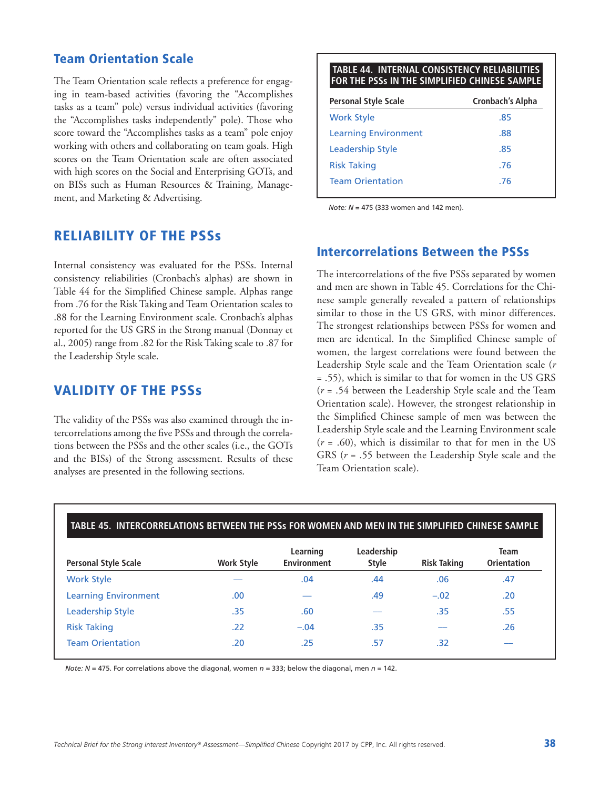### Team Orientation Scale

The Team Orientation scale reflects a preference for engaging in team-based activities (favoring the "Accomplishes tasks as a team" pole) versus individual activities (favoring the "Accomplishes tasks independently" pole). Those who score toward the "Accomplishes tasks as a team" pole enjoy working with others and collaborating on team goals. High scores on the Team Orientation scale are often associated with high scores on the Social and Enterprising GOTs, and on BISs such as Human Resources & Training, Management, and Marketing & Advertising.

### RELIABILITY OF THE PSSs

Internal consistency was evaluated for the PSSs. Internal consistency reliabilities (Cronbach's alphas) are shown in Table 44 for the Simplified Chinese sample. Alphas range from .76 for the Risk Taking and Team Orientation scales to .88 for the Learning Environment scale. Cronbach's alphas reported for the US GRS in the Strong manual (Donnay et al., 2005) range from .82 for the Risk Taking scale to .87 for the Leadership Style scale.

## VALIDITY OF THE PSSs

The validity of the PSSs was also examined through the intercorrelations among the five PSSs and through the correlations between the PSSs and the other scales (i.e., the GOTs and the BISs) of the Strong assessment. Results of these analyses are presented in the following sections.

# **TABLE 44. INTERNAL CONSISTENCY RELIABILITIES FOR THE PSSs IN THE SIMPLIFIED CHINESE SAMPLE Personal Style Scale Cronbach's Alpha** Work Style .85 Learning Environment .88 Leadership Style .85 Risk Taking ... . 76 Team Orientation .76

*Note: N* = 475 (333 women and 142 men).

### Intercorrelations Between the PSSs

The intercorrelations of the five PSSs separated by women and men are shown in Table 45. Correlations for the Chinese sample generally revealed a pattern of relationships similar to those in the US GRS, with minor differences. The strongest relationships between PSSs for women and men are identical. In the Simplified Chinese sample of women, the largest correlations were found between the Leadership Style scale and the Team Orientation scale (*r* = .55), which is similar to that for women in the US GRS (*r* = .54 between the Leadership Style scale and the Team Orientation scale). However, the strongest relationship in the Simplified Chinese sample of men was between the Leadership Style scale and the Learning Environment scale  $(r = .60)$ , which is dissimilar to that for men in the US GRS (*r* = .55 between the Leadership Style scale and the Team Orientation scale).

| <b>Personal Style Scale</b> | <b>Work Style</b> | Learning<br><b>Environment</b> | Leadership<br><b>Style</b> | <b>Risk Taking</b> | <b>Team</b><br><b>Orientation</b> |
|-----------------------------|-------------------|--------------------------------|----------------------------|--------------------|-----------------------------------|
| <b>Work Style</b>           |                   | .04                            | .44                        | .06                | .47                               |
| <b>Learning Environment</b> | .00               |                                | .49                        | $-.02$             | .20                               |
| <b>Leadership Style</b>     | .35               | .60                            |                            | .35                | .55                               |
| <b>Risk Taking</b>          | .22               | $-.04$                         | .35                        |                    | .26                               |
| <b>Team Orientation</b>     | .20               | .25                            | .57                        | .32                |                                   |

*Note: N* = 475. For correlations above the diagonal, women  $n = 333$ ; below the diagonal, men  $n = 142$ .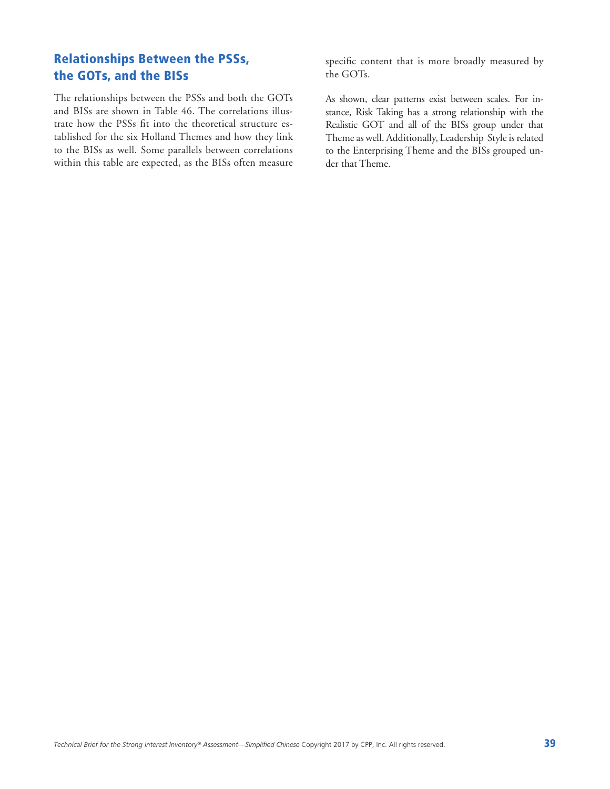# Relationships Between the PSSs, the GOTs, and the BISs

The relationships between the PSSs and both the GOTs and BISs are shown in Table 46. The correlations illustrate how the PSSs fit into the theoretical structure established for the six Holland Themes and how they link to the BISs as well. Some parallels between correlations within this table are expected, as the BISs often measure specific content that is more broadly measured by the GOTs.

As shown, clear patterns exist between scales. For instance, Risk Taking has a strong relationship with the Realistic GOT and all of the BISs group under that Theme as well. Additionally, Leadership Style is related to the Enterprising Theme and the BISs grouped under that Theme.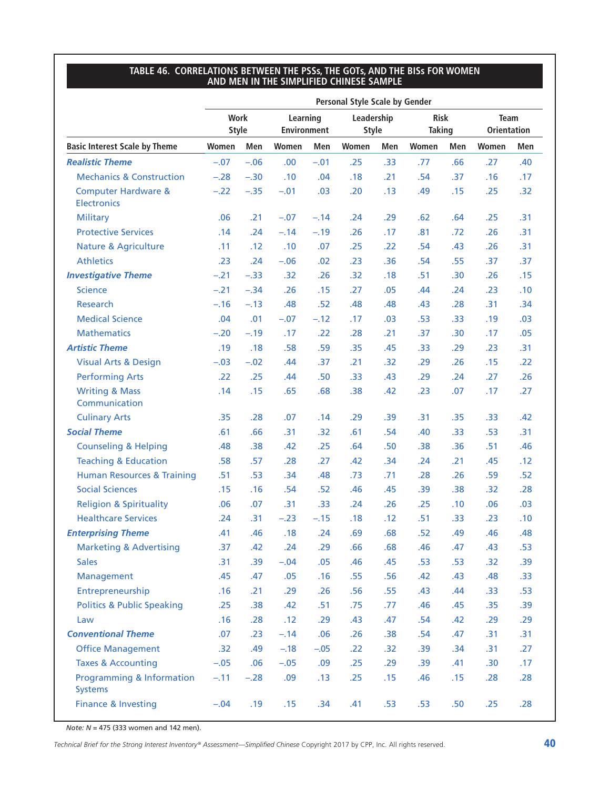#### **TABLE 46. CORRELATIONS BETWEEN THE PSSs, THE GOTs, AND THE BISs FOR WOMEN AND MEN IN THE SIMPLIFIED CHINESE SAMPLE**

|                                                        | <b>Personal Style Scale by Gender</b> |        |                                |        |                            |     |                              |                  |                                   |     |
|--------------------------------------------------------|---------------------------------------|--------|--------------------------------|--------|----------------------------|-----|------------------------------|------------------|-----------------------------------|-----|
|                                                        | <b>Work</b><br><b>Style</b>           |        | Learning<br><b>Environment</b> |        | Leadership<br><b>Style</b> |     | <b>Risk</b><br><b>Taking</b> |                  | <b>Team</b><br><b>Orientation</b> |     |
| <b>Basic Interest Scale by Theme</b>                   | Women                                 | Men    | Women                          | Men    | Women                      | Men | Women                        | Men              | Women                             | Men |
| <b>Realistic Theme</b>                                 | $-.07$                                | $-.06$ | .00.                           | $-.01$ | .25                        | .33 | .77                          | .66              | .27                               | .40 |
| <b>Mechanics &amp; Construction</b>                    | $-.28$                                | $-.30$ | .10                            | .04    | .18                        | .21 | .54                          | .37              | .16                               | .17 |
| <b>Computer Hardware &amp;</b><br><b>Electronics</b>   | $-.22$                                | $-.35$ | $-.01$                         | .03    | .20                        | .13 | .49                          | .15              | .25                               | .32 |
| <b>Military</b>                                        | .06                                   | .21    | $-.07$                         | $-.14$ | .24                        | .29 | .62                          | .64              | .25                               | .31 |
| <b>Protective Services</b>                             | .14                                   | .24    | $-.14$                         | $-.19$ | .26                        | .17 | .81                          | .72              | .26                               | .31 |
| <b>Nature &amp; Agriculture</b>                        | .11                                   | .12    | .10                            | .07    | .25                        | .22 | .54                          | .43              | .26                               | .31 |
| <b>Athletics</b>                                       | .23                                   | .24    | $-.06$                         | .02    | .23                        | .36 | .54                          | .55              | .37                               | .37 |
| <b>Investigative Theme</b>                             | $-.21$                                | $-.33$ | .32                            | .26    | .32                        | .18 | .51                          | .30 <sub>0</sub> | .26                               | .15 |
| <b>Science</b>                                         | $-.21$                                | $-.34$ | .26                            | .15    | .27                        | .05 | .44                          | .24              | .23                               | .10 |
| <b>Research</b>                                        | $-.16$                                | $-.13$ | .48                            | .52    | .48                        | .48 | .43                          | .28              | .31                               | .34 |
| <b>Medical Science</b>                                 | .04                                   | .01    | $-.07$                         | $-.12$ | .17                        | .03 | .53                          | .33              | .19                               | .03 |
| <b>Mathematics</b>                                     | $-.20$                                | $-.19$ | .17                            | .22    | .28                        | .21 | .37                          | .30              | .17                               | .05 |
| <b>Artistic Theme</b>                                  | .19                                   | .18    | .58                            | .59    | .35                        | .45 | .33                          | .29              | .23                               | .31 |
| <b>Visual Arts &amp; Design</b>                        | $-.03$                                | $-.02$ | .44                            | .37    | .21                        | .32 | .29                          | .26              | .15                               | .22 |
| <b>Performing Arts</b>                                 | .22                                   | .25    | .44                            | .50    | .33                        | .43 | .29                          | .24              | .27                               | .26 |
| <b>Writing &amp; Mass</b><br>Communication             | .14                                   | .15    | .65                            | .68    | .38                        | .42 | .23                          | .07              | .17                               | .27 |
| <b>Culinary Arts</b>                                   | .35                                   | .28    | .07                            | .14    | .29                        | .39 | .31                          | .35              | .33                               | .42 |
| <b>Social Theme</b>                                    | .61                                   | .66    | .31                            | .32    | .61                        | .54 | .40                          | .33              | .53                               | .31 |
| <b>Counseling &amp; Helping</b>                        | .48                                   | .38    | .42                            | .25    | .64                        | .50 | .38                          | .36              | .51                               | .46 |
| <b>Teaching &amp; Education</b>                        | .58                                   | .57    | .28                            | .27    | .42                        | .34 | .24                          | .21              | .45                               | .12 |
| <b>Human Resources &amp; Training</b>                  | .51                                   | .53    | .34                            | .48    | .73                        | .71 | .28                          | .26              | .59                               | .52 |
| <b>Social Sciences</b>                                 | .15                                   | .16    | .54                            | .52    | .46                        | .45 | .39                          | .38              | .32                               | .28 |
| <b>Religion &amp; Spirituality</b>                     | .06                                   | .07    | .31                            | .33    | .24                        | .26 | .25                          | .10              | .06                               | .03 |
| <b>Healthcare Services</b>                             | .24                                   | .31    | $-.23$                         | $-.15$ | .18                        | .12 | .51                          | .33              | .23                               | .10 |
| <b>Enterprising Theme</b>                              | .41                                   | .46    | .18                            | .24    | .69                        | .68 | .52                          | .49              | .46                               | .48 |
| <b>Marketing &amp; Advertising</b>                     | .37                                   | .42    | .24                            | .29    | .66                        | .68 | .46                          | .47              | .43                               | .53 |
| <b>Sales</b>                                           | .31                                   | .39    | $-.04$                         | .05    | .46                        | .45 | .53                          | .53              | .32                               | .39 |
| Management                                             | .45                                   | .47    | .05                            | .16    | .55                        | .56 | .42                          | .43              | .48                               | .33 |
| Entrepreneurship                                       | .16                                   | .21    | .29                            | .26    | .56                        | .55 | .43                          | .44              | .33                               | .53 |
| <b>Politics &amp; Public Speaking</b>                  | .25                                   | .38    | .42                            | .51    | .75                        | .77 | .46                          | .45              | .35                               | .39 |
| Law                                                    | .16                                   | .28    | .12                            | .29    | .43                        | .47 | .54                          | .42              | .29                               | .29 |
| <b>Conventional Theme</b>                              | .07                                   | .23    | $-.14$                         | .06    | .26                        | .38 | .54                          | .47              | .31                               | .31 |
| <b>Office Management</b>                               | .32                                   | .49    | $-.18$                         | $-.05$ | .22                        | .32 | .39                          | .34              | .31                               | .27 |
| <b>Taxes &amp; Accounting</b>                          | $-.05$                                | .06    | $-.05$                         | .09    | .25                        | .29 | .39                          | .41              | .30                               | .17 |
| <b>Programming &amp; Information</b><br><b>Systems</b> | $-.11$                                | $-.28$ | .09                            | .13    | .25                        | .15 | .46                          | .15              | .28                               | .28 |
| <b>Finance &amp; Investing</b>                         | $-.04$                                | .19    | .15                            | .34    | .41                        | .53 | .53                          | .50              | .25                               | .28 |

*Note: N* = 475 (333 women and 142 men).

*Technical Brief for the Strong Interest Inventory® Assessment*—*Simplified Chinese* Copyright 2017 by CPP, Inc. All rights reserved. 40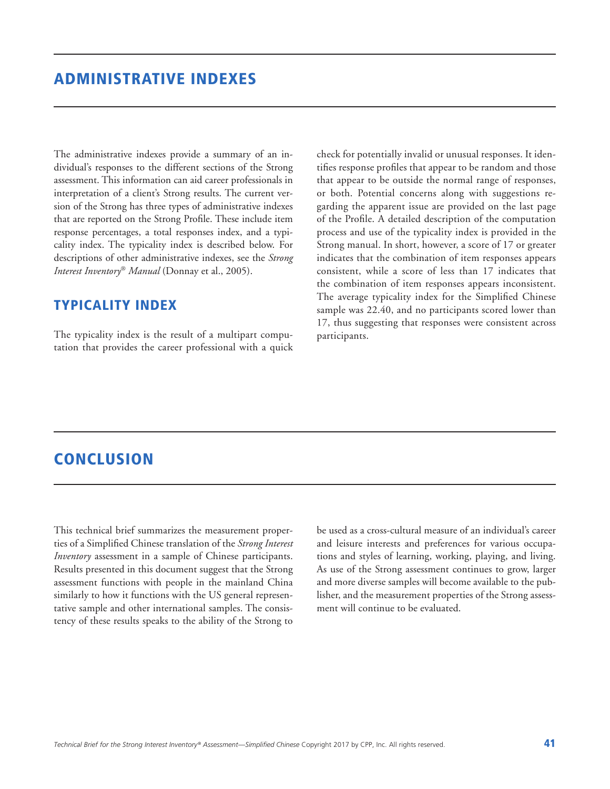The administrative indexes provide a summary of an individual's responses to the different sections of the Strong assessment. This information can aid career professionals in interpretation of a client's Strong results. The current version of the Strong has three types of administrative indexes that are reported on the Strong Profile. These include item response percentages, a total responses index, and a typicality index. The typicality index is described below. For descriptions of other administrative indexes, see the *Strong Interest Inventory*® *Manual* (Donnay et al., 2005).

### TYPICALITY INDEX

The typicality index is the result of a multipart computation that provides the career professional with a quick check for potentially invalid or unusual responses. It identifies response profiles that appear to be random and those that appear to be outside the normal range of responses, or both. Potential concerns along with suggestions regarding the apparent issue are provided on the last page of the Profile. A detailed description of the computation process and use of the typicality index is provided in the Strong manual. In short, however, a score of 17 or greater indicates that the combination of item responses appears consistent, while a score of less than 17 indicates that the combination of item responses appears inconsistent. The average typicality index for the Simplified Chinese sample was 22.40, and no participants scored lower than 17, thus suggesting that responses were consistent across participants.

# **CONCLUSION**

This technical brief summarizes the measurement properties of a Simplified Chinese translation of the *Strong Interest Inventory* assessment in a sample of Chinese participants. Results presented in this document suggest that the Strong assessment functions with people in the mainland China similarly to how it functions with the US general representative sample and other international samples. The consistency of these results speaks to the ability of the Strong to

be used as a cross-cultural measure of an individual's career and leisure interests and preferences for various occupations and styles of learning, working, playing, and living. As use of the Strong assessment continues to grow, larger and more diverse samples will become available to the publisher, and the measurement properties of the Strong assessment will continue to be evaluated.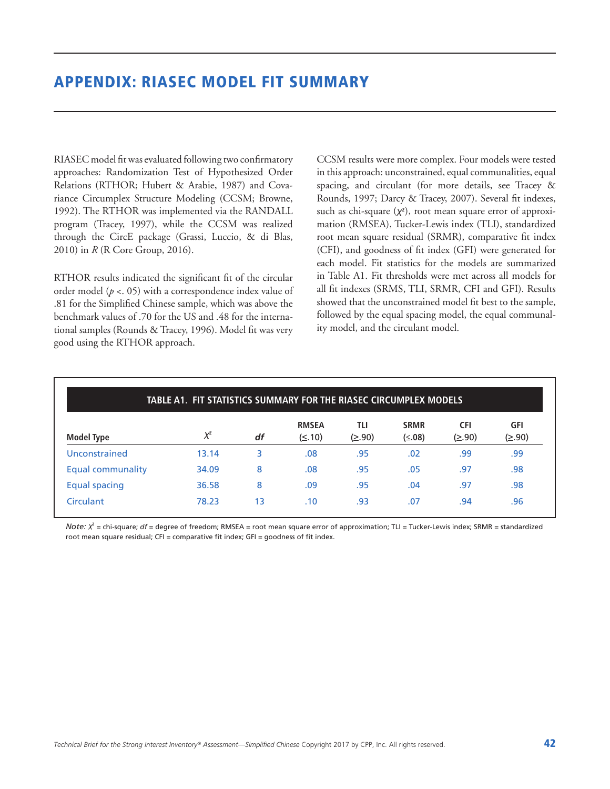RIASEC model fit was evaluated following two confirmatory approaches: Randomization Test of Hypothesized Order Relations (RTHOR; Hubert & Arabie, 1987) and Covariance Circumplex Structure Modeling (CCSM; Browne, 1992). The RTHOR was implemented via the RANDALL program (Tracey, 1997), while the CCSM was realized through the CircE package (Grassi, Luccio, & di Blas, 2010) in *R* (R Core Group, 2016).

RTHOR results indicated the significant fit of the circular order model (*p* <. 05) with a correspondence index value of .81 for the Simplified Chinese sample, which was above the benchmark values of .70 for the US and .48 for the international samples (Rounds & Tracey, 1996). Model fit was very good using the RTHOR approach.

CCSM results were more complex. Four models were tested in this approach: unconstrained, equal communalities, equal spacing, and circulant (for more details, see Tracey & Rounds, 1997; Darcy & Tracey, 2007). Several fit indexes, such as chi-square (χ**<sup>2</sup>** ), root mean square error of approximation (RMSEA), Tucker-Lewis index (TLI), standardized root mean square residual (SRMR), comparative fit index (CFI), and goodness of fit index (GFI) were generated for each model. Fit statistics for the models are summarized in Table A1. Fit thresholds were met across all models for all fit indexes (SRMS, TLI, SRMR, CFI and GFI). Results showed that the unconstrained model fit best to the sample, followed by the equal spacing model, the equal communality model, and the circulant model.

| <b>Model Type</b>    |          | df | <b>RMSEA</b> | TLI    | <b>SRMR</b> | <b>CFI</b> | <b>GFI</b> |
|----------------------|----------|----|--------------|--------|-------------|------------|------------|
|                      | $\chi^2$ |    | $(\leq .10)$ | (≥.90) | (≤.08)      | (≥.90)     | (≥.90)     |
| Unconstrained        | 13.14    | 3  | .08          | .95    | .02         | .99        | .99        |
| Equal communality    | 34.09    | 8  | .08          | .95    | .05         | .97        | .98        |
| <b>Equal spacing</b> | 36.58    | 8  | .09          | .95    | .04         | .97        | .98        |
| Circulant            | 78.23    | 13 | .10          | .93    | .07         | .94        | .96        |

*Note:* χ**<sup>2</sup>** = chi-square; *df* = degree of freedom; RMSEA = root mean square error of approximation; TLI = Tucker-Lewis index; SRMR = standardized root mean square residual; CFI = comparative fit index; GFI = goodness of fit index.